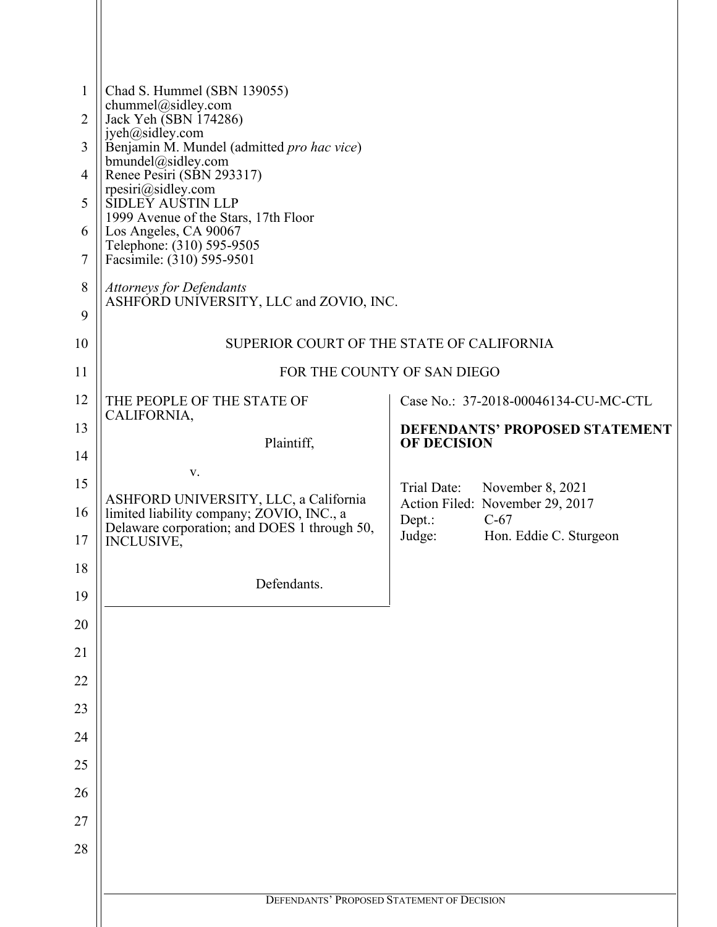| 1<br>$\overline{2}$<br>3<br>4<br>5<br>6<br>7<br>8<br>9 | Chad S. Hummel (SBN 139055)<br>chummel@sidley.com<br>Jack Yeh (SBN 174286)<br>jyeh@sidley.com<br>Benjamin M. Mundel (admitted pro hac vice)<br>bmundel@sidley.com<br>Renee Pesiri (SBN 293317)<br>rpesiri@sidley.com<br>SIDLEY AUSTIN LLP<br>1999 Avenue of the Stars, 17th Floor<br>Los Angeles, CA 90067<br>Telephone: (310) 595-9505<br>Facsimile: (310) 595-9501<br><b>Attorneys for Defendants</b><br>ASHFORD UNIVERSITY, LLC and ZOVIO, INC. |                    |                                                                     |  |  |  |
|--------------------------------------------------------|----------------------------------------------------------------------------------------------------------------------------------------------------------------------------------------------------------------------------------------------------------------------------------------------------------------------------------------------------------------------------------------------------------------------------------------------------|--------------------|---------------------------------------------------------------------|--|--|--|
| 10                                                     | SUPERIOR COURT OF THE STATE OF CALIFORNIA                                                                                                                                                                                                                                                                                                                                                                                                          |                    |                                                                     |  |  |  |
| 11                                                     | FOR THE COUNTY OF SAN DIEGO                                                                                                                                                                                                                                                                                                                                                                                                                        |                    |                                                                     |  |  |  |
| 12                                                     | THE PEOPLE OF THE STATE OF                                                                                                                                                                                                                                                                                                                                                                                                                         |                    | Case No.: 37-2018-00046134-CU-MC-CTL                                |  |  |  |
| 13                                                     | CALIFORNIA,                                                                                                                                                                                                                                                                                                                                                                                                                                        |                    | DEFENDANTS' PROPOSED STATEMENT                                      |  |  |  |
| 14                                                     | Plaintiff,                                                                                                                                                                                                                                                                                                                                                                                                                                         | <b>OF DECISION</b> |                                                                     |  |  |  |
| 15                                                     | V.<br>ASHFORD UNIVERSITY, LLC, a California                                                                                                                                                                                                                                                                                                                                                                                                        | Trial Date:        | November 8, 2021                                                    |  |  |  |
| 16<br>17                                               | limited liability company; ZOVIO, INC., a<br>Delaware corporation; and DOES 1 through 50,<br>INCLUSIVE,                                                                                                                                                                                                                                                                                                                                            | Dept.:<br>Judge:   | Action Filed: November 29, 2017<br>$C-67$<br>Hon. Eddie C. Sturgeon |  |  |  |
| 18                                                     |                                                                                                                                                                                                                                                                                                                                                                                                                                                    |                    |                                                                     |  |  |  |
| 19                                                     | Defendants.                                                                                                                                                                                                                                                                                                                                                                                                                                        |                    |                                                                     |  |  |  |
| 20                                                     |                                                                                                                                                                                                                                                                                                                                                                                                                                                    |                    |                                                                     |  |  |  |
| 21                                                     |                                                                                                                                                                                                                                                                                                                                                                                                                                                    |                    |                                                                     |  |  |  |
| 22                                                     |                                                                                                                                                                                                                                                                                                                                                                                                                                                    |                    |                                                                     |  |  |  |
| 23                                                     |                                                                                                                                                                                                                                                                                                                                                                                                                                                    |                    |                                                                     |  |  |  |
| 24                                                     |                                                                                                                                                                                                                                                                                                                                                                                                                                                    |                    |                                                                     |  |  |  |
| 25                                                     |                                                                                                                                                                                                                                                                                                                                                                                                                                                    |                    |                                                                     |  |  |  |
| 26                                                     |                                                                                                                                                                                                                                                                                                                                                                                                                                                    |                    |                                                                     |  |  |  |
| 27                                                     |                                                                                                                                                                                                                                                                                                                                                                                                                                                    |                    |                                                                     |  |  |  |
| 28                                                     |                                                                                                                                                                                                                                                                                                                                                                                                                                                    |                    |                                                                     |  |  |  |
|                                                        |                                                                                                                                                                                                                                                                                                                                                                                                                                                    |                    |                                                                     |  |  |  |
|                                                        | DEFENDANTS' PROPOSED STATEMENT OF DECISION                                                                                                                                                                                                                                                                                                                                                                                                         |                    |                                                                     |  |  |  |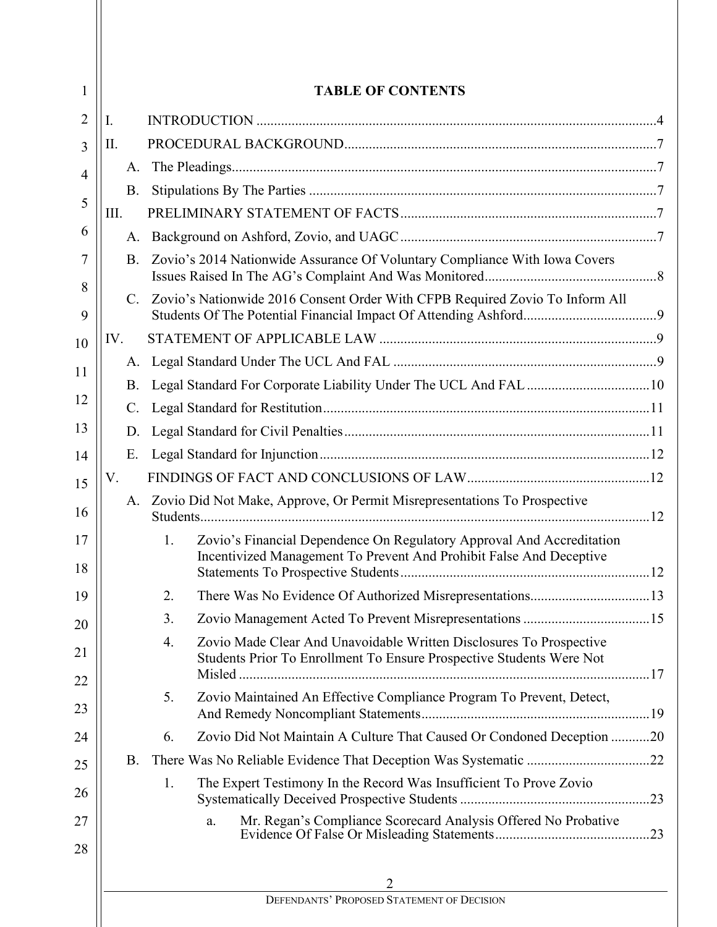| 1              |                 |    | <b>TABLE OF CONTENTS</b>                                                                                                                     |  |  |  |  |
|----------------|-----------------|----|----------------------------------------------------------------------------------------------------------------------------------------------|--|--|--|--|
| $\overline{2}$ | I.              |    |                                                                                                                                              |  |  |  |  |
| 3              | П.              |    |                                                                                                                                              |  |  |  |  |
| $\overline{4}$ | A.              |    |                                                                                                                                              |  |  |  |  |
|                | <b>B.</b>       |    |                                                                                                                                              |  |  |  |  |
| 5              | III.            |    |                                                                                                                                              |  |  |  |  |
| 6              |                 |    |                                                                                                                                              |  |  |  |  |
| 7<br>8         | <b>B.</b>       |    | Zovio's 2014 Nationwide Assurance Of Voluntary Compliance With Iowa Covers                                                                   |  |  |  |  |
| 9              |                 |    | C. Zovio's Nationwide 2016 Consent Order With CFPB Required Zovio To Inform All                                                              |  |  |  |  |
| 10             | IV.             |    |                                                                                                                                              |  |  |  |  |
| 11             | A.              |    |                                                                                                                                              |  |  |  |  |
|                | <b>B.</b>       |    |                                                                                                                                              |  |  |  |  |
| 12             | $\mathcal{C}$ . |    |                                                                                                                                              |  |  |  |  |
| 13             | D.              |    |                                                                                                                                              |  |  |  |  |
| 14             | E.              |    |                                                                                                                                              |  |  |  |  |
| 15             | V.              |    |                                                                                                                                              |  |  |  |  |
| 16             |                 |    | A. Zovio Did Not Make, Approve, Or Permit Misrepresentations To Prospective                                                                  |  |  |  |  |
| 17<br>18       |                 | 1. | Zovio's Financial Dependence On Regulatory Approval And Accreditation<br>Incentivized Management To Prevent And Prohibit False And Deceptive |  |  |  |  |
| 19             |                 | 2. |                                                                                                                                              |  |  |  |  |
| 20             |                 | 3. |                                                                                                                                              |  |  |  |  |
| 21             |                 | 4. | Zovio Made Clear And Unavoidable Written Disclosures To Prospective<br>Students Prior To Enrollment To Ensure Prospective Students Were Not  |  |  |  |  |
| 22             |                 |    |                                                                                                                                              |  |  |  |  |
| 23             |                 | 5. | Zovio Maintained An Effective Compliance Program To Prevent, Detect,                                                                         |  |  |  |  |
| 24             |                 | 6. | Zovio Did Not Maintain A Culture That Caused Or Condoned Deception 20                                                                        |  |  |  |  |
| 25             | <b>B.</b>       |    |                                                                                                                                              |  |  |  |  |
| 26             |                 | 1. | The Expert Testimony In the Record Was Insufficient To Prove Zovio                                                                           |  |  |  |  |
| 27<br>28       |                 |    | Mr. Regan's Compliance Scorecard Analysis Offered No Probative<br>a.                                                                         |  |  |  |  |
|                |                 |    | 2                                                                                                                                            |  |  |  |  |
|                |                 |    | DEFENDANTS' PROPOSED STATEMENT OF DECISION                                                                                                   |  |  |  |  |
|                |                 |    |                                                                                                                                              |  |  |  |  |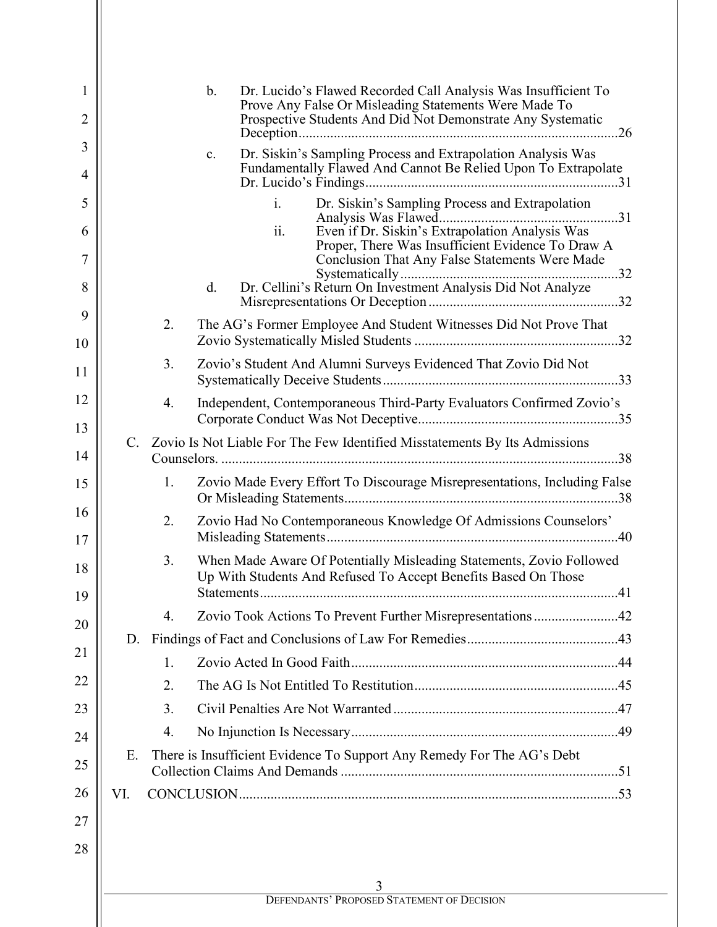| 1        |             |    | $\mathbf b$ . |     | Dr. Lucido's Flawed Recorded Call Analysis Was Insufficient To<br>Prove Any False Or Misleading Statements Were Made To                |  |  |
|----------|-------------|----|---------------|-----|----------------------------------------------------------------------------------------------------------------------------------------|--|--|
| 2        |             |    |               |     | Prospective Students And Did Not Demonstrate Any Systematic                                                                            |  |  |
| 3        |             |    | c.            |     | Dr. Siskin's Sampling Process and Extrapolation Analysis Was                                                                           |  |  |
| 4        |             |    |               |     | Fundamentally Flawed And Cannot Be Relied Upon To Extrapolate                                                                          |  |  |
| 5        |             |    |               | i.  | Dr. Siskin's Sampling Process and Extrapolation                                                                                        |  |  |
| 6        |             |    |               | ii. | Even if Dr. Siskin's Extrapolation Analysis Was                                                                                        |  |  |
| 7        |             |    |               |     | Proper, There Was Insufficient Evidence To Draw A<br><b>Conclusion That Any False Statements Were Made</b>                             |  |  |
| 8        |             |    | d.            |     | Dr. Cellini's Return On Investment Analysis Did Not Analyze                                                                            |  |  |
| 9        |             | 2. |               |     | The AG's Former Employee And Student Witnesses Did Not Prove That                                                                      |  |  |
| 10       |             |    |               |     |                                                                                                                                        |  |  |
| 11       |             | 3. |               |     | Zovio's Student And Alumni Surveys Evidenced That Zovio Did Not                                                                        |  |  |
| 12       |             | 4. |               |     | Independent, Contemporaneous Third-Party Evaluators Confirmed Zovio's                                                                  |  |  |
| 13       |             |    |               |     |                                                                                                                                        |  |  |
| 14       | $C_{\cdot}$ |    |               |     | Zovio Is Not Liable For The Few Identified Misstatements By Its Admissions                                                             |  |  |
| 15       |             | 1. |               |     | Zovio Made Every Effort To Discourage Misrepresentations, Including False                                                              |  |  |
| 16<br>17 |             | 2. |               |     | Zovio Had No Contemporaneous Knowledge Of Admissions Counselors'                                                                       |  |  |
| 18       |             | 3. |               |     | When Made Aware Of Potentially Misleading Statements, Zovio Followed<br>Up With Students And Refused To Accept Benefits Based On Those |  |  |
| 19       |             |    |               |     |                                                                                                                                        |  |  |
| 20       | D.          | 4. |               |     | Zovio Took Actions To Prevent Further Misrepresentations42                                                                             |  |  |
| 21       |             | 1. |               |     |                                                                                                                                        |  |  |
| 22       |             | 2. |               |     |                                                                                                                                        |  |  |
| 23       |             | 3. |               |     |                                                                                                                                        |  |  |
| 24       |             | 4. |               |     |                                                                                                                                        |  |  |
|          | Ε.          |    |               |     | There is Insufficient Evidence To Support Any Remedy For The AG's Debt                                                                 |  |  |
| 25       |             |    |               |     |                                                                                                                                        |  |  |
| 26       | VI.         |    |               |     |                                                                                                                                        |  |  |
| 27       |             |    |               |     |                                                                                                                                        |  |  |
| 28       |             |    |               |     |                                                                                                                                        |  |  |
|          |             |    |               |     |                                                                                                                                        |  |  |
|          |             |    |               |     | 3<br><b>DEFENDANTS' PROPOSED STATEMENT OF DECISION</b>                                                                                 |  |  |
|          |             |    |               |     |                                                                                                                                        |  |  |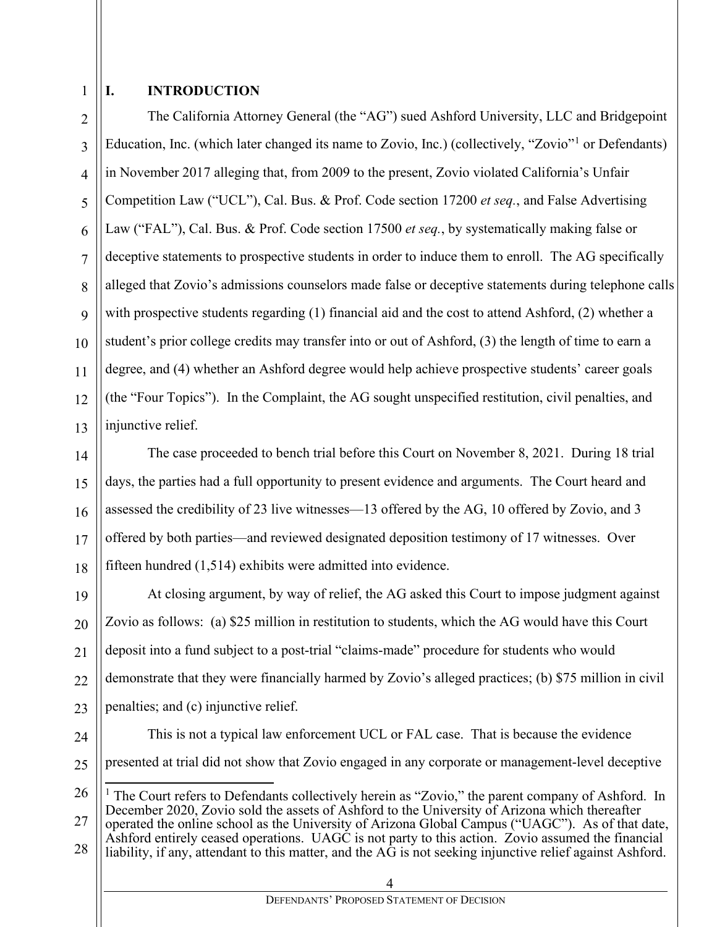1

2

3

4

5

6

7

8

9

11

13

## **I. INTRODUCTION**

10 12 The California Attorney General (the "AG") sued Ashford University, LLC and Bridgepoint Education, Inc. (which later changed its name to Zovio, Inc.) (collectively, "Zovio"<sup>[1](#page-3-0)</sup> or Defendants) in November 2017 alleging that, from 2009 to the present, Zovio violated California's Unfair Competition Law ("UCL"), Cal. Bus. & Prof. Code section 17200 *et seq.*, and False Advertising Law ("FAL"), Cal. Bus. & Prof. Code section 17500 *et seq.*, by systematically making false or deceptive statements to prospective students in order to induce them to enroll. The AG specifically alleged that Zovio's admissions counselors made false or deceptive statements during telephone calls with prospective students regarding (1) financial aid and the cost to attend Ashford, (2) whether a student's prior college credits may transfer into or out of Ashford, (3) the length of time to earn a degree, and (4) whether an Ashford degree would help achieve prospective students' career goals (the "Four Topics"). In the Complaint, the AG sought unspecified restitution, civil penalties, and injunctive relief.

14 15 16 17 18 The case proceeded to bench trial before this Court on November 8, 2021. During 18 trial days, the parties had a full opportunity to present evidence and arguments. The Court heard and assessed the credibility of 23 live witnesses—13 offered by the AG, 10 offered by Zovio, and 3 offered by both parties—and reviewed designated deposition testimony of 17 witnesses. Over fifteen hundred (1,514) exhibits were admitted into evidence.

19 20 21 22 23 At closing argument, by way of relief, the AG asked this Court to impose judgment against Zovio as follows: (a) \$25 million in restitution to students, which the AG would have this Court deposit into a fund subject to a post-trial "claims-made" procedure for students who would demonstrate that they were financially harmed by Zovio's alleged practices; (b) \$75 million in civil penalties; and (c) injunctive relief.

24 25

This is not a typical law enforcement UCL or FAL case. That is because the evidence presented at trial did not show that Zovio engaged in any corporate or management-level deceptive

<span id="page-3-0"></span>26 27 28 <sup>1</sup> The Court refers to Defendants collectively herein as "Zovio," the parent company of Ashford. In December 2020, Zovio sold the assets of Ashford to the University of Arizona which thereafter operated the online school as the University of Arizona Global Campus ("UAGC"). As of that date, Ashford entirely ceased operations. UAGC is not party to this action. Zovio assumed the financial liability, if any, attendant to this matter, and the AG is not seeking injunctive relief against Ashford.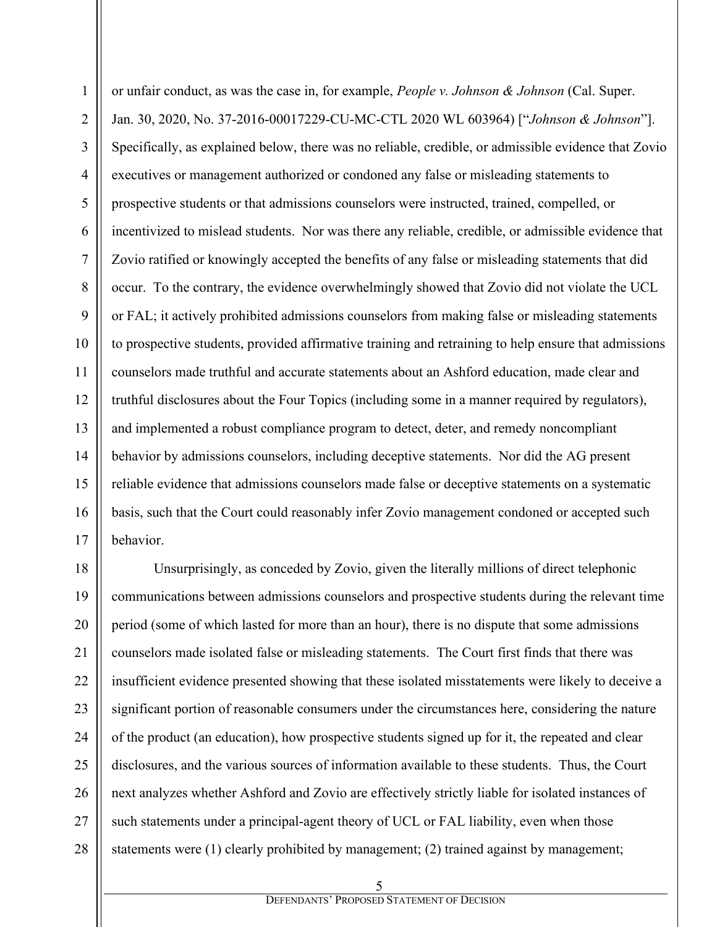or unfair conduct, as was the case in, for example, *People v. Johnson & Johnson* (Cal. Super. Jan. 30, 2020, No. 37-2016-00017229-CU-MC-CTL 2020 WL 603964) ["*Johnson & Johnson*"]. Specifically, as explained below, there was no reliable, credible, or admissible evidence that Zovio executives or management authorized or condoned any false or misleading statements to prospective students or that admissions counselors were instructed, trained, compelled, or incentivized to mislead students. Nor was there any reliable, credible, or admissible evidence that Zovio ratified or knowingly accepted the benefits of any false or misleading statements that did occur. To the contrary, the evidence overwhelmingly showed that Zovio did not violate the UCL or FAL; it actively prohibited admissions counselors from making false or misleading statements to prospective students, provided affirmative training and retraining to help ensure that admissions counselors made truthful and accurate statements about an Ashford education, made clear and truthful disclosures about the Four Topics (including some in a manner required by regulators), and implemented a robust compliance program to detect, deter, and remedy noncompliant behavior by admissions counselors, including deceptive statements. Nor did the AG present reliable evidence that admissions counselors made false or deceptive statements on a systematic basis, such that the Court could reasonably infer Zovio management condoned or accepted such behavior.

1

2

3

4

5

6

7

8

9

10

11

12

13

14

15

16

17

18 19 20 21 22 23 24 25 26 27 28 Unsurprisingly, as conceded by Zovio, given the literally millions of direct telephonic communications between admissions counselors and prospective students during the relevant time period (some of which lasted for more than an hour), there is no dispute that some admissions counselors made isolated false or misleading statements. The Court first finds that there was insufficient evidence presented showing that these isolated misstatements were likely to deceive a significant portion of reasonable consumers under the circumstances here, considering the nature of the product (an education), how prospective students signed up for it, the repeated and clear disclosures, and the various sources of information available to these students. Thus, the Court next analyzes whether Ashford and Zovio are effectively strictly liable for isolated instances of such statements under a principal-agent theory of UCL or FAL liability, even when those statements were (1) clearly prohibited by management; (2) trained against by management;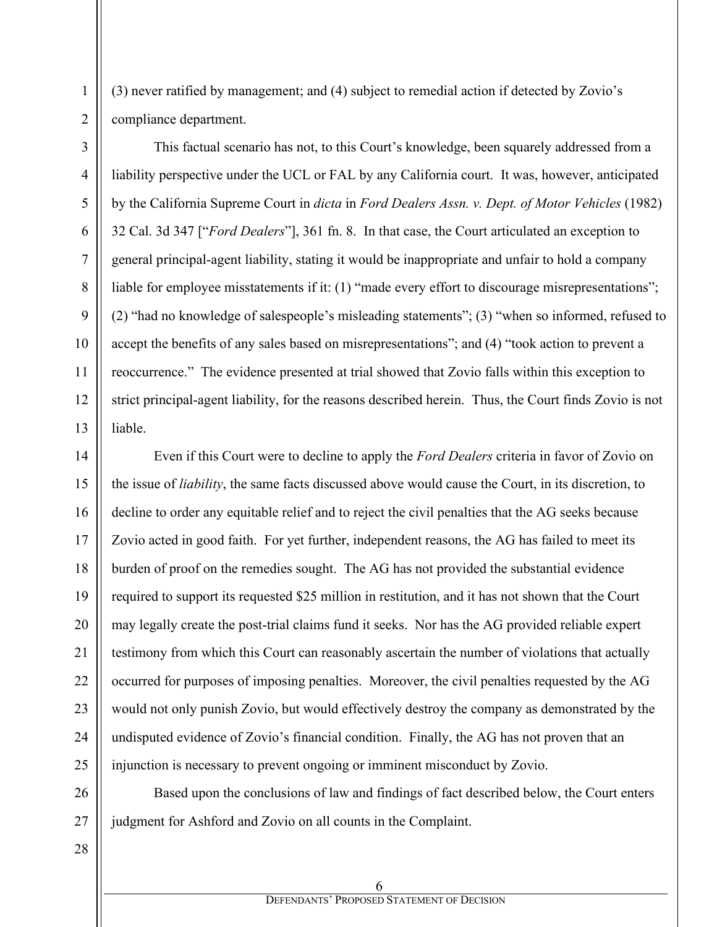1

2

(3) never ratified by management; and (4) subject to remedial action if detected by Zovio's compliance department.

This factual scenario has not, to this Court's knowledge, been squarely addressed from a liability perspective under the UCL or FAL by any California court. It was, however, anticipated by the California Supreme Court in *dicta* in *Ford Dealers Assn. v. Dept. of Motor Vehicles* (1982) 32 Cal. 3d 347 ["*Ford Dealers*"], 361 fn. 8. In that case, the Court articulated an exception to general principal-agent liability, stating it would be inappropriate and unfair to hold a company liable for employee misstatements if it: (1) "made every effort to discourage misrepresentations"; (2) "had no knowledge of salespeople's misleading statements"; (3) "when so informed, refused to accept the benefits of any sales based on misrepresentations"; and (4) "took action to prevent a reoccurrence." The evidence presented at trial showed that Zovio falls within this exception to strict principal-agent liability, for the reasons described herein. Thus, the Court finds Zovio is not liable.

Even if this Court were to decline to apply the *Ford Dealers* criteria in favor of Zovio on the issue of *liability*, the same facts discussed above would cause the Court, in its discretion, to decline to order any equitable relief and to reject the civil penalties that the AG seeks because Zovio acted in good faith. For yet further, independent reasons, the AG has failed to meet its burden of proof on the remedies sought. The AG has not provided the substantial evidence required to support its requested \$25 million in restitution, and it has not shown that the Court may legally create the post-trial claims fund it seeks. Nor has the AG provided reliable expert testimony from which this Court can reasonably ascertain the number of violations that actually occurred for purposes of imposing penalties. Moreover, the civil penalties requested by the AG would not only punish Zovio, but would effectively destroy the company as demonstrated by the undisputed evidence of Zovio's financial condition. Finally, the AG has not proven that an injunction is necessary to prevent ongoing or imminent misconduct by Zovio.

Based upon the conclusions of law and findings of fact described below, the Court enters judgment for Ashford and Zovio on all counts in the Complaint.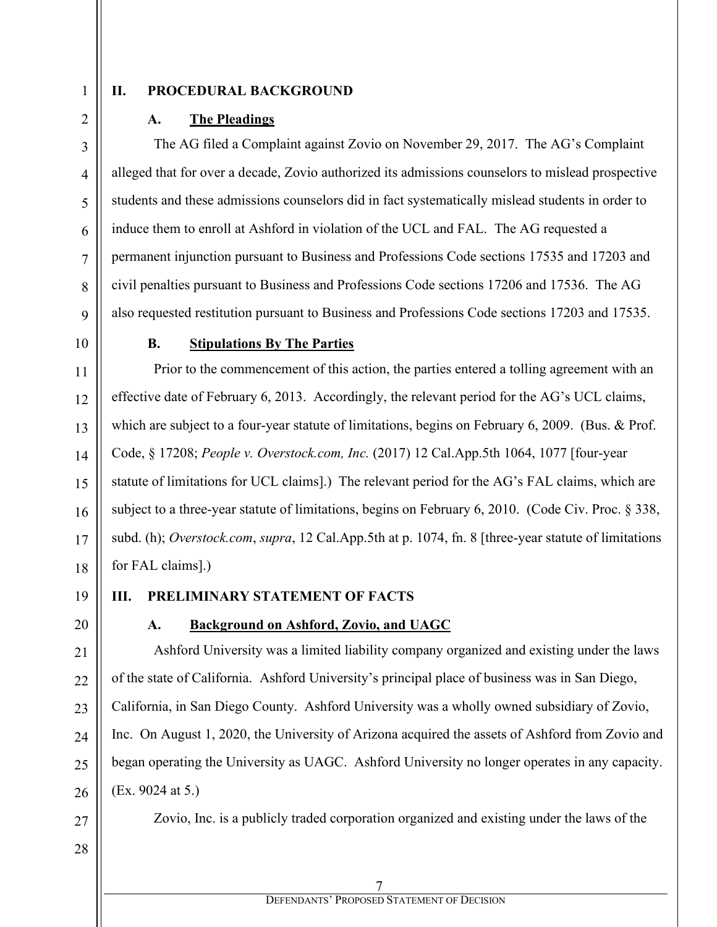1 2

3

4

5

6

7

8

9

10

11

12

13

14

15

16

17

18

## **II. PROCEDURAL BACKGROUND**

### **A. The Pleadings**

The AG filed a Complaint against Zovio on November 29, 2017. The AG's Complaint alleged that for over a decade, Zovio authorized its admissions counselors to mislead prospective students and these admissions counselors did in fact systematically mislead students in order to induce them to enroll at Ashford in violation of the UCL and FAL. The AG requested a permanent injunction pursuant to Business and Professions Code sections 17535 and 17203 and civil penalties pursuant to Business and Professions Code sections 17206 and 17536. The AG also requested restitution pursuant to Business and Professions Code sections 17203 and 17535.

#### **B. Stipulations By The Parties**

Prior to the commencement of this action, the parties entered a tolling agreement with an effective date of February 6, 2013. Accordingly, the relevant period for the AG's UCL claims, which are subject to a four-year statute of limitations, begins on February 6, 2009. (Bus. & Prof. Code, § 17208; *People v. Overstock.com, Inc.* (2017) 12 Cal.App.5th 1064, 1077 [four-year statute of limitations for UCL claims].) The relevant period for the AG's FAL claims, which are subject to a three-year statute of limitations, begins on February 6, 2010. (Code Civ. Proc. § 338, subd. (h); *Overstock.com*, *supra*, 12 Cal.App.5th at p. 1074, fn. 8 [three-year statute of limitations for FAL claims].)

19

20

21

22

23

 $24$ 

25

26

## **III. PRELIMINARY STATEMENT OF FACTS**

## **A. Background on Ashford, Zovio, and UAGC**

Ashford University was a limited liability company organized and existing under the laws of the state of California. Ashford University's principal place of business was in San Diego, California, in San Diego County. Ashford University was a wholly owned subsidiary of Zovio, Inc. On August 1, 2020, the University of Arizona acquired the assets of Ashford from Zovio and began operating the University as UAGC. Ashford University no longer operates in any capacity. (Ex. 9024 at 5.)

27 28 Zovio, Inc. is a publicly traded corporation organized and existing under the laws of the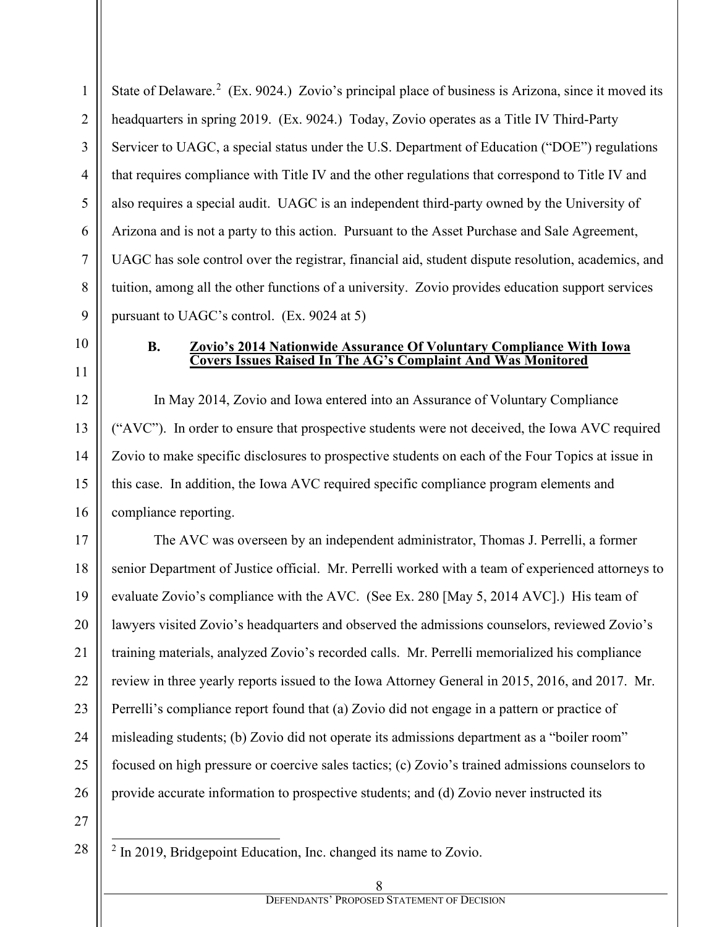9 State of Delaware.<sup>[2](#page-7-0)</sup> (Ex. 9024.) Zovio's principal place of business is Arizona, since it moved its headquarters in spring 2019. (Ex. 9024.) Today, Zovio operates as a Title IV Third-Party Servicer to UAGC, a special status under the U.S. Department of Education ("DOE") regulations that requires compliance with Title IV and the other regulations that correspond to Title IV and also requires a special audit. UAGC is an independent third-party owned by the University of Arizona and is not a party to this action. Pursuant to the Asset Purchase and Sale Agreement, UAGC has sole control over the registrar, financial aid, student dispute resolution, academics, and tuition, among all the other functions of a university. Zovio provides education support services pursuant to UAGC's control. (Ex. 9024 at 5)

1

2

3

4

5

6

7

8

10

11

12

13

14

15

16

#### **B. Zovio's 2014 Nationwide Assurance Of Voluntary Compliance With Iowa Covers Issues Raised In The AG's Complaint And Was Monitored**

In May 2014, Zovio and Iowa entered into an Assurance of Voluntary Compliance ("AVC"). In order to ensure that prospective students were not deceived, the Iowa AVC required Zovio to make specific disclosures to prospective students on each of the Four Topics at issue in this case. In addition, the Iowa AVC required specific compliance program elements and compliance reporting.

17 18 19 20 21 22 23 24 25 26 The AVC was overseen by an independent administrator, Thomas J. Perrelli, a former senior Department of Justice official. Mr. Perrelli worked with a team of experienced attorneys to evaluate Zovio's compliance with the AVC. (See Ex. 280 [May 5, 2014 AVC].) His team of lawyers visited Zovio's headquarters and observed the admissions counselors, reviewed Zovio's training materials, analyzed Zovio's recorded calls. Mr. Perrelli memorialized his compliance review in three yearly reports issued to the Iowa Attorney General in 2015, 2016, and 2017. Mr. Perrelli's compliance report found that (a) Zovio did not engage in a pattern or practice of misleading students; (b) Zovio did not operate its admissions department as a "boiler room" focused on high pressure or coercive sales tactics; (c) Zovio's trained admissions counselors to provide accurate information to prospective students; and (d) Zovio never instructed its

27

<span id="page-7-0"></span>28

<sup>2</sup> In 2019, Bridgepoint Education, Inc. changed its name to Zovio.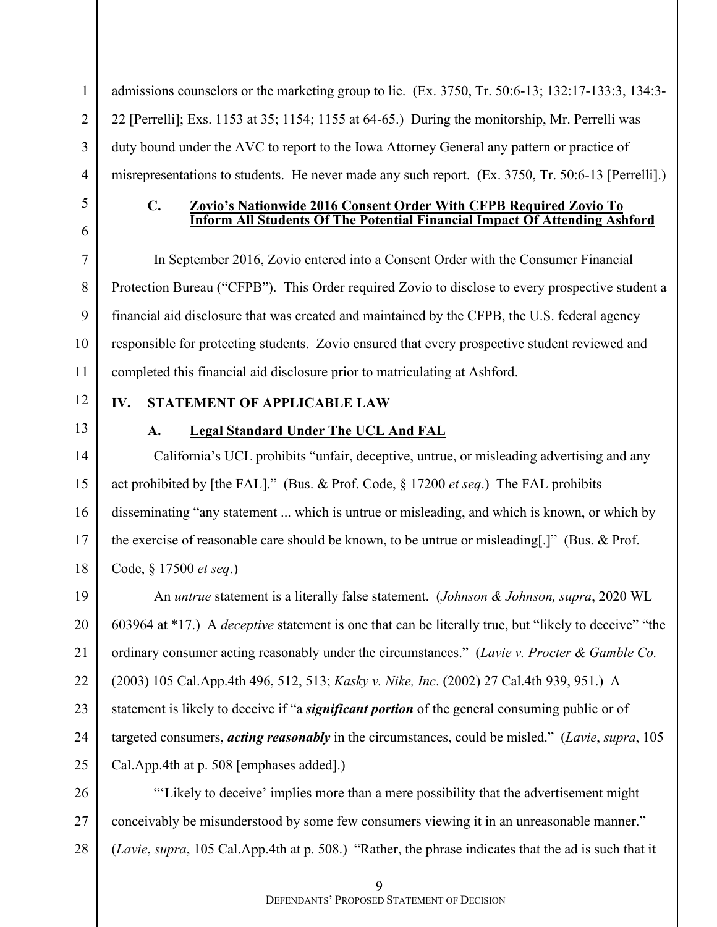admissions counselors or the marketing group to lie. (Ex. 3750, Tr. 50:6-13; 132:17-133:3, 134:3- 22 [Perrelli]; Exs. 1153 at 35; 1154; 1155 at 64-65.) During the monitorship, Mr. Perrelli was duty bound under the AVC to report to the Iowa Attorney General any pattern or practice of misrepresentations to students. He never made any such report. (Ex. 3750, Tr. 50:6-13 [Perrelli].)

#### **C. Zovio's Nationwide 2016 Consent Order With CFPB Required Zovio To Inform All Students Of The Potential Financial Impact Of Attending Ashford**

In September 2016, Zovio entered into a Consent Order with the Consumer Financial Protection Bureau ("CFPB"). This Order required Zovio to disclose to every prospective student a financial aid disclosure that was created and maintained by the CFPB, the U.S. federal agency responsible for protecting students. Zovio ensured that every prospective student reviewed and completed this financial aid disclosure prior to matriculating at Ashford.

# **IV. STATEMENT OF APPLICABLE LAW**

## **A. Legal Standard Under The UCL And FAL**

California's UCL prohibits "unfair, deceptive, untrue, or misleading advertising and any act prohibited by [the FAL]." (Bus. & Prof. Code, § 17200 *et seq*.) The FAL prohibits disseminating "any statement ... which is untrue or misleading, and which is known, or which by the exercise of reasonable care should be known, to be untrue or misleading[.]" (Bus. & Prof. Code, § 17500 *et seq*.)

An *untrue* statement is a literally false statement. (*Johnson & Johnson, supra*, 2020 WL 603964 at \*17.) A *deceptive* statement is one that can be literally true, but "likely to deceive" "the ordinary consumer acting reasonably under the circumstances." (*Lavie v. Procter & Gamble Co.* (2003) 105 Cal.App.4th 496, 512, 513; *Kasky v. Nike, Inc*. (2002) 27 Cal.4th 939, 951.) A statement is likely to deceive if "a *significant portion* of the general consuming public or of targeted consumers, *acting reasonably* in the circumstances, could be misled." (*Lavie*, *supra*, 105 Cal.App.4th at p. 508 [emphases added].)

"'Likely to deceive' implies more than a mere possibility that the advertisement might conceivably be misunderstood by some few consumers viewing it in an unreasonable manner." (*Lavie*, *supra*, 105 Cal.App.4th at p. 508.) "Rather, the phrase indicates that the ad is such that it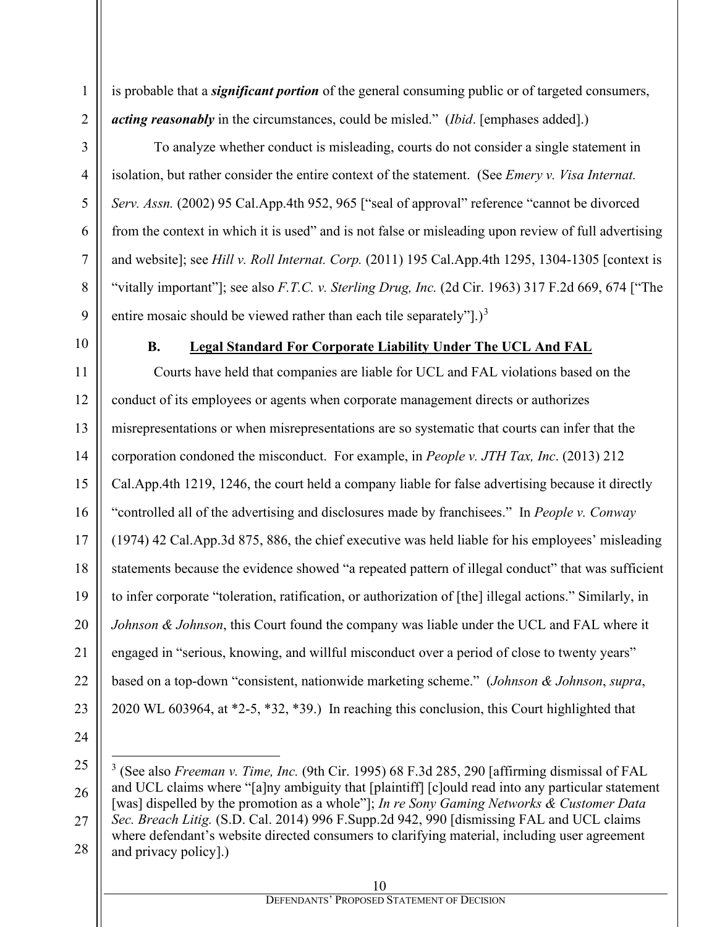is probable that a *significant portion* of the general consuming public or of targeted consumers, *acting reasonably* in the circumstances, could be misled." (*Ibid*. [emphases added].)

To analyze whether conduct is misleading, courts do not consider a single statement in isolation, but rather consider the entire context of the statement. (See *Emery v. Visa Internat. Serv. Assn.* (2002) 95 Cal.App.4th 952, 965 ["seal of approval" reference "cannot be divorced from the context in which it is used" and is not false or misleading upon review of full advertising and website]; see *Hill v. Roll Internat. Corp.* (2011) 195 Cal.App.4th 1295, 1304-1305 [context is "vitally important"]; see also *F.T.C. v. Sterling Drug, Inc.* (2d Cir. 1963) 317 F.2d 669, 674 ["The entire mosaic should be viewed rather than each tile separately".)<sup>[3](#page-9-0)</sup>

1

2

3

4

5

6

7

8

9

10

## **B. Legal Standard For Corporate Liability Under The UCL And FAL**

11 12 13 14 15 16 17 18 19 20 21 22 23 Courts have held that companies are liable for UCL and FAL violations based on the conduct of its employees or agents when corporate management directs or authorizes misrepresentations or when misrepresentations are so systematic that courts can infer that the corporation condoned the misconduct. For example, in *People v. JTH Tax, Inc*. (2013) 212 Cal.App.4th 1219, 1246, the court held a company liable for false advertising because it directly "controlled all of the advertising and disclosures made by franchisees." In *People v. Conway*  (1974) 42 Cal.App.3d 875, 886, the chief executive was held liable for his employees' misleading statements because the evidence showed "a repeated pattern of illegal conduct" that was sufficient to infer corporate "toleration, ratification, or authorization of [the] illegal actions." Similarly, in *Johnson & Johnson*, this Court found the company was liable under the UCL and FAL where it engaged in "serious, knowing, and willful misconduct over a period of close to twenty years" based on a top-down "consistent, nationwide marketing scheme." (*Johnson & Johnson*, *supra*, 2020 WL 603964, at \*2-5, \*32, \*39.) In reaching this conclusion, this Court highlighted that

<span id="page-9-0"></span><sup>26</sup> 27 28 <sup>3</sup> (See also *Freeman v. Time, Inc.* (9th Cir. 1995) 68 F.3d 285, 290 [affirming dismissal of FAL and UCL claims where "[a]ny ambiguity that [plaintiff] [c]ould read into any particular statement [was] dispelled by the promotion as a whole"]; *In re Sony Gaming Networks & Customer Data Sec. Breach Litig.* (S.D. Cal. 2014) 996 F.Supp.2d 942, 990 [dismissing FAL and UCL claims where defendant's website directed consumers to clarifying material, including user agreement and privacy policy].)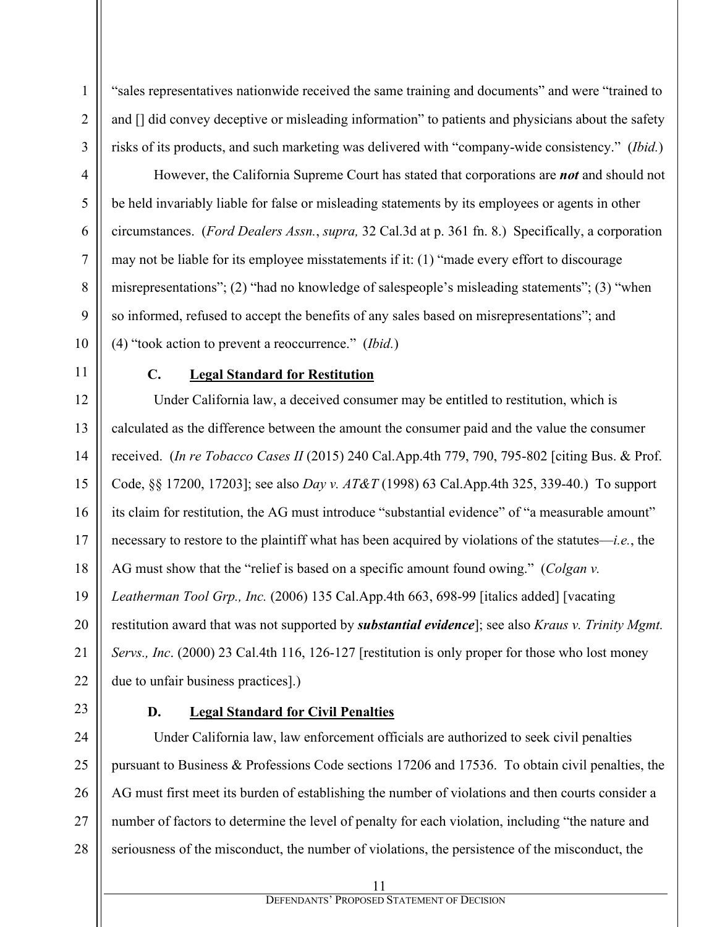1 2 3 4 5 6 "sales representatives nationwide received the same training and documents" and were "trained to and  $\iint$  did convey deceptive or misleading information" to patients and physicians about the safety risks of its products, and such marketing was delivered with "company-wide consistency." (*Ibid.*) However, the California Supreme Court has stated that corporations are *not* and should not be held invariably liable for false or misleading statements by its employees or agents in other circumstances. (*Ford Dealers Assn.*, *supra,* 32 Cal.3d at p. 361 fn. 8.) Specifically, a corporation

may not be liable for its employee misstatements if it: (1) "made every effort to discourage misrepresentations"; (2) "had no knowledge of salespeople's misleading statements"; (3) "when so informed, refused to accept the benefits of any sales based on misrepresentations"; and (4) "took action to prevent a reoccurrence." (*Ibid.*)

7

8

9

10

11

# **C. Legal Standard for Restitution**

12 13 14 15 16 17 18 19 20 21 22 Under California law, a deceived consumer may be entitled to restitution, which is calculated as the difference between the amount the consumer paid and the value the consumer received. (*In re Tobacco Cases II* (2015) 240 Cal.App.4th 779, 790, 795-802 [citing Bus. & Prof. Code, §§ 17200, 17203]; see also *Day v. AT&T* (1998) 63 Cal.App.4th 325, 339-40.) To support its claim for restitution, the AG must introduce "substantial evidence" of "a measurable amount" necessary to restore to the plaintiff what has been acquired by violations of the statutes—*i.e.*, the AG must show that the "relief is based on a specific amount found owing." (*Colgan v. Leatherman Tool Grp., Inc.* (2006) 135 Cal.App.4th 663, 698-99 [italics added] [vacating restitution award that was not supported by *substantial evidence*]; see also *Kraus v. Trinity Mgmt. Servs., Inc*. (2000) 23 Cal.4th 116, 126-127 [restitution is only proper for those who lost money due to unfair business practices].)

23

## **D. Legal Standard for Civil Penalties**

24 25 26 27 28 Under California law, law enforcement officials are authorized to seek civil penalties pursuant to Business & Professions Code sections 17206 and 17536. To obtain civil penalties, the AG must first meet its burden of establishing the number of violations and then courts consider a number of factors to determine the level of penalty for each violation, including "the nature and seriousness of the misconduct, the number of violations, the persistence of the misconduct, the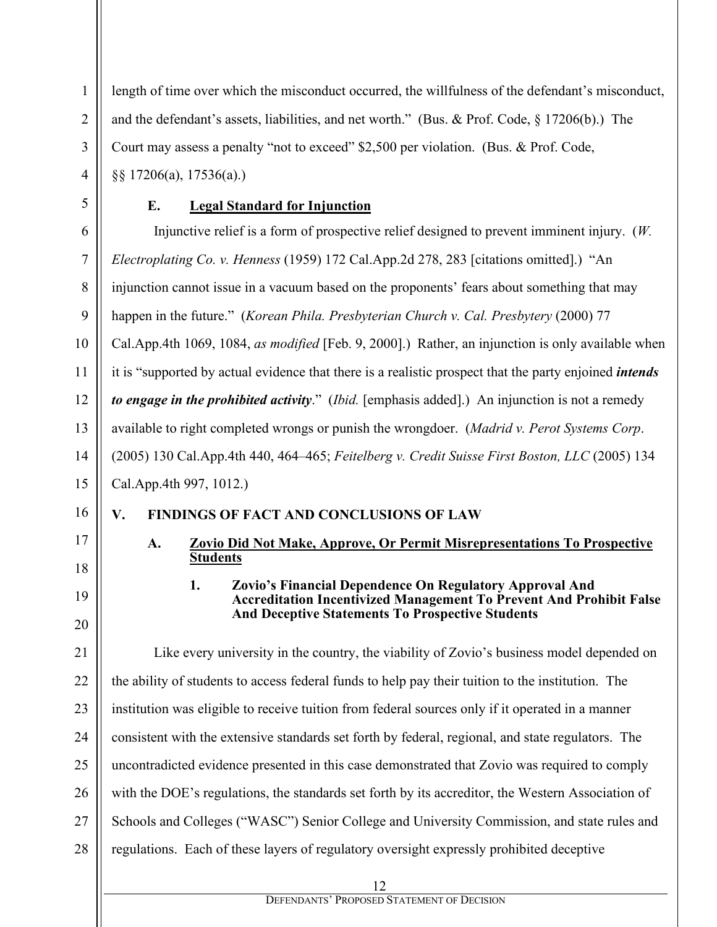length of time over which the misconduct occurred, the willfulness of the defendant's misconduct, and the defendant's assets, liabilities, and net worth." (Bus. & Prof. Code, § 17206(b).) The Court may assess a penalty "not to exceed" \$2,500 per violation. (Bus. & Prof. Code, §§ 17206(a), 17536(a).)

1

2

3

4

5

6

7

11

## **E. Legal Standard for Injunction**

8 9 10 12 13 14 15 Injunctive relief is a form of prospective relief designed to prevent imminent injury. (*W. Electroplating Co. v. Henness* (1959) 172 Cal.App.2d 278, 283 [citations omitted].) "An injunction cannot issue in a vacuum based on the proponents' fears about something that may happen in the future." (*Korean Phila. Presbyterian Church v. Cal. Presbytery* (2000) 77 Cal.App.4th 1069, 1084, *as modified* [Feb. 9, 2000].) Rather, an injunction is only available when it is "supported by actual evidence that there is a realistic prospect that the party enjoined *intends to engage in the prohibited activity*." (*Ibid.* [emphasis added].) An injunction is not a remedy available to right completed wrongs or punish the wrongdoer. (*Madrid v. Perot Systems Corp*. (2005) 130 Cal.App.4th 440, 464–465; *Feitelberg v. Credit Suisse First Boston, LLC* (2005) 134 Cal.App.4th 997, 1012.)

#### 16 **V. FINDINGS OF FACT AND CONCLUSIONS OF LAW**

17

18

19

20

## **A. Zovio Did Not Make, Approve, Or Permit Misrepresentations To Prospective Students**

## **1. Zovio's Financial Dependence On Regulatory Approval And Accreditation Incentivized Management To Prevent And Prohibit False And Deceptive Statements To Prospective Students**

21 22 23 24 25 26 27 28 Like every university in the country, the viability of Zovio's business model depended on the ability of students to access federal funds to help pay their tuition to the institution. The institution was eligible to receive tuition from federal sources only if it operated in a manner consistent with the extensive standards set forth by federal, regional, and state regulators. The uncontradicted evidence presented in this case demonstrated that Zovio was required to comply with the DOE's regulations, the standards set forth by its accreditor, the Western Association of Schools and Colleges ("WASC") Senior College and University Commission, and state rules and regulations. Each of these layers of regulatory oversight expressly prohibited deceptive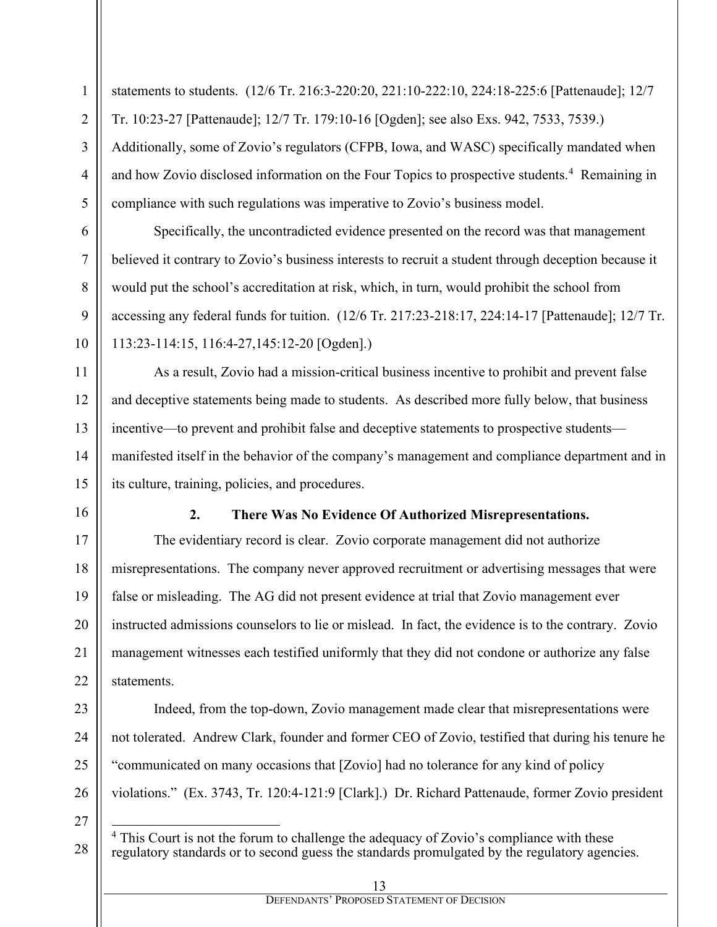statements to students. (12/6 Tr. 216:3-220:20, 221:10-222:10, 224:18-225:6 [Pattenaude]; 12/7 Tr. 10:23-27 [Pattenaude]; 12/7 Tr. 179:10-16 [Ogden]; see also Exs. 942, 7533, 7539.) Additionally, some of Zovio's regulators (CFPB, Iowa, and WASC) specifically mandated when and how Zovio disclosed information on the Four Topics to prospective students.<sup>[4](#page-12-0)</sup> Remaining in compliance with such regulations was imperative to Zovio's business model.

Specifically, the uncontradicted evidence presented on the record was that management believed it contrary to Zovio's business interests to recruit a student through deception because it would put the school's accreditation at risk, which, in turn, would prohibit the school from accessing any federal funds for tuition. (12/6 Tr. 217:23-218:17, 224:14-17 [Pattenaude]; 12/7 Tr. 113:23-114:15, 116:4-27,145:12-20 [Ogden].)

As a result, Zovio had a mission-critical business incentive to prohibit and prevent false and deceptive statements being made to students. As described more fully below, that business incentive—to prevent and prohibit false and deceptive statements to prospective students manifested itself in the behavior of the company's management and compliance department and in its culture, training, policies, and procedures.

16

1

2

3

4

5

6

7

8

9

10

11

12

13

14

15

17

18

19

20

21

22

23

24

25

<span id="page-12-0"></span>26

#### **2. There Was No Evidence Of Authorized Misrepresentations.**

The evidentiary record is clear. Zovio corporate management did not authorize misrepresentations. The company never approved recruitment or advertising messages that were false or misleading. The AG did not present evidence at trial that Zovio management ever instructed admissions counselors to lie or mislead. In fact, the evidence is to the contrary. Zovio management witnesses each testified uniformly that they did not condone or authorize any false statements.

Indeed, from the top-down, Zovio management made clear that misrepresentations were not tolerated. Andrew Clark, founder and former CEO of Zovio, testified that during his tenure he "communicated on many occasions that [Zovio] had no tolerance for any kind of policy violations." (Ex. 3743, Tr. 120:4-121:9 [Clark].) Dr. Richard Pattenaude, former Zovio president

 $4$  This Court is not the forum to challenge the adequacy of Zovio's compliance with these regulatory standards or to second guess the standards promulgated by the regulatory agencies.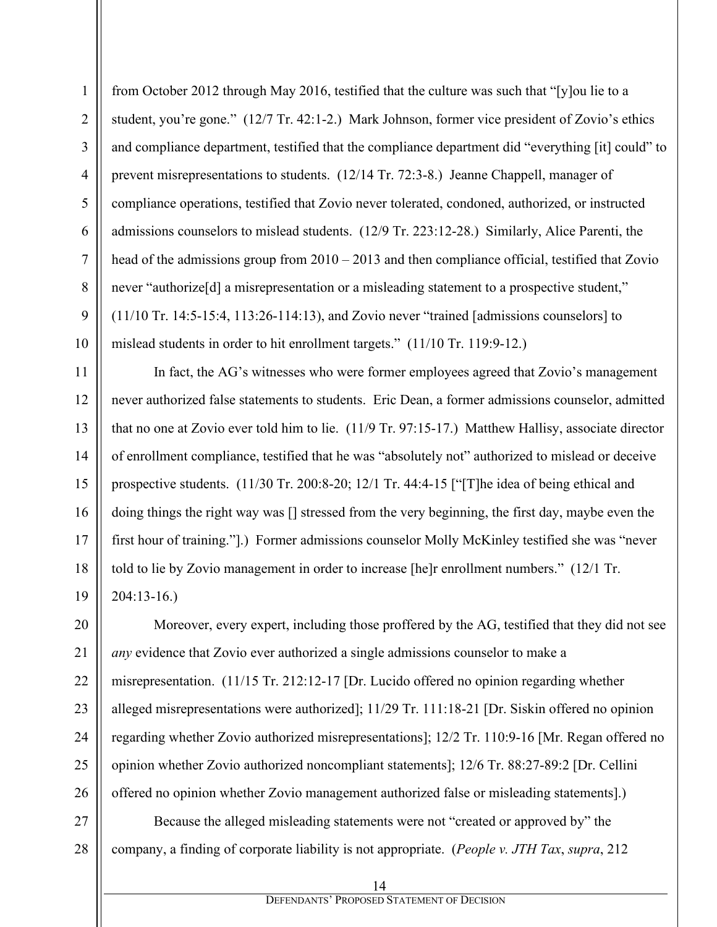from October 2012 through May 2016, testified that the culture was such that "[y]ou lie to a student, you're gone." (12/7 Tr. 42:1-2.) Mark Johnson, former vice president of Zovio's ethics and compliance department, testified that the compliance department did "everything [it] could" to prevent misrepresentations to students. (12/14 Tr. 72:3-8.) Jeanne Chappell, manager of compliance operations, testified that Zovio never tolerated, condoned, authorized, or instructed admissions counselors to mislead students. (12/9 Tr. 223:12-28.) Similarly, Alice Parenti, the head of the admissions group from  $2010 - 2013$  and then compliance official, testified that Zovio never "authorize<sup>[d]</sup> a misrepresentation or a misleading statement to a prospective student," (11/10 Tr. 14:5-15:4, 113:26-114:13), and Zovio never "trained [admissions counselors] to mislead students in order to hit enrollment targets." (11/10 Tr. 119:9-12.)

1

2

3

4

5

6

7

8

9

10

11

12

13

14

15

16

17

18

19

20

21

22

23

24

25

26

In fact, the AG's witnesses who were former employees agreed that Zovio's management never authorized false statements to students. Eric Dean, a former admissions counselor, admitted that no one at Zovio ever told him to lie. (11/9 Tr. 97:15-17.) Matthew Hallisy, associate director of enrollment compliance, testified that he was "absolutely not" authorized to mislead or deceive prospective students. (11/30 Tr. 200:8-20; 12/1 Tr. 44:4-15 ["[T]he idea of being ethical and doing things the right way was [] stressed from the very beginning, the first day, maybe even the first hour of training."].) Former admissions counselor Molly McKinley testified she was "never told to lie by Zovio management in order to increase [he]r enrollment numbers." (12/1 Tr. 204:13-16.)

Moreover, every expert, including those proffered by the AG, testified that they did not see *any* evidence that Zovio ever authorized a single admissions counselor to make a misrepresentation. (11/15 Tr. 212:12-17 [Dr. Lucido offered no opinion regarding whether alleged misrepresentations were authorized]; 11/29 Tr. 111:18-21 [Dr. Siskin offered no opinion regarding whether Zovio authorized misrepresentations]; 12/2 Tr. 110:9-16 [Mr. Regan offered no opinion whether Zovio authorized noncompliant statements]; 12/6 Tr. 88:27-89:2 [Dr. Cellini offered no opinion whether Zovio management authorized false or misleading statements].)

27 28 Because the alleged misleading statements were not "created or approved by" the company, a finding of corporate liability is not appropriate. (*People v. JTH Tax*, *supra*, 212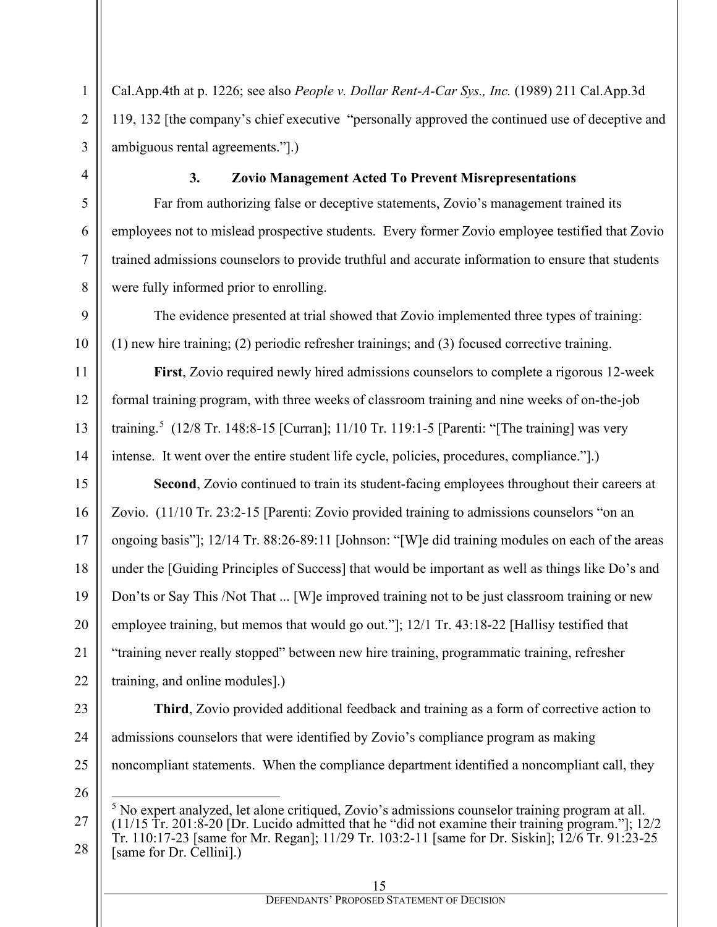Cal.App.4th at p. 1226; see also *People v. Dollar Rent-A-Car Sys., Inc.* (1989) 211 Cal.App.3d 119, 132 [the company's chief executive "personally approved the continued use of deceptive and ambiguous rental agreements."].)

### **3. Zovio Management Acted To Prevent Misrepresentations**

Far from authorizing false or deceptive statements, Zovio's management trained its employees not to mislead prospective students. Every former Zovio employee testified that Zovio trained admissions counselors to provide truthful and accurate information to ensure that students were fully informed prior to enrolling.

The evidence presented at trial showed that Zovio implemented three types of training: (1) new hire training; (2) periodic refresher trainings; and (3) focused corrective training.

**First**, Zovio required newly hired admissions counselors to complete a rigorous 12-week formal training program, with three weeks of classroom training and nine weeks of on-the-job training.<sup>[5](#page-14-0)</sup> (12/8 Tr. 148:8-15 [Curran]; 11/10 Tr. 119:1-5 [Parenti: "[The training] was very intense. It went over the entire student life cycle, policies, procedures, compliance."].)

**Second**, Zovio continued to train its student-facing employees throughout their careers at Zovio. (11/10 Tr. 23:2-15 [Parenti: Zovio provided training to admissions counselors "on an ongoing basis"]; 12/14 Tr. 88:26-89:11 [Johnson: "[W]e did training modules on each of the areas under the [Guiding Principles of Success] that would be important as well as things like Do's and Don'ts or Say This /Not That ... [W]e improved training not to be just classroom training or new employee training, but memos that would go out."]; 12/1 Tr. 43:18-22 [Hallisy testified that "training never really stopped" between new hire training, programmatic training, refresher training, and online modules].)

**Third**, Zovio provided additional feedback and training as a form of corrective action to

noncompliant statements. When the compliance department identified a noncompliant call, they

admissions counselors that were identified by Zovio's compliance program as making

<span id="page-14-0"></span><sup>5</sup> No expert analyzed, let alone critiqued, Zovio's admissions counselor training program at all. (11/15 Tr. 201:8-20 [Dr. Lucido admitted that he "did not examine their training program."]; 12/2 Tr. 110:17-23 [same for Mr. Regan]; 11/29 Tr. 103:2-11 [same for Dr. Siskin]; 12/6 Tr. 91:23-25 [same for Dr. Cellini].)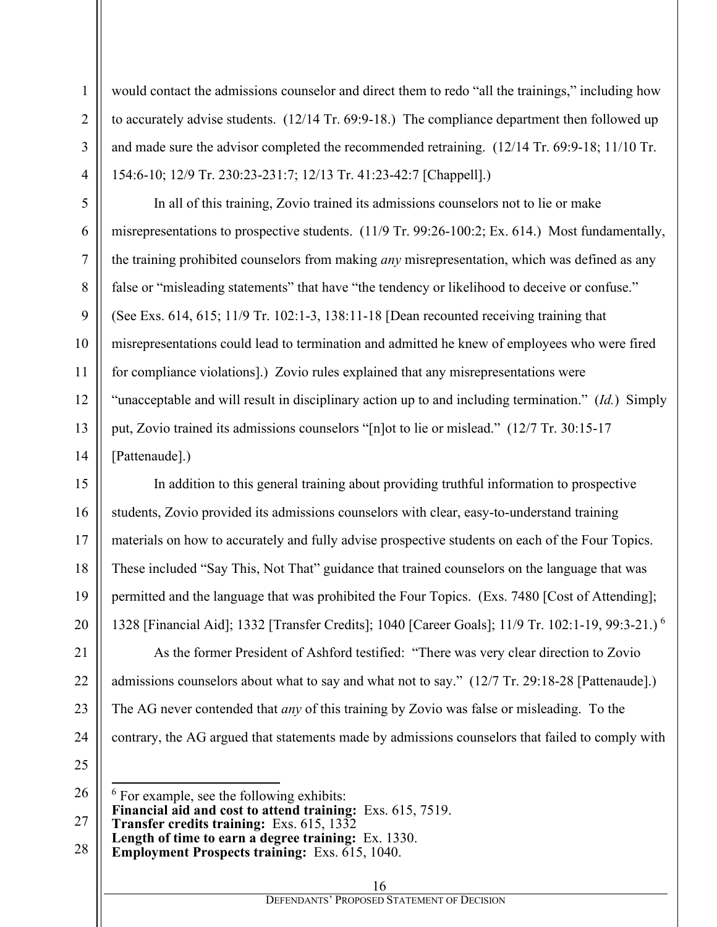would contact the admissions counselor and direct them to redo "all the trainings," including how to accurately advise students. (12/14 Tr. 69:9-18.) The compliance department then followed up and made sure the advisor completed the recommended retraining. (12/14 Tr. 69:9-18; 11/10 Tr. 154:6-10; 12/9 Tr. 230:23-231:7; 12/13 Tr. 41:23-42:7 [Chappell].)

In all of this training, Zovio trained its admissions counselors not to lie or make misrepresentations to prospective students. (11/9 Tr. 99:26-100:2; Ex. 614.) Most fundamentally, the training prohibited counselors from making *any* misrepresentation, which was defined as any false or "misleading statements" that have "the tendency or likelihood to deceive or confuse." (See Exs. 614, 615; 11/9 Tr. 102:1-3, 138:11-18 [Dean recounted receiving training that misrepresentations could lead to termination and admitted he knew of employees who were fired for compliance violations].) Zovio rules explained that any misrepresentations were "unacceptable and will result in disciplinary action up to and including termination." (*Id.*) Simply put, Zovio trained its admissions counselors "[n]ot to lie or mislead." (12/7 Tr. 30:15-17 [Pattenaude].)

In addition to this general training about providing truthful information to prospective students, Zovio provided its admissions counselors with clear, easy-to-understand training materials on how to accurately and fully advise prospective students on each of the Four Topics. These included "Say This, Not That" guidance that trained counselors on the language that was permitted and the language that was prohibited the Four Topics. (Exs. 7480 [Cost of Attending]; 1328 [Financial Aid]; 1332 [Transfer Credits]; 1040 [Career Goals]; 11/9 Tr. 102:1-19, 99:3-21.) [6](#page-15-0)

As the former President of Ashford testified: "There was very clear direction to Zovio admissions counselors about what to say and what not to say." (12/7 Tr. 29:18-28 [Pattenaude].) The AG never contended that *any* of this training by Zovio was false or misleading. To the contrary, the AG argued that statements made by admissions counselors that failed to comply with

<span id="page-15-0"></span> $6$  For example, see the following exhibits: **Financial aid and cost to attend training:** Exs. 615, 7519. **Transfer credits training:** Exs. 615, 1332 **Length of time to earn a degree training:** Ex. 1330.

**Employment Prospects training:** Exs. 615, 1040.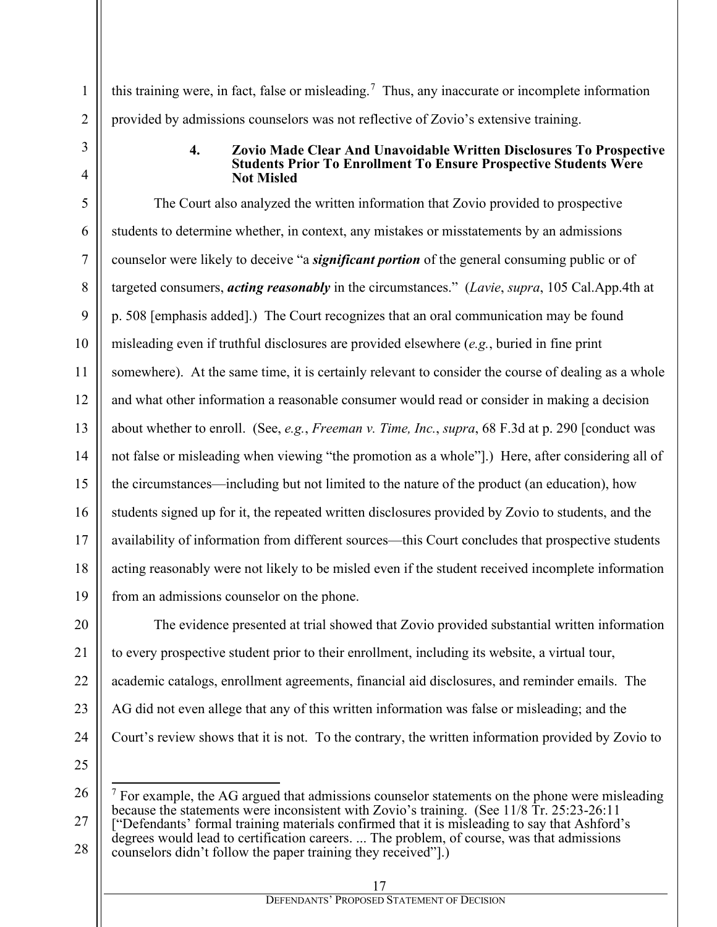this training were, in fact, false or misleading.<sup>[7](#page-16-0)</sup> Thus, any inaccurate or incomplete information provided by admissions counselors was not reflective of Zovio's extensive training.

#### **4. Zovio Made Clear And Unavoidable Written Disclosures To Prospective Students Prior To Enrollment To Ensure Prospective Students Were Not Misled**

The Court also analyzed the written information that Zovio provided to prospective students to determine whether, in context, any mistakes or misstatements by an admissions counselor were likely to deceive "a *significant portion* of the general consuming public or of targeted consumers, *acting reasonably* in the circumstances." (*Lavie*, *supra*, 105 Cal.App.4th at p. 508 [emphasis added].) The Court recognizes that an oral communication may be found misleading even if truthful disclosures are provided elsewhere (*e.g.*, buried in fine print somewhere). At the same time, it is certainly relevant to consider the course of dealing as a whole and what other information a reasonable consumer would read or consider in making a decision about whether to enroll. (See, *e.g.*, *Freeman v. Time, Inc.*, *supra*, 68 F.3d at p. 290 [conduct was not false or misleading when viewing "the promotion as a whole"].) Here, after considering all of the circumstances—including but not limited to the nature of the product (an education), how students signed up for it, the repeated written disclosures provided by Zovio to students, and the availability of information from different sources—this Court concludes that prospective students acting reasonably were not likely to be misled even if the student received incomplete information from an admissions counselor on the phone.

The evidence presented at trial showed that Zovio provided substantial written information to every prospective student prior to their enrollment, including its website, a virtual tour, academic catalogs, enrollment agreements, financial aid disclosures, and reminder emails.The AG did not even allege that any of this written information was false or misleading; and the Court's review shows that it is not. To the contrary, the written information provided by Zovio to

<span id="page-16-0"></span> $<sup>7</sup>$  For example, the AG argued that admissions counselor statements on the phone were misleading</sup> because the statements were inconsistent with Zovio's training. (See 11/8 Tr. 25:23-26:11 ["Defendants' formal training materials confirmed that it is misleading to say that Ashford's degrees would lead to certification careers. ... The problem, of course, was that admissions counselors didn't follow the paper training they received"].)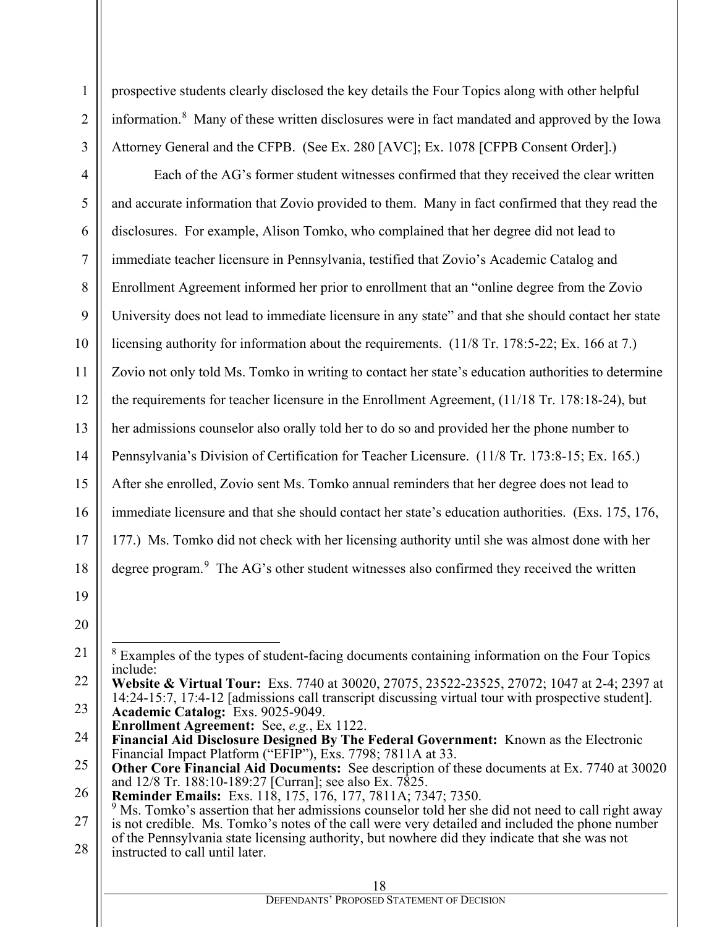prospective students clearly disclosed the key details the Four Topics along with other helpful information.<sup>[8](#page-17-0)</sup> Many of these written disclosures were in fact mandated and approved by the Iowa Attorney General and the CFPB. (See Ex. 280 [AVC]; Ex. 1078 [CFPB Consent Order].)

4 5 6 7 8 9 10 11 12 13 14 15 16 17 18 19 20 21 Each of the AG's former student witnesses confirmed that they received the clear written and accurate information that Zovio provided to them. Many in fact confirmed that they read the disclosures. For example, Alison Tomko, who complained that her degree did not lead to immediate teacher licensure in Pennsylvania, testified that Zovio's Academic Catalog and Enrollment Agreement informed her prior to enrollment that an "online degree from the Zovio University does not lead to immediate licensure in any state" and that she should contact her state licensing authority for information about the requirements. (11/8 Tr. 178:5-22; Ex. 166 at 7.) Zovio not only told Ms. Tomko in writing to contact her state's education authorities to determine the requirements for teacher licensure in the Enrollment Agreement, (11/18 Tr. 178:18-24), but her admissions counselor also orally told her to do so and provided her the phone number to Pennsylvania's Division of Certification for Teacher Licensure. (11/8 Tr. 173:8-15; Ex. 165.) After she enrolled, Zovio sent Ms. Tomko annual reminders that her degree does not lead to immediate licensure and that she should contact her state's education authorities. (Exs. 175, 176, 177.) Ms. Tomko did not check with her licensing authority until she was almost done with her degree program. $9$  The AG's other student witnesses also confirmed they received the written <sup>8</sup> Examples of the types of student-facing documents containing information on the Four Topics include:

<span id="page-17-0"></span>22 23 **Website & Virtual Tour:** Exs. 7740 at 30020, 27075, 23522-23525, 27072; 1047 at 2-4; 2397 at 14:24-15:7, 17:4-12 [admissions call transcript discussing virtual tour with prospective student]. **Academic Catalog:** Exs. 9025-9049.

**Enrollment Agreement:** See, *e.g.*, Ex 1122.

1

2

<sup>24</sup> **Financial Aid Disclosure Designed By The Federal Government:** Known as the Electronic Financial Impact Platform ("EFIP"), Exs. 7798; 7811A at 33.

<sup>25</sup> **Other Core Financial Aid Documents:** See description of these documents at Ex. 7740 at 30020 and 12/8 Tr. 188:10-189:27 [Curran]; see also Ex. 7825.

<sup>26</sup> **Reminder Emails:** Exs. 118, 175, 176, 177, 7811A; 7347; 7350.

<span id="page-17-1"></span><sup>27</sup> 28 <sup>9</sup> Ms. Tomko's assertion that her admissions counselor told her she did not need to call right away is not credible. Ms. Tomko's notes of the call were very detailed and included the phone number of the Pennsylvania state licensing authority, but nowhere did they indicate that she was not instructed to call until later.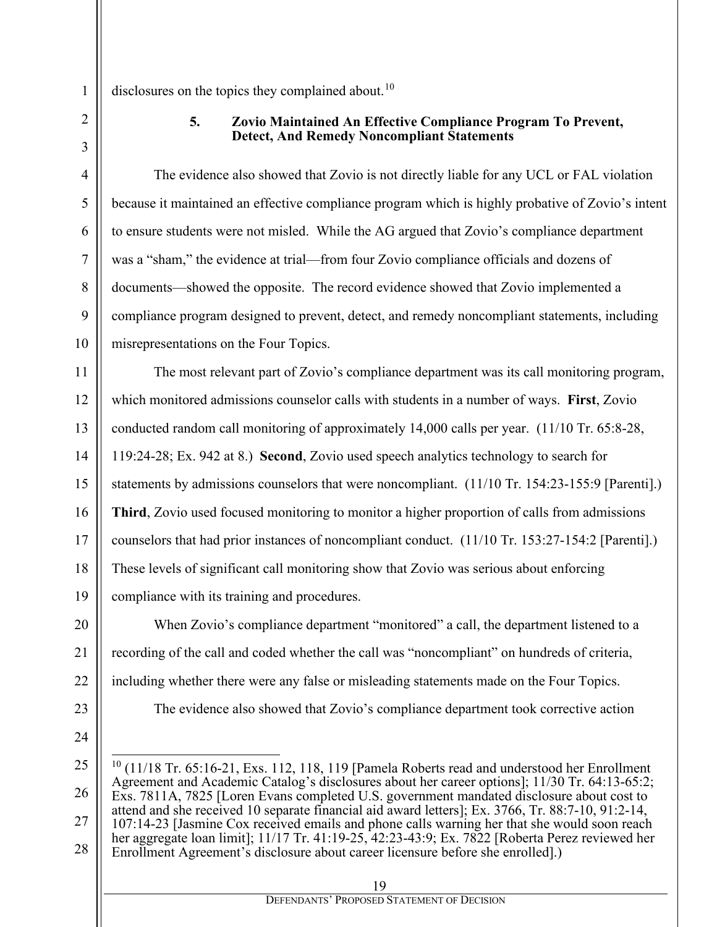disclosures on the topics they complained about.<sup>10</sup>

1

2

3

4

5

6

7

8

9

10

11

12

13

15

17

19

20

21

22

23

#### **5. Zovio Maintained An Effective Compliance Program To Prevent, Detect, And Remedy Noncompliant Statements**

The evidence also showed that Zovio is not directly liable for any UCL or FAL violation because it maintained an effective compliance program which is highly probative of Zovio's intent to ensure students were not misled. While the AG argued that Zovio's compliance department was a "sham," the evidence at trial—from four Zovio compliance officials and dozens of documents—showed the opposite. The record evidence showed that Zovio implemented a compliance program designed to prevent, detect, and remedy noncompliant statements, including misrepresentations on the Four Topics.

14 16 18 The most relevant part of Zovio's compliance department was its call monitoring program, which monitored admissions counselor calls with students in a number of ways. **First**, Zovio conducted random call monitoring of approximately 14,000 calls per year. (11/10 Tr. 65:8-28, 119:24-28; Ex. 942 at 8.) **Second**, Zovio used speech analytics technology to search for statements by admissions counselors that were noncompliant. (11/10 Tr. 154:23-155:9 [Parenti].) **Third**, Zovio used focused monitoring to monitor a higher proportion of calls from admissions counselors that had prior instances of noncompliant conduct. (11/10 Tr. 153:27-154:2 [Parenti].) These levels of significant call monitoring show that Zovio was serious about enforcing compliance with its training and procedures.

When Zovio's compliance department "monitored" a call, the department listened to a recording of the call and coded whether the call was "noncompliant" on hundreds of criteria, including whether there were any false or misleading statements made on the Four Topics.

The evidence also showed that Zovio's compliance department took corrective action

24

DEFENDANTS' PROPOSED STATEMENT OF DECISION

<span id="page-18-0"></span><sup>25</sup> 26 27 28  $10$  (11/18 Tr. 65:16-21, Exs. 112, 118, 119 [Pamela Roberts read and understood her Enrollment Agreement and Academic Catalog's disclosures about her career options]; 11/30 Tr. 64:13-65:2; Exs. 7811A, 7825 [Loren Evans completed U.S. government mandated disclosure about cost to attend and she received 10 separate financial aid award letters]; Ex. 3766, Tr. 88:7-10, 91:2-14, 107:14-23 [Jasmine Cox received emails and phone calls warning her that she would soon reach her aggregate loan limit]; 11/17 Tr. 41:19-25, 42:23-43:9; Ex. 7822 [Roberta Perez reviewed her Enrollment Agreement's disclosure about career licensure before she enrolled].)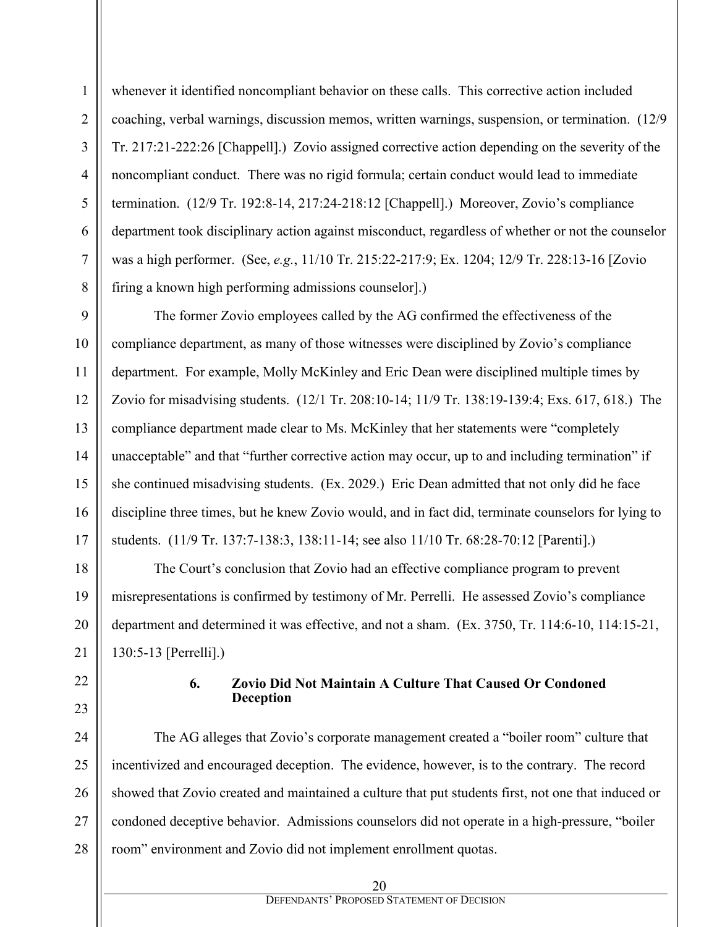whenever it identified noncompliant behavior on these calls. This corrective action included coaching, verbal warnings, discussion memos, written warnings, suspension, or termination. (12/9 Tr. 217:21-222:26 [Chappell].) Zovio assigned corrective action depending on the severity of the noncompliant conduct. There was no rigid formula; certain conduct would lead to immediate termination. (12/9 Tr. 192:8-14, 217:24-218:12 [Chappell].) Moreover, Zovio's compliance department took disciplinary action against misconduct, regardless of whether or not the counselor was a high performer. (See, *e.g.*, 11/10 Tr. 215:22-217:9; Ex. 1204; 12/9 Tr. 228:13-16 [Zovio firing a known high performing admissions counselor].)

The former Zovio employees called by the AG confirmed the effectiveness of the compliance department, as many of those witnesses were disciplined by Zovio's compliance department. For example, Molly McKinley and Eric Dean were disciplined multiple times by Zovio for misadvising students. (12/1 Tr. 208:10-14; 11/9 Tr. 138:19-139:4; Exs. 617, 618.) The compliance department made clear to Ms. McKinley that her statements were "completely unacceptable" and that "further corrective action may occur, up to and including termination" if she continued misadvising students. (Ex. 2029.) Eric Dean admitted that not only did he face discipline three times, but he knew Zovio would, and in fact did, terminate counselors for lying to students. (11/9 Tr. 137:7-138:3, 138:11-14; see also 11/10 Tr. 68:28-70:12 [Parenti].)

The Court's conclusion that Zovio had an effective compliance program to prevent misrepresentations is confirmed by testimony of Mr. Perrelli. He assessed Zovio's compliance department and determined it was effective, and not a sham. (Ex. 3750, Tr. 114:6-10, 114:15-21, 130:5-13 [Perrelli].)

#### **6. Zovio Did Not Maintain A Culture That Caused Or Condoned Deception**

The AG alleges that Zovio's corporate management created a "boiler room" culture that incentivized and encouraged deception. The evidence, however, is to the contrary. The record showed that Zovio created and maintained a culture that put students first, not one that induced or condoned deceptive behavior. Admissions counselors did not operate in a high-pressure, "boiler room" environment and Zovio did not implement enrollment quotas.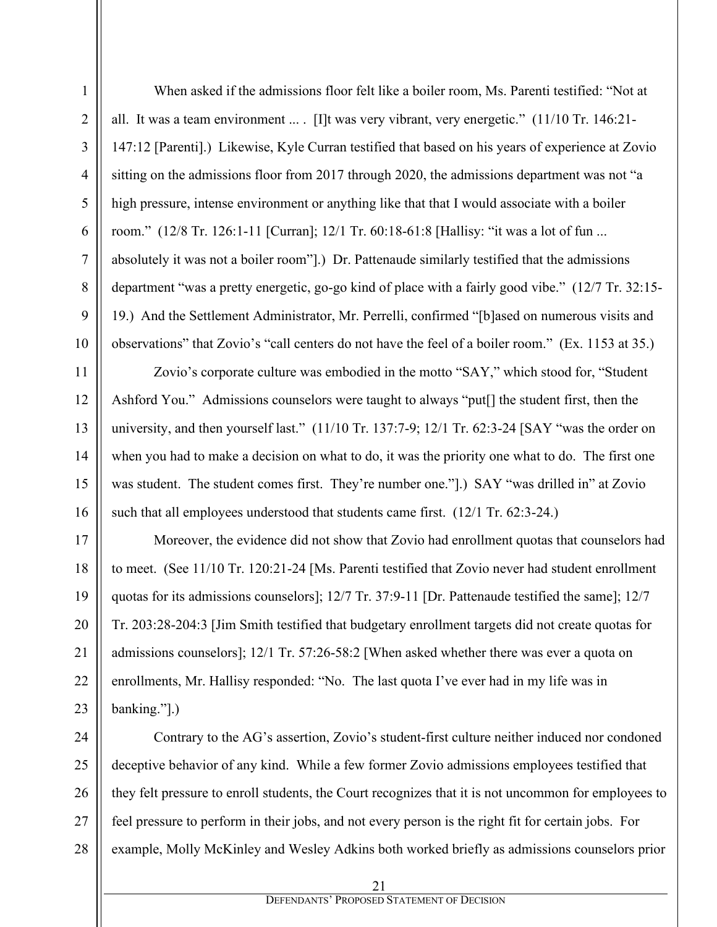When asked if the admissions floor felt like a boiler room, Ms. Parenti testified: "Not at all. It was a team environment ... . [I]t was very vibrant, very energetic."  $(11/10 \text{ Tr. } 146:21$ -147:12 [Parenti].) Likewise, Kyle Curran testified that based on his years of experience at Zovio sitting on the admissions floor from 2017 through 2020, the admissions department was not "a high pressure, intense environment or anything like that that I would associate with a boiler room." (12/8 Tr. 126:1-11 [Curran]; 12/1 Tr. 60:18-61:8 [Hallisy: "it was a lot of fun ... absolutely it was not a boiler room"].) Dr. Pattenaude similarly testified that the admissions department "was a pretty energetic, go-go kind of place with a fairly good vibe." (12/7 Tr. 32:15- 19.) And the Settlement Administrator, Mr. Perrelli, confirmed "[b]ased on numerous visits and observations" that Zovio's "call centers do not have the feel of a boiler room." (Ex. 1153 at 35.)

Zovio's corporate culture was embodied in the motto "SAY," which stood for, "Student Ashford You." Admissions counselors were taught to always "put[] the student first, then the university, and then yourself last." (11/10 Tr. 137:7-9; 12/1 Tr. 62:3-24 [SAY "was the order on when you had to make a decision on what to do, it was the priority one what to do. The first one was student. The student comes first. They're number one."[1] SAY "was drilled in" at Zovio such that all employees understood that students came first. (12/1 Tr. 62:3-24.)

Moreover, the evidence did not show that Zovio had enrollment quotas that counselors had to meet. (See 11/10 Tr. 120:21-24 [Ms. Parenti testified that Zovio never had student enrollment quotas for its admissions counselors]; 12/7 Tr. 37:9-11 [Dr. Pattenaude testified the same]; 12/7 Tr. 203:28-204:3 [Jim Smith testified that budgetary enrollment targets did not create quotas for admissions counselors]; 12/1 Tr. 57:26-58:2 [When asked whether there was ever a quota on enrollments, Mr. Hallisy responded: "No. The last quota I've ever had in my life was in banking."].)

Contrary to the AG's assertion, Zovio's student-first culture neither induced nor condoned deceptive behavior of any kind. While a few former Zovio admissions employees testified that they felt pressure to enroll students, the Court recognizes that it is not uncommon for employees to feel pressure to perform in their jobs, and not every person is the right fit for certain jobs. For example, Molly McKinley and Wesley Adkins both worked briefly as admissions counselors prior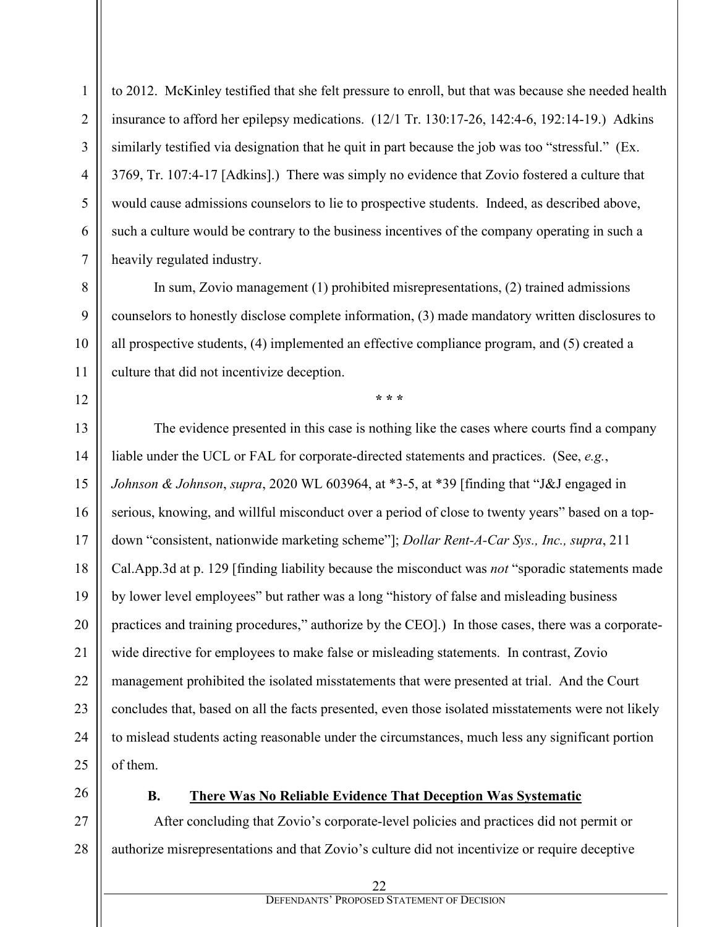to 2012. McKinley testified that she felt pressure to enroll, but that was because she needed health insurance to afford her epilepsy medications. (12/1 Tr. 130:17-26, 142:4-6, 192:14-19.) Adkins similarly testified via designation that he quit in part because the job was too "stressful." (Ex. 3769, Tr. 107:4-17 [Adkins].) There was simply no evidence that Zovio fostered a culture that would cause admissions counselors to lie to prospective students. Indeed, as described above, such a culture would be contrary to the business incentives of the company operating in such a heavily regulated industry.

In sum, Zovio management (1) prohibited misrepresentations, (2) trained admissions counselors to honestly disclose complete information, (3) made mandatory written disclosures to all prospective students, (4) implemented an effective compliance program, and (5) created a culture that did not incentivize deception.

**\* \* \***

The evidence presented in this case is nothing like the cases where courts find a company liable under the UCL or FAL for corporate-directed statements and practices. (See, *e.g.*, *Johnson & Johnson*, *supra*, 2020 WL 603964, at \*3-5, at \*39 [finding that "J&J engaged in serious, knowing, and willful misconduct over a period of close to twenty years" based on a topdown "consistent, nationwide marketing scheme"]; *Dollar Rent-A-Car Sys., Inc., supra*, 211 Cal.App.3d at p. 129 [finding liability because the misconduct was *not* "sporadic statements made by lower level employees" but rather was a long "history of false and misleading business practices and training procedures," authorize by the CEO].) In those cases, there was a corporatewide directive for employees to make false or misleading statements. In contrast, Zovio management prohibited the isolated misstatements that were presented at trial. And the Court concludes that, based on all the facts presented, even those isolated misstatements were not likely to mislead students acting reasonable under the circumstances, much less any significant portion of them.

## **B. There Was No Reliable Evidence That Deception Was Systematic**

After concluding that Zovio's corporate-level policies and practices did not permit or authorize misrepresentations and that Zovio's culture did not incentivize or require deceptive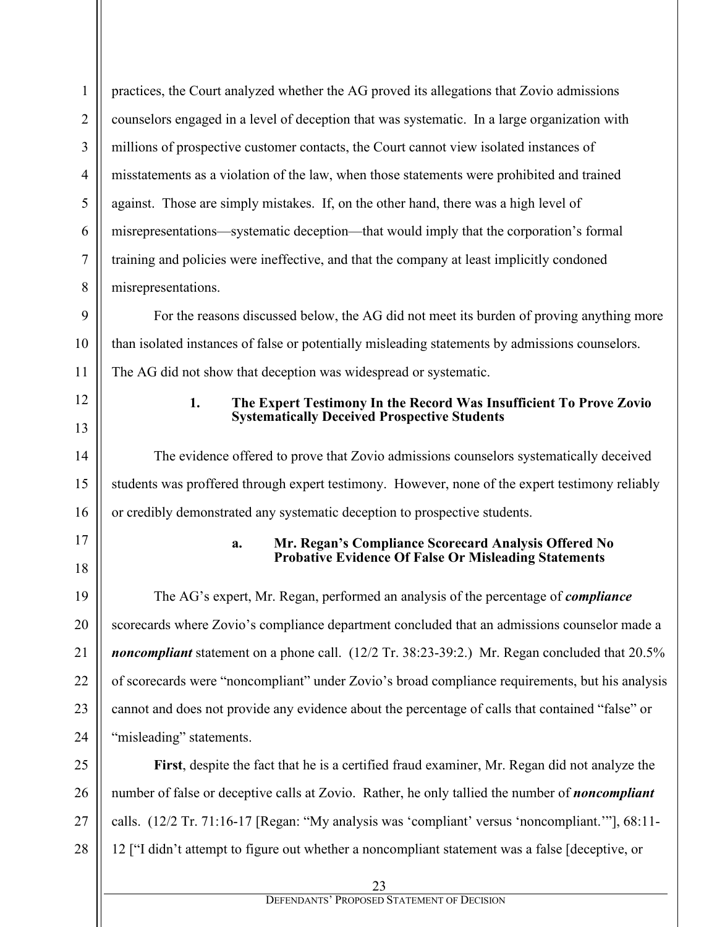| $\mathbf{1}$ | practices, the Court analyzed whether the AG proved its allegations that Zovio admissions                                       |  |  |  |  |
|--------------|---------------------------------------------------------------------------------------------------------------------------------|--|--|--|--|
| 2            | counselors engaged in a level of deception that was systematic. In a large organization with                                    |  |  |  |  |
| 3            | millions of prospective customer contacts, the Court cannot view isolated instances of                                          |  |  |  |  |
| 4            | misstatements as a violation of the law, when those statements were prohibited and trained                                      |  |  |  |  |
| 5            | against. Those are simply mistakes. If, on the other hand, there was a high level of                                            |  |  |  |  |
| 6            | misrepresentations—systematic deception—that would imply that the corporation's formal                                          |  |  |  |  |
| 7            | training and policies were ineffective, and that the company at least implicitly condoned                                       |  |  |  |  |
| 8            | misrepresentations.                                                                                                             |  |  |  |  |
| 9            | For the reasons discussed below, the AG did not meet its burden of proving anything more                                        |  |  |  |  |
| 10           | than isolated instances of false or potentially misleading statements by admissions counselors.                                 |  |  |  |  |
| 11           | The AG did not show that deception was widespread or systematic.                                                                |  |  |  |  |
| 12<br>13     | 1.<br>The Expert Testimony In the Record Was Insufficient To Prove Zovio<br><b>Systematically Deceived Prospective Students</b> |  |  |  |  |
| 14           | The evidence offered to prove that Zovio admissions counselors systematically deceived                                          |  |  |  |  |
| 15           | students was proffered through expert testimony. However, none of the expert testimony reliably                                 |  |  |  |  |
| 16           | or credibly demonstrated any systematic deception to prospective students.                                                      |  |  |  |  |
| 17           |                                                                                                                                 |  |  |  |  |
| 18           | Mr. Regan's Compliance Scorecard Analysis Offered No<br>a.<br><b>Probative Evidence Of False Or Misleading Statements</b>       |  |  |  |  |
| 19           | The AG's expert, Mr. Regan, performed an analysis of the percentage of <i>compliance</i>                                        |  |  |  |  |
| 20           | scorecards where Zovio's compliance department concluded that an admissions counselor made a                                    |  |  |  |  |
| 21           | noncompliant statement on a phone call. (12/2 Tr. 38:23-39:2.) Mr. Regan concluded that 20.5%                                   |  |  |  |  |
| 22           | of scorecards were "noncompliant" under Zovio's broad compliance requirements, but his analysis                                 |  |  |  |  |
| 23           | cannot and does not provide any evidence about the percentage of calls that contained "false" or                                |  |  |  |  |
| 24           | "misleading" statements.                                                                                                        |  |  |  |  |
| 25           | First, despite the fact that he is a certified fraud examiner, Mr. Regan did not analyze the                                    |  |  |  |  |
| 26           | number of false or deceptive calls at Zovio. Rather, he only tallied the number of <i>noncompliant</i>                          |  |  |  |  |
| 27           | calls. (12/2 Tr. 71:16-17 [Regan: "My analysis was 'compliant' versus 'noncompliant.""], 68:11-                                 |  |  |  |  |
| 28           | 12 ["I didn't attempt to figure out whether a noncompliant statement was a false [deceptive, or                                 |  |  |  |  |
|              | 23                                                                                                                              |  |  |  |  |

DEFENDANTS' PROPOSED STATEMENT OF DECISION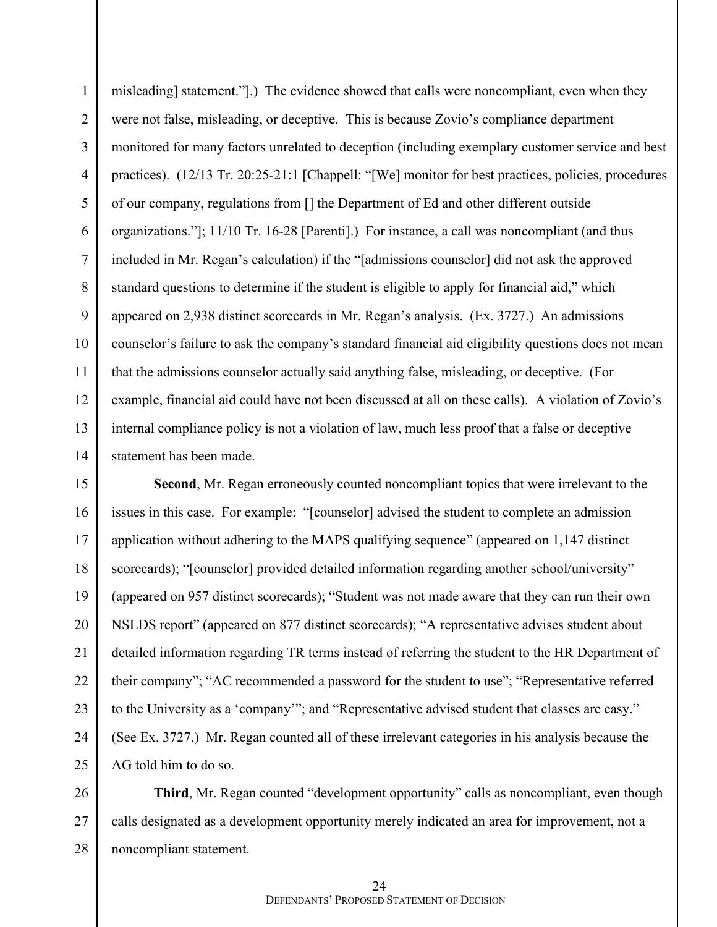misleading] statement."].) The evidence showed that calls were noncompliant, even when they were not false, misleading, or deceptive. This is because Zovio's compliance department monitored for many factors unrelated to deception (including exemplary customer service and best practices). (12/13 Tr. 20:25-21:1 [Chappell: "[We] monitor for best practices, policies, procedures of our company, regulations from [] the Department of Ed and other different outside organizations."]; 11/10 Tr. 16-28 [Parenti].) For instance, a call was noncompliant (and thus included in Mr. Regan's calculation) if the "[admissions counselor] did not ask the approved standard questions to determine if the student is eligible to apply for financial aid," which appeared on 2,938 distinct scorecards in Mr. Regan's analysis. (Ex. 3727.) An admissions counselor's failure to ask the company's standard financial aid eligibility questions does not mean that the admissions counselor actually said anything false, misleading, or deceptive. (For example, financial aid could have not been discussed at all on these calls). A violation of Zovio's internal compliance policy is not a violation of law, much less proof that a false or deceptive statement has been made.

1

2

3

4

5

6

7

8

9

10

11

12

13

14

15 16 17 18 19 20 21 22 23 24 25 **Second**, Mr. Regan erroneously counted noncompliant topics that were irrelevant to the issues in this case. For example: "[counselor] advised the student to complete an admission application without adhering to the MAPS qualifying sequence" (appeared on 1,147 distinct scorecards); "[counselor] provided detailed information regarding another school/university" (appeared on 957 distinct scorecards); "Student was not made aware that they can run their own NSLDS report" (appeared on 877 distinct scorecards); "A representative advises student about detailed information regarding TR terms instead of referring the student to the HR Department of their company"; "AC recommended a password for the student to use"; "Representative referred to the University as a 'company'"; and "Representative advised student that classes are easy." (See Ex. 3727.) Mr. Regan counted all of these irrelevant categories in his analysis because the AG told him to do so.

26 27 28 **Third**, Mr. Regan counted "development opportunity" calls as noncompliant, even though calls designated as a development opportunity merely indicated an area for improvement, not a noncompliant statement.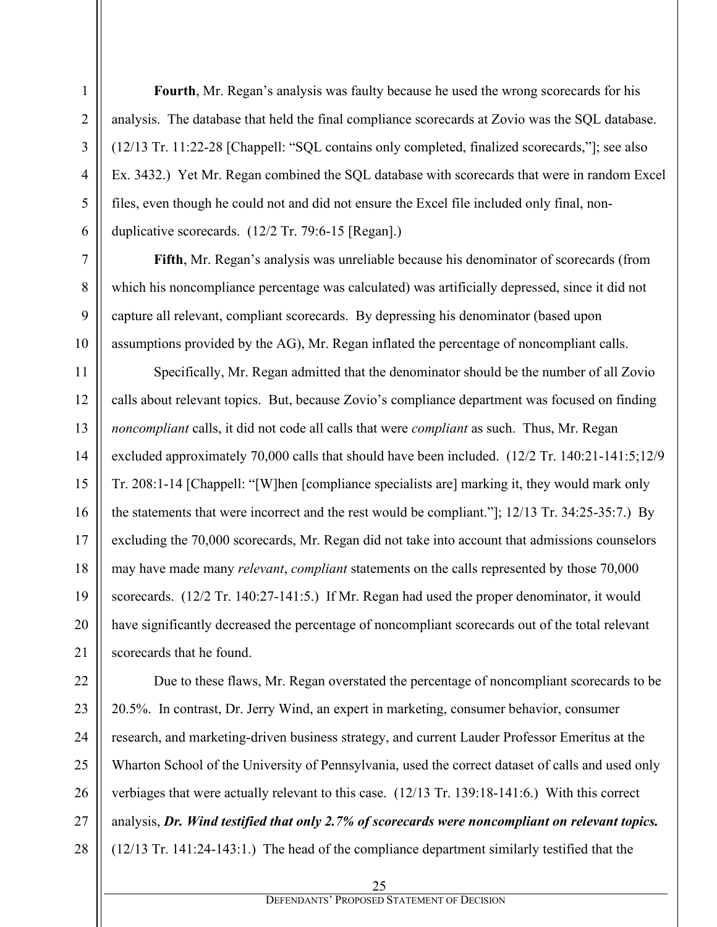**Fourth**, Mr. Regan's analysis was faulty because he used the wrong scorecards for his analysis. The database that held the final compliance scorecards at Zovio was the SQL database. (12/13 Tr. 11:22-28 [Chappell: "SQL contains only completed, finalized scorecards,"]; see also Ex. 3432.) Yet Mr. Regan combined the SQL database with scorecards that were in random Excel files, even though he could not and did not ensure the Excel file included only final, nonduplicative scorecards. (12/2 Tr. 79:6-15 [Regan].)

**Fifth**, Mr. Regan's analysis was unreliable because his denominator of scorecards (from which his noncompliance percentage was calculated) was artificially depressed, since it did not capture all relevant, compliant scorecards. By depressing his denominator (based upon assumptions provided by the AG), Mr. Regan inflated the percentage of noncompliant calls.

Specifically, Mr. Regan admitted that the denominator should be the number of all Zovio calls about relevant topics. But, because Zovio's compliance department was focused on finding *noncompliant* calls, it did not code all calls that were *compliant* as such. Thus, Mr. Regan excluded approximately 70,000 calls that should have been included. (12/2 Tr. 140:21-141:5;12/9 Tr. 208:1-14 [Chappell: "[W]hen [compliance specialists are] marking it, they would mark only the statements that were incorrect and the rest would be compliant."]; 12/13 Tr. 34:25-35:7.) By excluding the 70,000 scorecards, Mr. Regan did not take into account that admissions counselors may have made many *relevant*, *compliant* statements on the calls represented by those 70,000 scorecards. (12/2 Tr. 140:27-141:5.) If Mr. Regan had used the proper denominator, it would have significantly decreased the percentage of noncompliant scorecards out of the total relevant scorecards that he found.

Due to these flaws, Mr. Regan overstated the percentage of noncompliant scorecards to be 20.5%. In contrast, Dr. Jerry Wind, an expert in marketing, consumer behavior, consumer research, and marketing-driven business strategy, and current Lauder Professor Emeritus at the Wharton School of the University of Pennsylvania, used the correct dataset of calls and used only verbiages that were actually relevant to this case. (12/13 Tr. 139:18-141:6.) With this correct analysis, *Dr. Wind testified that only 2.7% of scorecards were noncompliant on relevant topics.* (12/13 Tr. 141:24-143:1.) The head of the compliance department similarly testified that the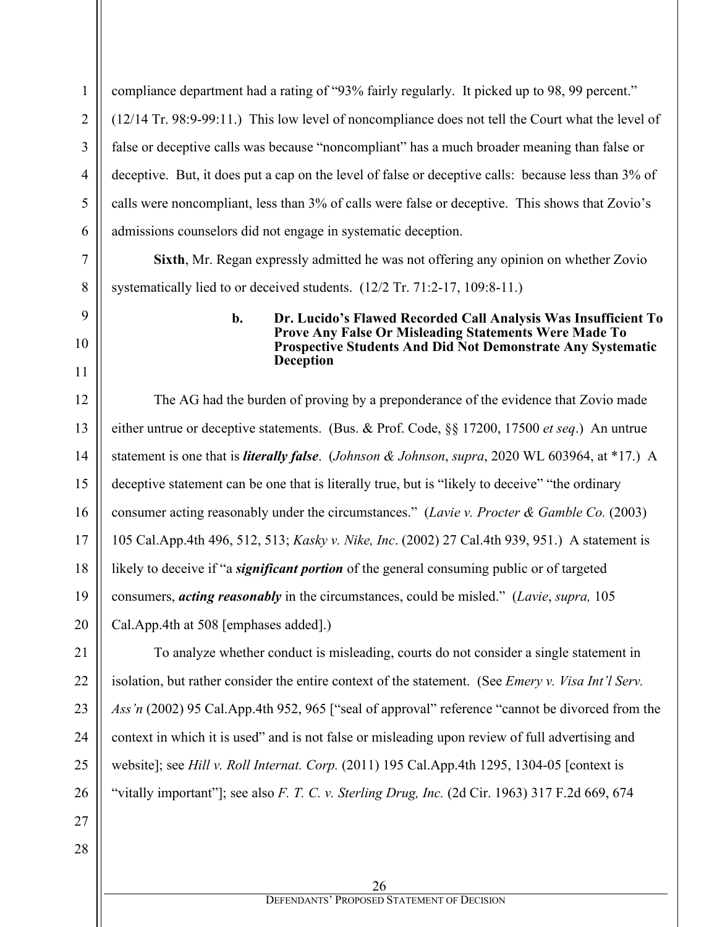compliance department had a rating of "93% fairly regularly. It picked up to 98, 99 percent." (12/14 Tr. 98:9-99:11.) This low level of noncompliance does not tell the Court what the level of false or deceptive calls was because "noncompliant" has a much broader meaning than false or deceptive. But, it does put a cap on the level of false or deceptive calls: because less than 3% of calls were noncompliant, less than 3% of calls were false or deceptive. This shows that Zovio's admissions counselors did not engage in systematic deception.

**Sixth**, Mr. Regan expressly admitted he was not offering any opinion on whether Zovio systematically lied to or deceived students. (12/2 Tr. 71:2-17, 109:8-11.)

#### **b. Dr. Lucido's Flawed Recorded Call Analysis Was Insufficient To Prove Any False Or Misleading Statements Were Made To Prospective Students And Did Not Demonstrate Any Systematic Deception**

12 13 14 15 16 17 18 19 20 The AG had the burden of proving by a preponderance of the evidence that Zovio made either untrue or deceptive statements. (Bus. & Prof. Code, §§ 17200, 17500 *et seq*.) An untrue statement is one that is *literally false*. (*Johnson & Johnson*, *supra*, 2020 WL 603964, at \*17.) A deceptive statement can be one that is literally true, but is "likely to deceive" "the ordinary consumer acting reasonably under the circumstances." (*Lavie v. Procter & Gamble Co.* (2003) 105 Cal.App.4th 496, 512, 513; *Kasky v. Nike, Inc*. (2002) 27 Cal.4th 939, 951.) A statement is likely to deceive if "a *significant portion* of the general consuming public or of targeted consumers, *acting reasonably* in the circumstances, could be misled." (*Lavie*, *supra,* 105 Cal.App.4th at 508 [emphases added].)

To analyze whether conduct is misleading, courts do not consider a single statement in isolation, but rather consider the entire context of the statement. (See *Emery v. Visa Int'l Serv. Ass'n* (2002) 95 Cal.App.4th 952, 965 ["seal of approval" reference "cannot be divorced from the context in which it is used" and is not false or misleading upon review of full advertising and website]; see *Hill v. Roll Internat. Corp.* (2011) 195 Cal.App.4th 1295, 1304-05 [context is "vitally important"]; see also *F. T. C. v. Sterling Drug, Inc.* (2d Cir. 1963) 317 F.2d 669, 674

28

21

1

2

3

4

5

6

7

8

9

10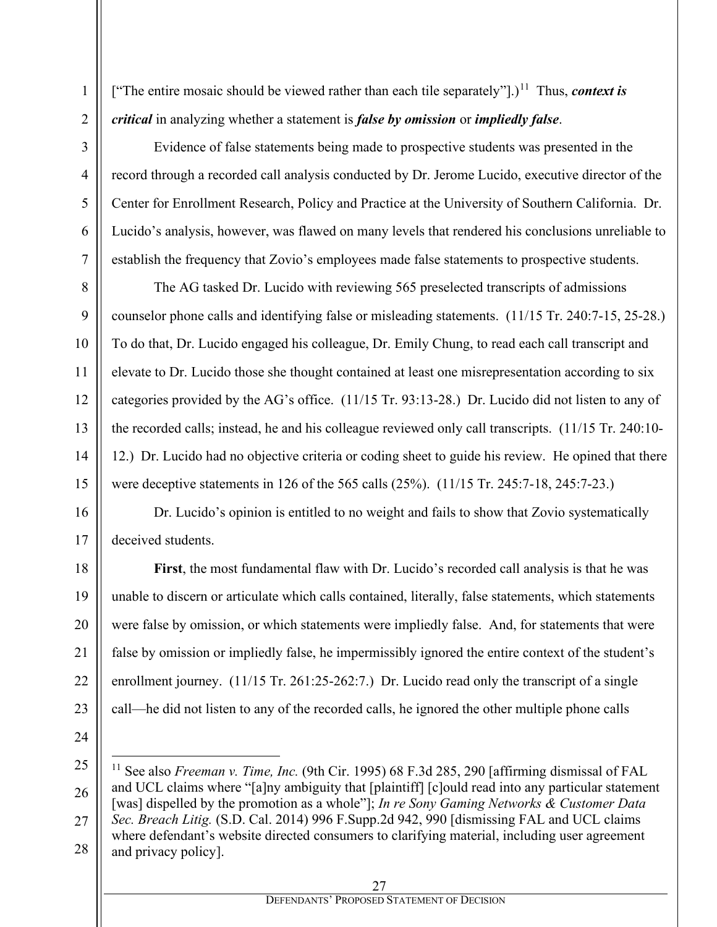["The entire mosaic should be viewed rather than each tile separately"].)<sup>[11](#page-26-0)</sup> Thus, *context is critical* in analyzing whether a statement is *false by omission* or *impliedly false*.

Evidence of false statements being made to prospective students was presented in the record through a recorded call analysis conducted by Dr. Jerome Lucido, executive director of the Center for Enrollment Research, Policy and Practice at the University of Southern California. Dr. Lucido's analysis, however, was flawed on many levels that rendered his conclusions unreliable to establish the frequency that Zovio's employees made false statements to prospective students.

The AG tasked Dr. Lucido with reviewing 565 preselected transcripts of admissions counselor phone calls and identifying false or misleading statements. (11/15 Tr. 240:7-15, 25-28.) To do that, Dr. Lucido engaged his colleague, Dr. Emily Chung, to read each call transcript and elevate to Dr. Lucido those she thought contained at least one misrepresentation according to six categories provided by the AG's office. (11/15 Tr. 93:13-28.) Dr. Lucido did not listen to any of the recorded calls; instead, he and his colleague reviewed only call transcripts. (11/15 Tr. 240:10- 12.) Dr. Lucido had no objective criteria or coding sheet to guide his review. He opined that there were deceptive statements in 126 of the 565 calls (25%). (11/15 Tr. 245:7-18, 245:7-23.)

Dr. Lucido's opinion is entitled to no weight and fails to show that Zovio systematically deceived students.

**First**, the most fundamental flaw with Dr. Lucido's recorded call analysis is that he was unable to discern or articulate which calls contained, literally, false statements, which statements were false by omission, or which statements were impliedly false. And, for statements that were false by omission or impliedly false, he impermissibly ignored the entire context of the student's enrollment journey. (11/15 Tr. 261:25-262:7.) Dr. Lucido read only the transcript of a single call—he did not listen to any of the recorded calls, he ignored the other multiple phone calls

1

2

<span id="page-26-0"></span><sup>28</sup> <sup>11</sup> See also *Freeman v. Time, Inc.* (9th Cir. 1995) 68 F.3d 285, 290 [affirming dismissal of FAL and UCL claims where "[a]ny ambiguity that [plaintiff] [c]ould read into any particular statement [was] dispelled by the promotion as a whole"]; *In re Sony Gaming Networks & Customer Data Sec. Breach Litig.* (S.D. Cal. 2014) 996 F.Supp.2d 942, 990 [dismissing FAL and UCL claims where defendant's website directed consumers to clarifying material, including user agreement and privacy policy].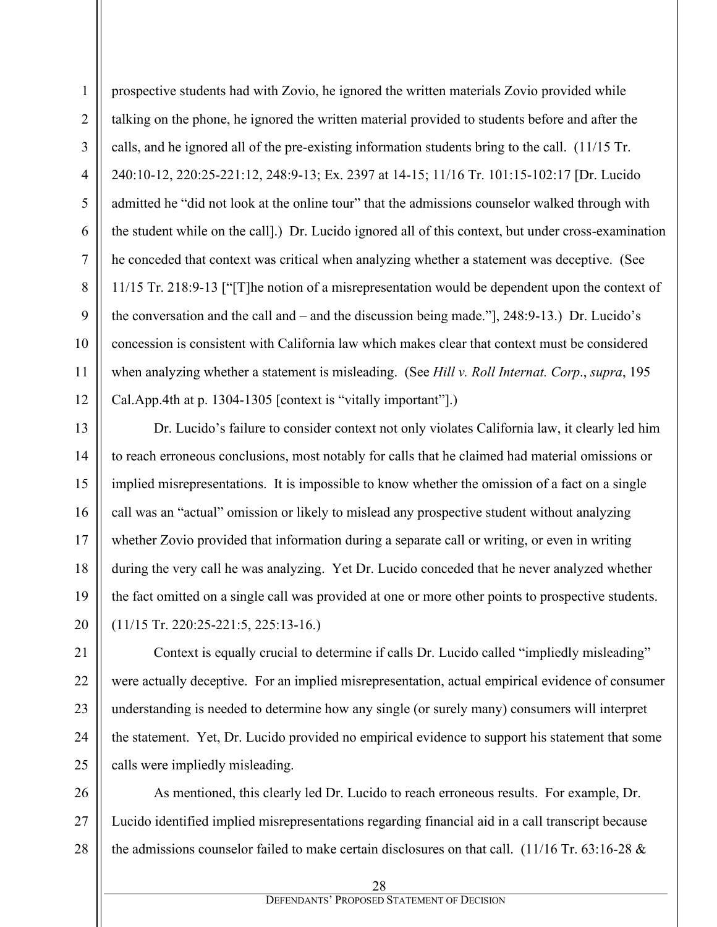prospective students had with Zovio, he ignored the written materials Zovio provided while talking on the phone, he ignored the written material provided to students before and after the calls, and he ignored all of the pre-existing information students bring to the call. (11/15 Tr. 240:10-12, 220:25-221:12, 248:9-13; Ex. 2397 at 14-15; 11/16 Tr. 101:15-102:17 [Dr. Lucido admitted he "did not look at the online tour" that the admissions counselor walked through with the student while on the call].) Dr. Lucido ignored all of this context, but under cross-examination he conceded that context was critical when analyzing whether a statement was deceptive. (See 11/15 Tr. 218:9-13 ["[T]he notion of a misrepresentation would be dependent upon the context of the conversation and the call and – and the discussion being made."], 248:9-13.) Dr. Lucido's concession is consistent with California law which makes clear that context must be considered when analyzing whether a statement is misleading. (See *Hill v. Roll Internat. Corp*., *supra*, 195 Cal.App.4th at p. 1304-1305 [context is "vitally important"].)

Dr. Lucido's failure to consider context not only violates California law, it clearly led him to reach erroneous conclusions, most notably for calls that he claimed had material omissions or implied misrepresentations. It is impossible to know whether the omission of a fact on a single call was an "actual" omission or likely to mislead any prospective student without analyzing whether Zovio provided that information during a separate call or writing, or even in writing during the very call he was analyzing. Yet Dr. Lucido conceded that he never analyzed whether the fact omitted on a single call was provided at one or more other points to prospective students. (11/15 Tr. 220:25-221:5, 225:13-16.)

Context is equally crucial to determine if calls Dr. Lucido called "impliedly misleading" were actually deceptive. For an implied misrepresentation, actual empirical evidence of consumer understanding is needed to determine how any single (or surely many) consumers will interpret the statement. Yet, Dr. Lucido provided no empirical evidence to support his statement that some calls were impliedly misleading.

26 27 28 As mentioned, this clearly led Dr. Lucido to reach erroneous results. For example, Dr. Lucido identified implied misrepresentations regarding financial aid in a call transcript because the admissions counselor failed to make certain disclosures on that call. (11/16 Tr. 63:16-28 &

1

2

3

4

5

6

7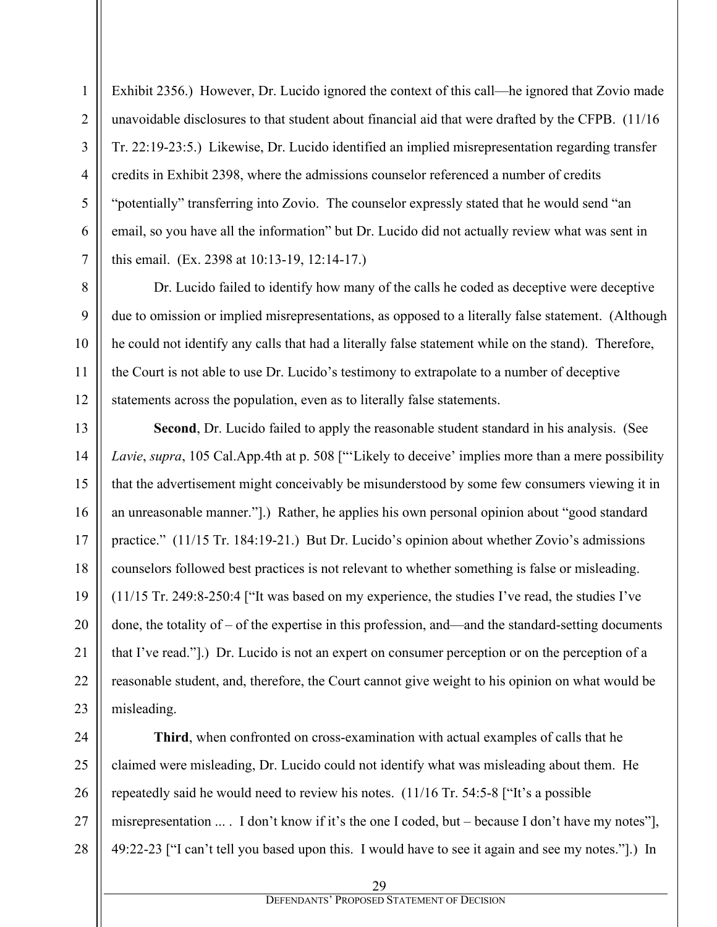Exhibit 2356.) However, Dr. Lucido ignored the context of this call—he ignored that Zovio made unavoidable disclosures to that student about financial aid that were drafted by the CFPB. (11/16 Tr. 22:19-23:5.) Likewise, Dr. Lucido identified an implied misrepresentation regarding transfer credits in Exhibit 2398, where the admissions counselor referenced a number of credits "potentially" transferring into Zovio. The counselor expressly stated that he would send "an email, so you have all the information" but Dr. Lucido did not actually review what was sent in this email. (Ex. 2398 at 10:13-19, 12:14-17.)

Dr. Lucido failed to identify how many of the calls he coded as deceptive were deceptive due to omission or implied misrepresentations, as opposed to a literally false statement. (Although he could not identify any calls that had a literally false statement while on the stand). Therefore, the Court is not able to use Dr. Lucido's testimony to extrapolate to a number of deceptive statements across the population, even as to literally false statements.

**Second**, Dr. Lucido failed to apply the reasonable student standard in his analysis. (See *Lavie*, *supra*, 105 Cal.App.4th at p. 508 ["'Likely to deceive' implies more than a mere possibility that the advertisement might conceivably be misunderstood by some few consumers viewing it in an unreasonable manner."].) Rather, he applies his own personal opinion about "good standard practice." (11/15 Tr. 184:19-21.) But Dr. Lucido's opinion about whether Zovio's admissions counselors followed best practices is not relevant to whether something is false or misleading. (11/15 Tr. 249:8-250:4 ["It was based on my experience, the studies I've read, the studies I've done, the totality of – of the expertise in this profession, and—and the standard-setting documents that I've read."].) Dr. Lucido is not an expert on consumer perception or on the perception of a reasonable student, and, therefore, the Court cannot give weight to his opinion on what would be misleading.

**Third**, when confronted on cross-examination with actual examples of calls that he claimed were misleading, Dr. Lucido could not identify what was misleading about them. He repeatedly said he would need to review his notes. (11/16 Tr. 54:5-8 ["It's a possible misrepresentation ... . I don't know if it's the one I coded, but – because I don't have my notes"], 49:22-23 ["I can't tell you based upon this. I would have to see it again and see my notes."].) In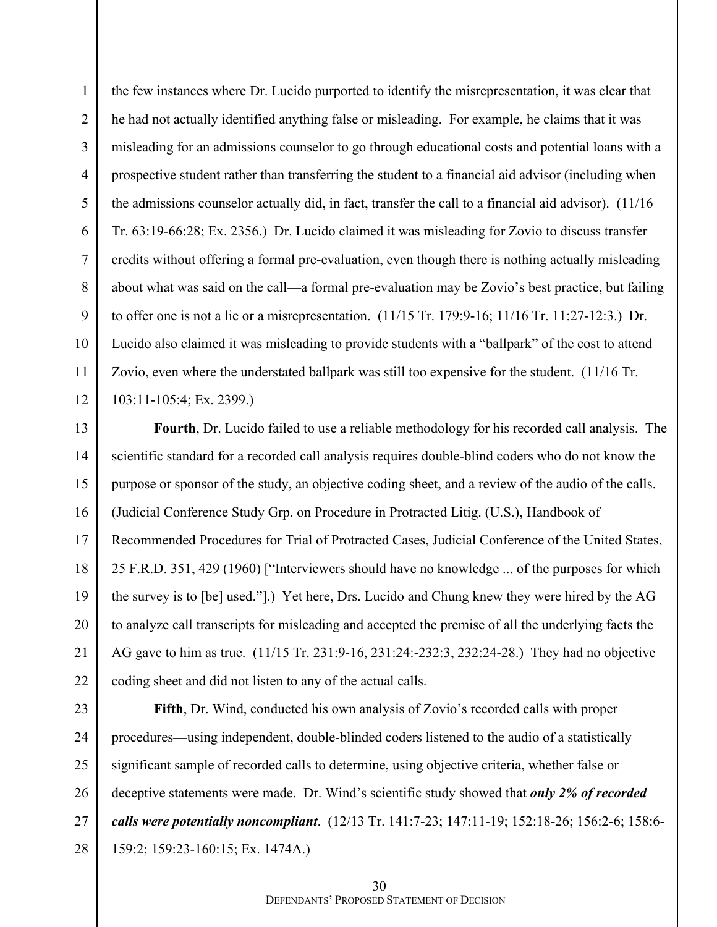the few instances where Dr. Lucido purported to identify the misrepresentation, it was clear that he had not actually identified anything false or misleading. For example, he claims that it was misleading for an admissions counselor to go through educational costs and potential loans with a prospective student rather than transferring the student to a financial aid advisor (including when the admissions counselor actually did, in fact, transfer the call to a financial aid advisor). (11/16 Tr. 63:19-66:28; Ex. 2356.) Dr. Lucido claimed it was misleading for Zovio to discuss transfer credits without offering a formal pre-evaluation, even though there is nothing actually misleading about what was said on the call—a formal pre-evaluation may be Zovio's best practice, but failing to offer one is not a lie or a misrepresentation.  $(11/15$  Tr. 179:9-16; 11/16 Tr. 11:27-12:3.) Dr. Lucido also claimed it was misleading to provide students with a "ballpark" of the cost to attend Zovio, even where the understated ballpark was still too expensive for the student. (11/16 Tr. 103:11-105:4; Ex. 2399.)

1

2

3

4

5

6

7

8

9

10

11

12

21

13 14 15 16 17 18 19 20 22 **Fourth**, Dr. Lucido failed to use a reliable methodology for his recorded call analysis. The scientific standard for a recorded call analysis requires double-blind coders who do not know the purpose or sponsor of the study, an objective coding sheet, and a review of the audio of the calls. (Judicial Conference Study Grp. on Procedure in Protracted Litig. (U.S.), Handbook of Recommended Procedures for Trial of Protracted Cases, Judicial Conference of the United States, 25 F.R.D. 351, 429 (1960) ["Interviewers should have no knowledge ... of the purposes for which the survey is to [be] used."].) Yet here, Drs. Lucido and Chung knew they were hired by the AG to analyze call transcripts for misleading and accepted the premise of all the underlying facts the AG gave to him as true. (11/15 Tr. 231:9-16, 231:24:-232:3, 232:24-28.) They had no objective coding sheet and did not listen to any of the actual calls.

23 24 25 26 27 28 **Fifth**, Dr. Wind, conducted his own analysis of Zovio's recorded calls with proper procedures—using independent, double-blinded coders listened to the audio of a statistically significant sample of recorded calls to determine, using objective criteria, whether false or deceptive statements were made. Dr. Wind's scientific study showed that *only 2% of recorded calls were potentially noncompliant*. (12/13 Tr. 141:7-23; 147:11-19; 152:18-26; 156:2-6; 158:6- 159:2; 159:23-160:15; Ex. 1474A.)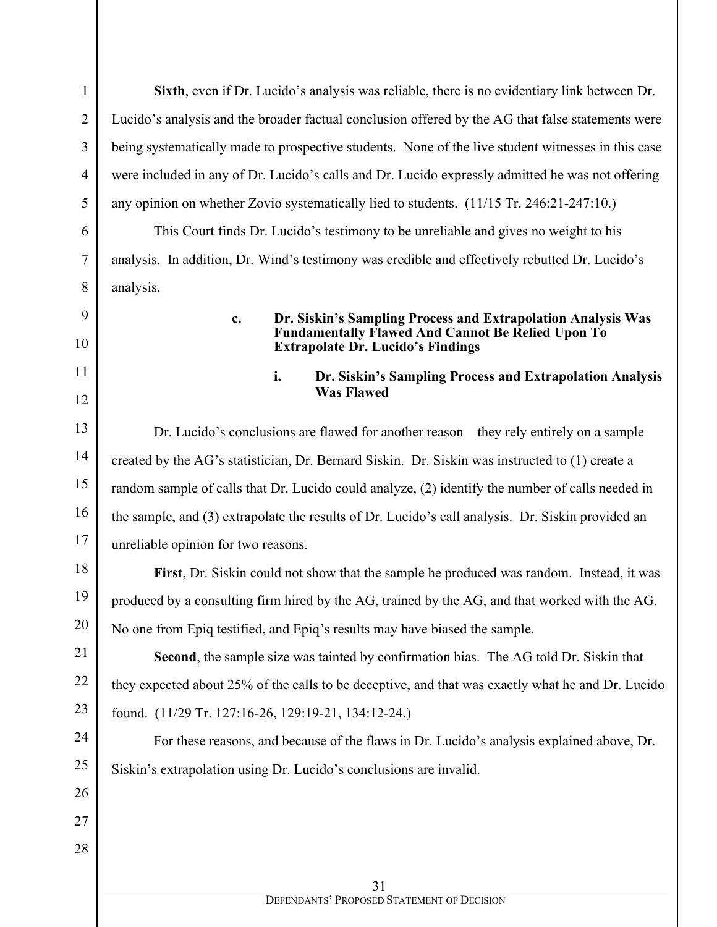31 DEFENDANTS' PROPOSED STATEMENT OF DECISION 1 2 3 4 5 6 7 8 9 10 11 12 13 14 15 16 17 18 19 20 21 22 23 24 25 26 27 28 **Sixth**, even if Dr. Lucido's analysis was reliable, there is no evidentiary link between Dr. Lucido's analysis and the broader factual conclusion offered by the AG that false statements were being systematically made to prospective students. None of the live student witnesses in this case were included in any of Dr. Lucido's calls and Dr. Lucido expressly admitted he was not offering any opinion on whether Zovio systematically lied to students. (11/15 Tr. 246:21-247:10.) This Court finds Dr. Lucido's testimony to be unreliable and gives no weight to his analysis. In addition, Dr. Wind's testimony was credible and effectively rebutted Dr. Lucido's analysis. **c. Dr. Siskin's Sampling Process and Extrapolation Analysis Was Fundamentally Flawed And Cannot Be Relied Upon To Extrapolate Dr. Lucido's Findings i. Dr. Siskin's Sampling Process and Extrapolation Analysis Was Flawed** Dr. Lucido's conclusions are flawed for another reason—they rely entirely on a sample created by the AG's statistician, Dr. Bernard Siskin. Dr. Siskin was instructed to (1) create a random sample of calls that Dr. Lucido could analyze, (2) identify the number of calls needed in the sample, and (3) extrapolate the results of Dr. Lucido's call analysis. Dr. Siskin provided an unreliable opinion for two reasons. **First**, Dr. Siskin could not show that the sample he produced was random. Instead, it was produced by a consulting firm hired by the AG, trained by the AG, and that worked with the AG. No one from Epiq testified, and Epiq's results may have biased the sample. **Second**, the sample size was tainted by confirmation bias. The AG told Dr. Siskin that they expected about 25% of the calls to be deceptive, and that was exactly what he and Dr. Lucido found. (11/29 Tr. 127:16-26, 129:19-21, 134:12-24.) For these reasons, and because of the flaws in Dr. Lucido's analysis explained above, Dr. Siskin's extrapolation using Dr. Lucido's conclusions are invalid.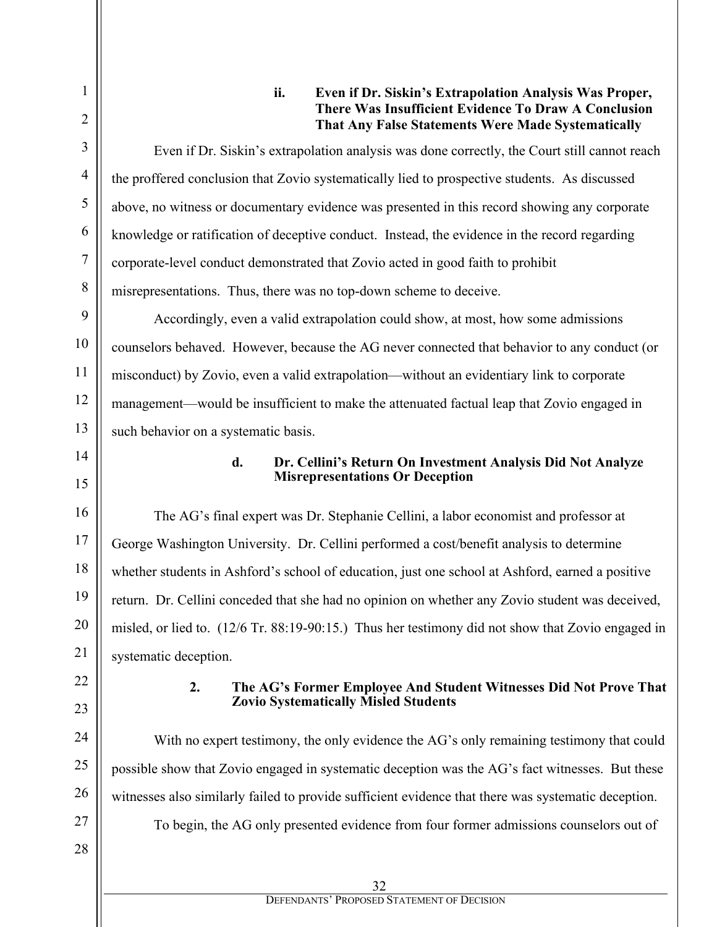## **ii. Even if Dr. Siskin's Extrapolation Analysis Was Proper, There Was Insufficient Evidence To Draw A Conclusion That Any False Statements Were Made Systematically**

Even if Dr. Siskin's extrapolation analysis was done correctly, the Court still cannot reach the proffered conclusion that Zovio systematically lied to prospective students. As discussed above, no witness or documentary evidence was presented in this record showing any corporate knowledge or ratification of deceptive conduct. Instead, the evidence in the record regarding corporate-level conduct demonstrated that Zovio acted in good faith to prohibit misrepresentations. Thus, there was no top-down scheme to deceive.

Accordingly, even a valid extrapolation could show, at most, how some admissions counselors behaved. However, because the AG never connected that behavior to any conduct (or misconduct) by Zovio, even a valid extrapolation—without an evidentiary link to corporate management—would be insufficient to make the attenuated factual leap that Zovio engaged in such behavior on a systematic basis.

14 15

16

17

18

19

20

21

1

2

3

4

5

6

7

8

9

10

11

12

13

## **d. Dr. Cellini's Return On Investment Analysis Did Not Analyze Misrepresentations Or Deception**

The AG's final expert was Dr. Stephanie Cellini, a labor economist and professor at George Washington University. Dr. Cellini performed a cost/benefit analysis to determine whether students in Ashford's school of education, just one school at Ashford, earned a positive return. Dr. Cellini conceded that she had no opinion on whether any Zovio student was deceived, misled, or lied to. (12/6 Tr. 88:19-90:15.) Thus her testimony did not show that Zovio engaged in systematic deception.

## **2. The AG's Former Employee And Student Witnesses Did Not Prove That Zovio Systematically Misled Students**

With no expert testimony, the only evidence the AG's only remaining testimony that could possible show that Zovio engaged in systematic deception was the AG's fact witnesses. But these witnesses also similarly failed to provide sufficient evidence that there was systematic deception.

To begin, the AG only presented evidence from four former admissions counselors out of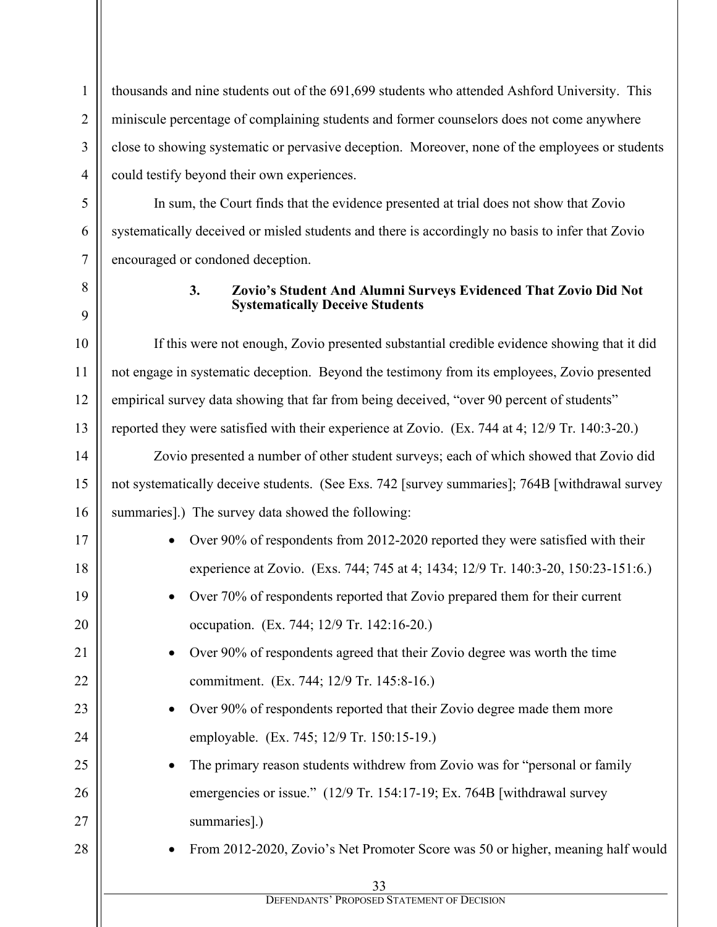thousands and nine students out of the 691,699 students who attended Ashford University. This miniscule percentage of complaining students and former counselors does not come anywhere close to showing systematic or pervasive deception. Moreover, none of the employees or students could testify beyond their own experiences.

In sum, the Court finds that the evidence presented at trial does not show that Zovio systematically deceived or misled students and there is accordingly no basis to infer that Zovio encouraged or condoned deception.

1

2

3

4

5

6

7

8

9

10

11

12

13

17

18

19

20

21

22

23

24

25

26

27

28

## **3. Zovio's Student And Alumni Surveys Evidenced That Zovio Did Not Systematically Deceive Students**

If this were not enough, Zovio presented substantial credible evidence showing that it did not engage in systematic deception. Beyond the testimony from its employees, Zovio presented empirical survey data showing that far from being deceived, "over 90 percent of students" reported they were satisfied with their experience at Zovio. (Ex. 744 at 4; 12/9 Tr. 140:3-20.)

14 15 16 Zovio presented a number of other student surveys; each of which showed that Zovio did not systematically deceive students. (See Exs. 742 [survey summaries]; 764B [withdrawal survey summaries].) The survey data showed the following:

- Over 90% of respondents from 2012-2020 reported they were satisfied with their experience at Zovio. (Exs. 744; 745 at 4; 1434; 12/9 Tr. 140:3-20, 150:23-151:6.)
	- Over 70% of respondents reported that Zovio prepared them for their current occupation. (Ex. 744; 12/9 Tr. 142:16-20.)
		- Over 90% of respondents agreed that their Zovio degree was worth the time commitment. (Ex. 744; 12/9 Tr. 145:8-16.)
	- Over 90% of respondents reported that their Zovio degree made them more employable. (Ex. 745; 12/9 Tr. 150:15-19.)
	- The primary reason students withdrew from Zovio was for "personal or family emergencies or issue." (12/9 Tr. 154:17-19; Ex. 764B [withdrawal survey] summaries].)
	- From 2012-2020, Zovio's Net Promoter Score was 50 or higher, meaning half would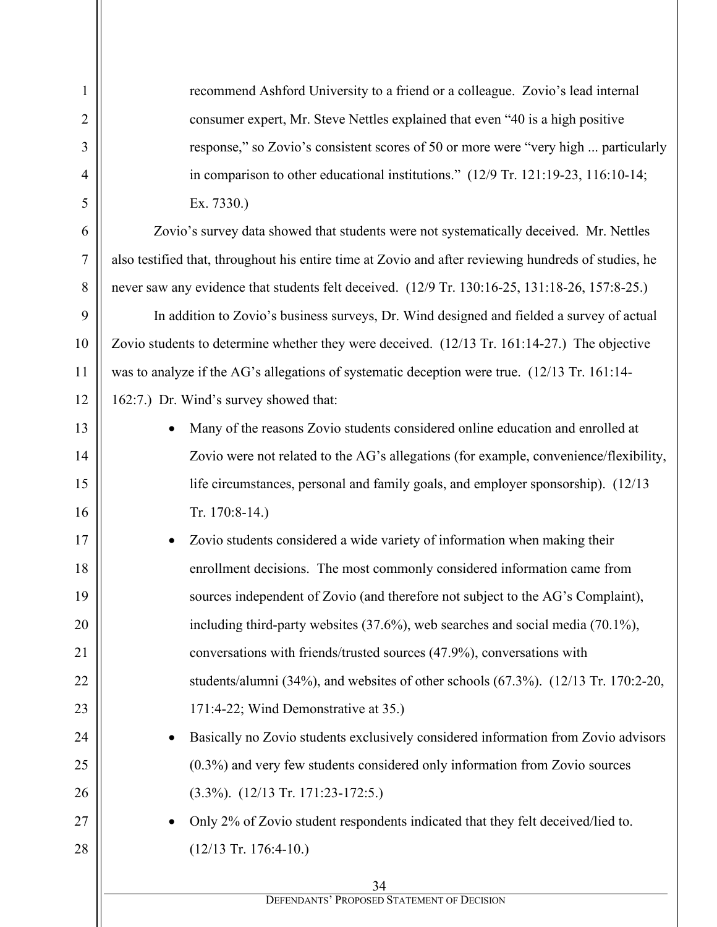recommend Ashford University to a friend or a colleague. Zovio's lead internal consumer expert, Mr. Steve Nettles explained that even "40 is a high positive response," so Zovio's consistent scores of 50 or more were "very high ... particularly in comparison to other educational institutions." (12/9 Tr. 121:19-23, 116:10-14; Ex. 7330.) Zovio's survey data showed that students were not systematically deceived. Mr. Nettles also testified that, throughout his entire time at Zovio and after reviewing hundreds of studies, he never saw any evidence that students felt deceived. (12/9 Tr. 130:16-25, 131:18-26, 157:8-25.) In addition to Zovio's business surveys, Dr. Wind designed and fielded a survey of actual Zovio students to determine whether they were deceived. (12/13 Tr. 161:14-27.) The objective was to analyze if the AG's allegations of systematic deception were true. (12/13 Tr. 161:14- 162:7.) Dr. Wind's survey showed that: • Many of the reasons Zovio students considered online education and enrolled at Zovio were not related to the AG's allegations (for example, convenience/flexibility, life circumstances, personal and family goals, and employer sponsorship). (12/13 Tr. 170:8-14.)

1

2

3

4

5

6

7

8

9

10

11

12

13

14

15

16

17

18

19

20

21

22

23

24

25

26

27

28

Zovio students considered a wide variety of information when making their enrollment decisions. The most commonly considered information came from sources independent of Zovio (and therefore not subject to the AG's Complaint), including third-party websites (37.6%), web searches and social media (70.1%), conversations with friends/trusted sources (47.9%), conversations with students/alumni (34%), and websites of other schools (67.3%). (12/13 Tr. 170:2-20, 171:4-22; Wind Demonstrative at 35.)

• Basically no Zovio students exclusively considered information from Zovio advisors (0.3%) and very few students considered only information from Zovio sources (3.3%). (12/13 Tr. 171:23-172:5.)

• Only 2% of Zovio student respondents indicated that they felt deceived/lied to. (12/13 Tr. 176:4-10.)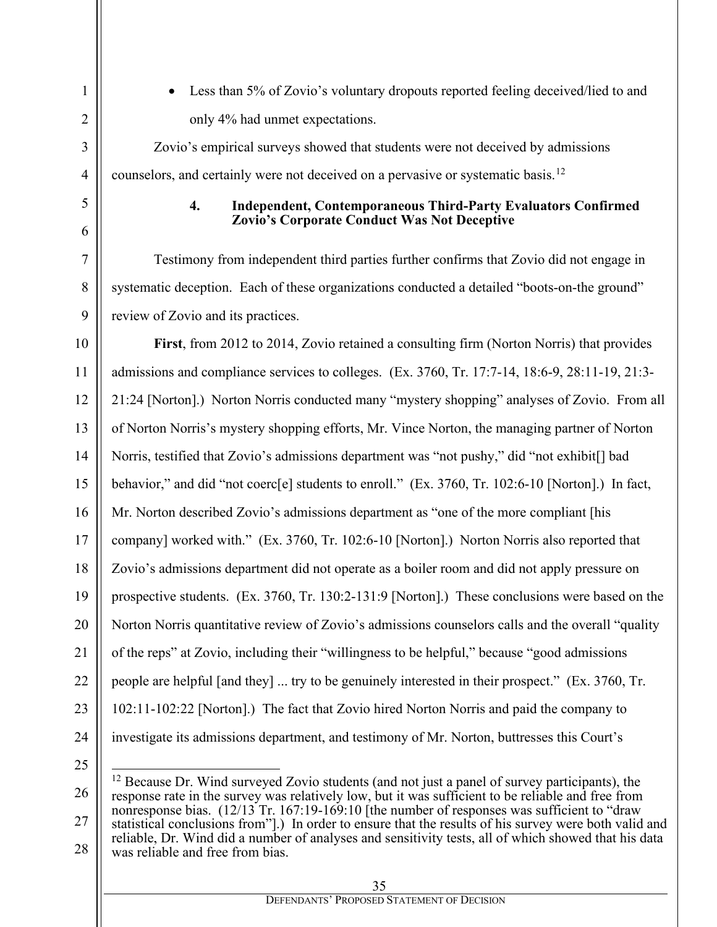• Less than 5% of Zovio's voluntary dropouts reported feeling deceived/lied to and only 4% had unmet expectations.

Zovio's empirical surveys showed that students were not deceived by admissions counselors, and certainly were not deceived on a pervasive or systematic basis.<sup>[12](#page-34-0)</sup>

> **4. Independent, Contemporaneous Third-Party Evaluators Confirmed Zovio's Corporate Conduct Was Not Deceptive**

Testimony from independent third parties further confirms that Zovio did not engage in systematic deception. Each of these organizations conducted a detailed "boots-on-the ground" review of Zovio and its practices.

**First**, from 2012 to 2014, Zovio retained a consulting firm (Norton Norris) that provides admissions and compliance services to colleges. (Ex. 3760, Tr. 17:7-14, 18:6-9, 28:11-19, 21:3- 21:24 [Norton].) Norton Norris conducted many "mystery shopping" analyses of Zovio. From all of Norton Norris's mystery shopping efforts, Mr. Vince Norton, the managing partner of Norton Norris, testified that Zovio's admissions department was "not pushy," did "not exhibit[] bad behavior," and did "not coerc[e] students to enroll." (Ex. 3760, Tr. 102:6-10 [Norton].) In fact, Mr. Norton described Zovio's admissions department as "one of the more compliant [his company] worked with." (Ex. 3760, Tr. 102:6-10 [Norton].) Norton Norris also reported that Zovio's admissions department did not operate as a boiler room and did not apply pressure on prospective students. (Ex. 3760, Tr. 130:2-131:9 [Norton].) These conclusions were based on the Norton Norris quantitative review of Zovio's admissions counselors calls and the overall "quality of the reps" at Zovio, including their "willingness to be helpful," because "good admissions people are helpful [and they] ... try to be genuinely interested in their prospect." (Ex. 3760, Tr. 102:11-102:22 [Norton].) The fact that Zovio hired Norton Norris and paid the company to investigate its admissions department, and testimony of Mr. Norton, buttresses this Court's

<span id="page-34-0"></span>

 $12$  Because Dr. Wind surveyed Zovio students (and not just a panel of survey participants), the response rate in the survey was relatively low, but it was sufficient to be reliable and free from nonresponse bias.  $(12/13)$  Tr. 167:19-169:10 [the number of responses was sufficient to "draw" statistical conclusions from"].) In order to ensure that the results of his survey were both valid and reliable, Dr. Wind did a number of analyses and sensitivity tests, all of which showed that his data was reliable and free from bias.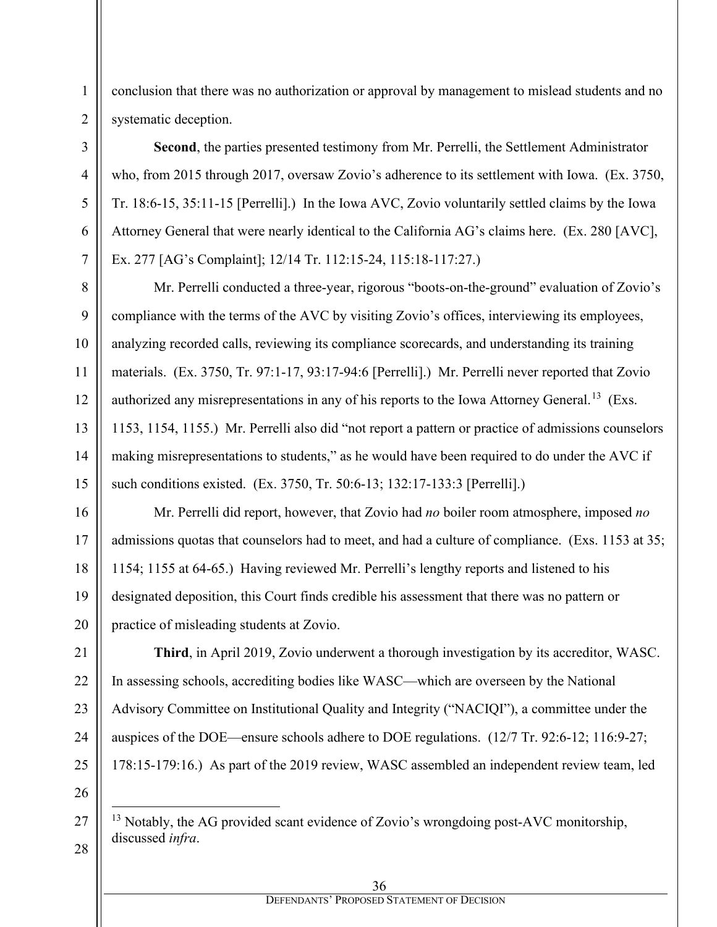conclusion that there was no authorization or approval by management to mislead students and no systematic deception.

**Second**, the parties presented testimony from Mr. Perrelli, the Settlement Administrator who, from 2015 through 2017, oversaw Zovio's adherence to its settlement with Iowa. (Ex. 3750, Tr. 18:6-15, 35:11-15 [Perrelli].) In the Iowa AVC, Zovio voluntarily settled claims by the Iowa Attorney General that were nearly identical to the California AG's claims here. (Ex. 280 [AVC], Ex. 277 [AG's Complaint]; 12/14 Tr. 112:15-24, 115:18-117:27.)

Mr. Perrelli conducted a three-year, rigorous "boots-on-the-ground" evaluation of Zovio's compliance with the terms of the AVC by visiting Zovio's offices, interviewing its employees, analyzing recorded calls, reviewing its compliance scorecards, and understanding its training materials. (Ex. 3750, Tr. 97:1-17, 93:17-94:6 [Perrelli].) Mr. Perrelli never reported that Zovio authorized any misrepresentations in any of his reports to the Iowa Attorney General.<sup>13</sup> (Exs. 1153, 1154, 1155.) Mr. Perrelli also did "not report a pattern or practice of admissions counselors making misrepresentations to students," as he would have been required to do under the AVC if such conditions existed. (Ex. 3750, Tr. 50:6-13; 132:17-133:3 [Perrelli].)

Mr. Perrelli did report, however, that Zovio had *no* boiler room atmosphere, imposed *no* admissions quotas that counselors had to meet, and had a culture of compliance. (Exs. 1153 at 35; 1154; 1155 at 64-65.) Having reviewed Mr. Perrelli's lengthy reports and listened to his designated deposition, this Court finds credible his assessment that there was no pattern or practice of misleading students at Zovio.

**Third**, in April 2019, Zovio underwent a thorough investigation by its accreditor, WASC. In assessing schools, accrediting bodies like WASC—which are overseen by the National Advisory Committee on Institutional Quality and Integrity ("NACIQI"), a committee under the auspices of the DOE—ensure schools adhere to DOE regulations. (12/7 Tr. 92:6-12; 116:9-27; 178:15-179:16.) As part of the 2019 review, WASC assembled an independent review team, led

<span id="page-35-0"></span>

 $13$  Notably, the AG provided scant evidence of Zovio's wrongdoing post-AVC monitorship, discussed *infra*.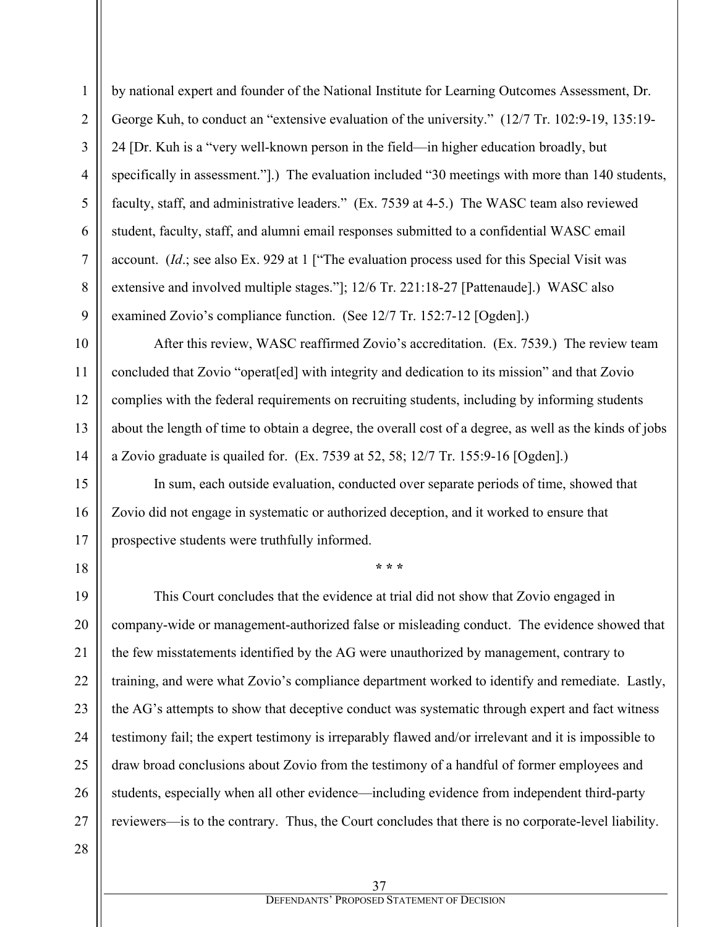1

by national expert and founder of the National Institute for Learning Outcomes Assessment, Dr. George Kuh, to conduct an "extensive evaluation of the university." (12/7 Tr. 102:9-19, 135:19- 24 [Dr. Kuh is a "very well-known person in the field—in higher education broadly, but specifically in assessment."].) The evaluation included "30 meetings with more than 140 students, faculty, staff, and administrative leaders." (Ex. 7539 at 4-5.) The WASC team also reviewed student, faculty, staff, and alumni email responses submitted to a confidential WASC email account. (*Id*.; see also Ex. 929 at 1 ["The evaluation process used for this Special Visit was extensive and involved multiple stages."]; 12/6 Tr. 221:18-27 [Pattenaude].) WASC also examined Zovio's compliance function. (See 12/7 Tr. 152:7-12 [Ogden].)

After this review, WASC reaffirmed Zovio's accreditation. (Ex. 7539.) The review team concluded that Zovio "operat[ed] with integrity and dedication to its mission" and that Zovio complies with the federal requirements on recruiting students, including by informing students about the length of time to obtain a degree, the overall cost of a degree, as well as the kinds of jobs a Zovio graduate is quailed for. (Ex. 7539 at 52, 58; 12/7 Tr. 155:9-16 [Ogden].)

In sum, each outside evaluation, conducted over separate periods of time, showed that Zovio did not engage in systematic or authorized deception, and it worked to ensure that prospective students were truthfully informed.

**\* \* \***

This Court concludes that the evidence at trial did not show that Zovio engaged in company-wide or management-authorized false or misleading conduct. The evidence showed that the few misstatements identified by the AG were unauthorized by management, contrary to training, and were what Zovio's compliance department worked to identify and remediate. Lastly, the AG's attempts to show that deceptive conduct was systematic through expert and fact witness testimony fail; the expert testimony is irreparably flawed and/or irrelevant and it is impossible to draw broad conclusions about Zovio from the testimony of a handful of former employees and students, especially when all other evidence—including evidence from independent third-party reviewers—is to the contrary. Thus, the Court concludes that there is no corporate-level liability.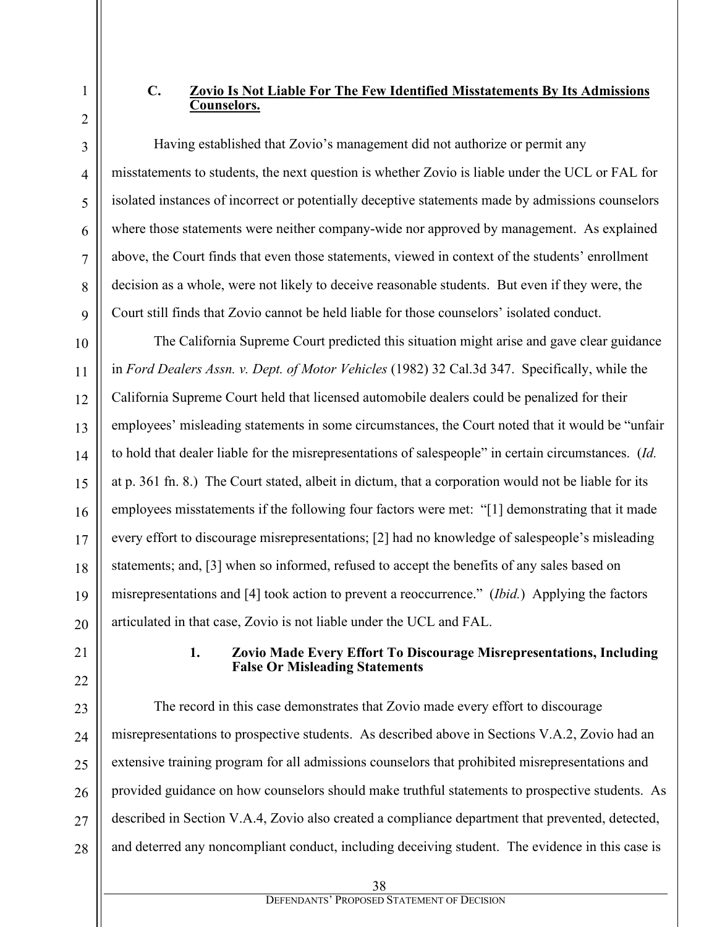## **C. Zovio Is Not Liable For The Few Identified Misstatements By Its Admissions Counselors.**

Having established that Zovio's management did not authorize or permit any misstatements to students, the next question is whether Zovio is liable under the UCL or FAL for isolated instances of incorrect or potentially deceptive statements made by admissions counselors where those statements were neither company-wide nor approved by management. As explained above, the Court finds that even those statements, viewed in context of the students' enrollment decision as a whole, were not likely to deceive reasonable students. But even if they were, the Court still finds that Zovio cannot be held liable for those counselors' isolated conduct.

The California Supreme Court predicted this situation might arise and gave clear guidance in *Ford Dealers Assn. v. Dept. of Motor Vehicles* (1982) 32 Cal.3d 347. Specifically, while the California Supreme Court held that licensed automobile dealers could be penalized for their employees' misleading statements in some circumstances, the Court noted that it would be "unfair to hold that dealer liable for the misrepresentations of salespeople" in certain circumstances. (*Id.* at p. 361 fn. 8.) The Court stated, albeit in dictum, that a corporation would not be liable for its employees misstatements if the following four factors were met: "[1] demonstrating that it made every effort to discourage misrepresentations; [2] had no knowledge of salespeople's misleading statements; and, [3] when so informed, refused to accept the benefits of any sales based on misrepresentations and [4] took action to prevent a reoccurrence." (*Ibid.*) Applying the factors articulated in that case, Zovio is not liable under the UCL and FAL.

#### **1. Zovio Made Every Effort To Discourage Misrepresentations, Including False Or Misleading Statements**

The record in this case demonstrates that Zovio made every effort to discourage misrepresentations to prospective students. As described above in Sections V.A.2, Zovio had an extensive training program for all admissions counselors that prohibited misrepresentations and provided guidance on how counselors should make truthful statements to prospective students. As described in Section V.A.4, Zovio also created a compliance department that prevented, detected, and deterred any noncompliant conduct, including deceiving student. The evidence in this case is

1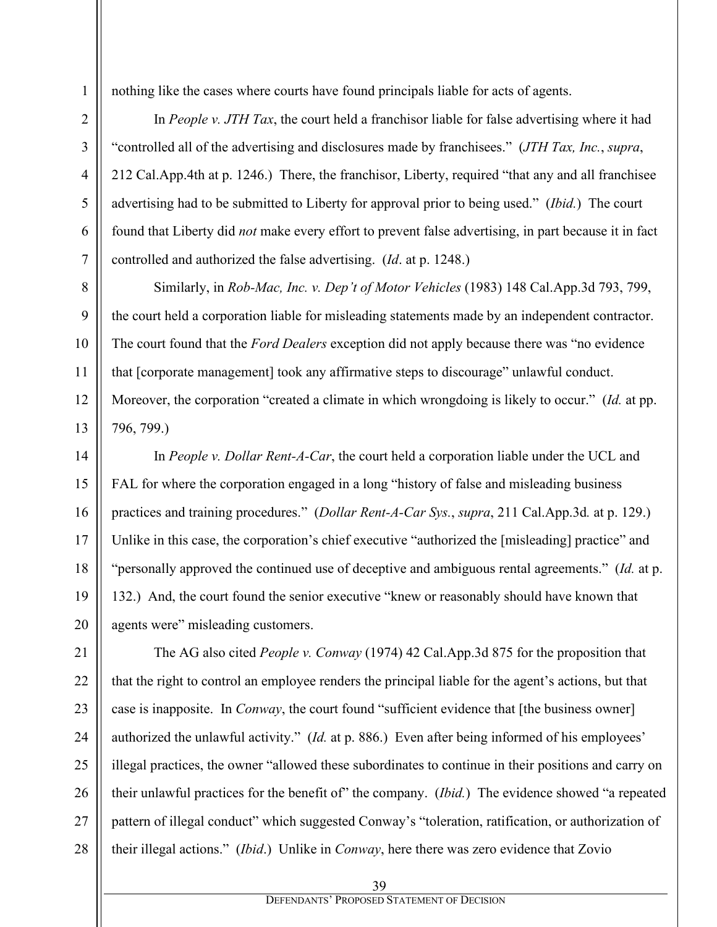nothing like the cases where courts have found principals liable for acts of agents.

In *People v. JTH Tax*, the court held a franchisor liable for false advertising where it had "controlled all of the advertising and disclosures made by franchisees." (*JTH Tax, Inc.*, *supra*, 212 Cal.App.4th at p. 1246.) There, the franchisor, Liberty, required "that any and all franchisee advertising had to be submitted to Liberty for approval prior to being used." (*Ibid.*) The court found that Liberty did *not* make every effort to prevent false advertising, in part because it in fact controlled and authorized the false advertising. (*Id*. at p. 1248.)

Similarly, in *Rob-Mac, Inc. v. Dep't of Motor Vehicles* (1983) 148 Cal.App.3d 793, 799, the court held a corporation liable for misleading statements made by an independent contractor. The court found that the *Ford Dealers* exception did not apply because there was "no evidence that [corporate management] took any affirmative steps to discourage" unlawful conduct. Moreover, the corporation "created a climate in which wrongdoing is likely to occur." (*Id.* at pp. 796, 799.)

In *People v. Dollar Rent-A-Car*, the court held a corporation liable under the UCL and FAL for where the corporation engaged in a long "history of false and misleading business practices and training procedures." (*Dollar Rent-A-Car Sys.*, *supra*, 211 Cal.App.3d*.* at p. 129.) Unlike in this case, the corporation's chief executive "authorized the [misleading] practice" and "personally approved the continued use of deceptive and ambiguous rental agreements." (*Id.* at p. 132.) And, the court found the senior executive "knew or reasonably should have known that agents were" misleading customers.

The AG also cited *People v. Conway* (1974) 42 Cal.App.3d 875 for the proposition that that the right to control an employee renders the principal liable for the agent's actions, but that case is inapposite. In *Conway*, the court found "sufficient evidence that [the business owner] authorized the unlawful activity." (*Id.* at p. 886.) Even after being informed of his employees' illegal practices, the owner "allowed these subordinates to continue in their positions and carry on their unlawful practices for the benefit of" the company. (*Ibid.*) The evidence showed "a repeated pattern of illegal conduct" which suggested Conway's "toleration, ratification, or authorization of their illegal actions." (*Ibid*.) Unlike in *Conway*, here there was zero evidence that Zovio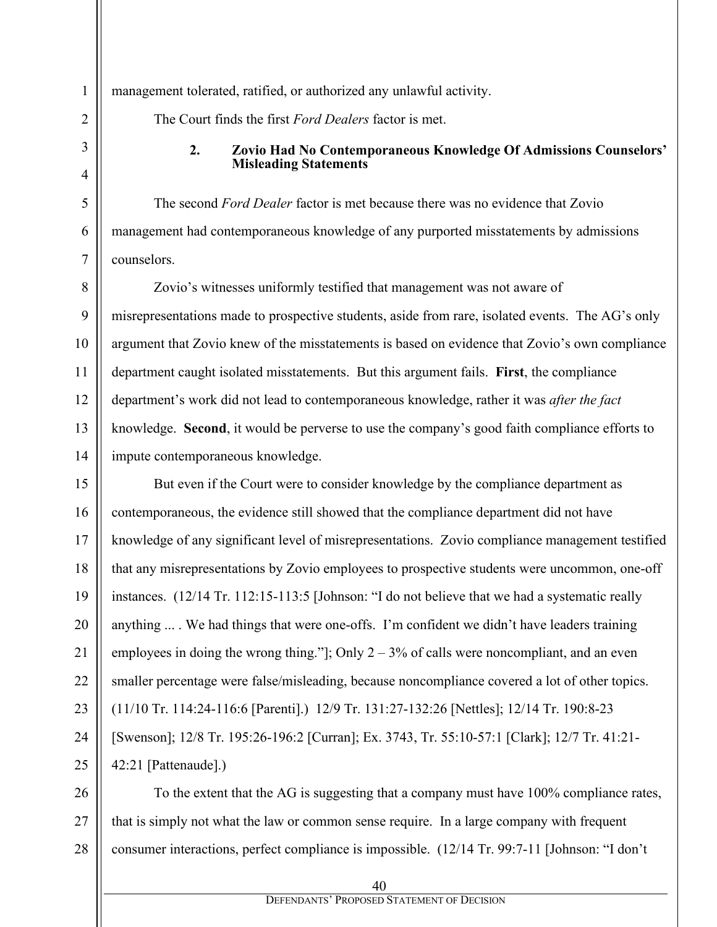management tolerated, ratified, or authorized any unlawful activity.

The Court finds the first *Ford Dealers* factor is met.

#### **2. Zovio Had No Contemporaneous Knowledge Of Admissions Counselors' Misleading Statements**

The second *Ford Dealer* factor is met because there was no evidence that Zovio management had contemporaneous knowledge of any purported misstatements by admissions counselors.

Zovio's witnesses uniformly testified that management was not aware of misrepresentations made to prospective students, aside from rare, isolated events. The AG's only argument that Zovio knew of the misstatements is based on evidence that Zovio's own compliance department caught isolated misstatements. But this argument fails. **First**, the compliance department's work did not lead to contemporaneous knowledge, rather it was *after the fact*  knowledge. **Second**, it would be perverse to use the company's good faith compliance efforts to impute contemporaneous knowledge.

But even if the Court were to consider knowledge by the compliance department as contemporaneous, the evidence still showed that the compliance department did not have knowledge of any significant level of misrepresentations. Zovio compliance management testified that any misrepresentations by Zovio employees to prospective students were uncommon, one-off instances. (12/14 Tr. 112:15-113:5 [Johnson: "I do not believe that we had a systematic really anything ... . We had things that were one-offs. I'm confident we didn't have leaders training employees in doing the wrong thing."]; Only  $2 - 3\%$  of calls were noncompliant, and an even smaller percentage were false/misleading, because noncompliance covered a lot of other topics. (11/10 Tr. 114:24-116:6 [Parenti].) 12/9 Tr. 131:27-132:26 [Nettles]; 12/14 Tr. 190:8-23 [Swenson]; 12/8 Tr. 195:26-196:2 [Curran]; Ex. 3743, Tr. 55:10-57:1 [Clark]; 12/7 Tr. 41:21- 42:21 [Pattenaude].)

To the extent that the AG is suggesting that a company must have 100% compliance rates, that is simply not what the law or common sense require. In a large company with frequent consumer interactions, perfect compliance is impossible. (12/14 Tr. 99:7-11 [Johnson: "I don't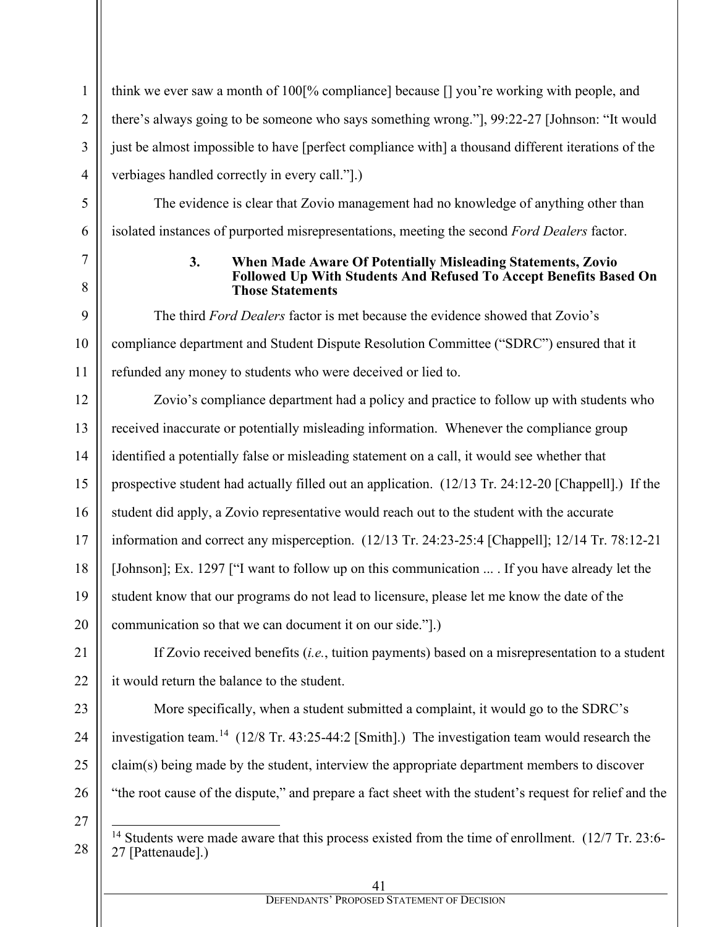think we ever saw a month of 100[% compliance] because [] you're working with people, and there's always going to be someone who says something wrong."], 99:22-27 [Johnson: "It would just be almost impossible to have [perfect compliance with] a thousand different iterations of the verbiages handled correctly in every call."].)

The evidence is clear that Zovio management had no knowledge of anything other than isolated instances of purported misrepresentations, meeting the second *Ford Dealers* factor.

## **3. When Made Aware Of Potentially Misleading Statements, Zovio Followed Up With Students And Refused To Accept Benefits Based On Those Statements**

The third *Ford Dealers* factor is met because the evidence showed that Zovio's compliance department and Student Dispute Resolution Committee ("SDRC") ensured that it refunded any money to students who were deceived or lied to.

12 13 14 15 16 17 18 19 20 Zovio's compliance department had a policy and practice to follow up with students who received inaccurate or potentially misleading information. Whenever the compliance group identified a potentially false or misleading statement on a call, it would see whether that prospective student had actually filled out an application. (12/13 Tr. 24:12-20 [Chappell].) If the student did apply, a Zovio representative would reach out to the student with the accurate information and correct any misperception. (12/13 Tr. 24:23-25:4 [Chappell]; 12/14 Tr. 78:12-21 [Johnson]; Ex. 1297 ["I want to follow up on this communication ... If you have already let the student know that our programs do not lead to licensure, please let me know the date of the communication so that we can document it on our side."].)

If Zovio received benefits (*i.e.*, tuition payments) based on a misrepresentation to a student it would return the balance to the student.

More specifically, when a student submitted a complaint, it would go to the SDRC's investigation team.[14](#page-40-0) (12/8 Tr. 43:25-44:2 [Smith].)The investigation team would research the claim(s) being made by the student, interview the appropriate department members to discover "the root cause of the dispute," and prepare a fact sheet with the student's request for relief and the

27

<span id="page-40-0"></span>28

21

22

23

24

25

26

1

2

3

4

5

6

7

8

9

10

<sup>&</sup>lt;sup>14</sup> Students were made aware that this process existed from the time of enrollment. (12/7 Tr. 23:6-27 [Pattenaude].)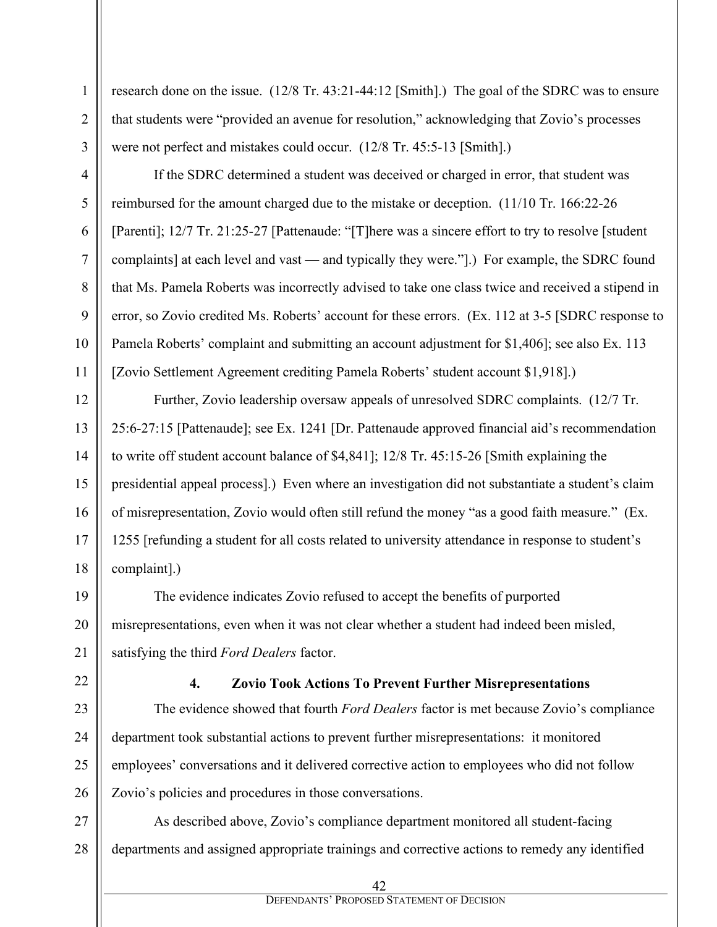1

2

3

4

research done on the issue. (12/8 Tr. 43:21-44:12 [Smith].) The goal of the SDRC was to ensure that students were "provided an avenue for resolution," acknowledging that Zovio's processes were not perfect and mistakes could occur. (12/8 Tr. 45:5-13 [Smith].)

If the SDRC determined a student was deceived or charged in error, that student was reimbursed for the amount charged due to the mistake or deception. (11/10 Tr. 166:22-26 [Parenti]; 12/7 Tr. 21:25-27 [Pattenaude: "[T]here was a sincere effort to try to resolve [student complaints] at each level and vast — and typically they were."].) For example, the SDRC found that Ms. Pamela Roberts was incorrectly advised to take one class twice and received a stipend in error, so Zovio credited Ms. Roberts' account for these errors. (Ex. 112 at 3-5 [SDRC response to Pamela Roberts' complaint and submitting an account adjustment for \$1,406]; see also Ex. 113 [Zovio Settlement Agreement crediting Pamela Roberts' student account \$1,918].)

Further, Zovio leadership oversaw appeals of unresolved SDRC complaints. (12/7 Tr. 25:6-27:15 [Pattenaude]; see Ex. 1241 [Dr. Pattenaude approved financial aid's recommendation to write off student account balance of \$4,841]; 12/8 Tr. 45:15-26 [Smith explaining the presidential appeal process].) Even where an investigation did not substantiate a student's claim of misrepresentation, Zovio would often still refund the money "as a good faith measure." (Ex. 1255 [refunding a student for all costs related to university attendance in response to student's complaint].)

The evidence indicates Zovio refused to accept the benefits of purported misrepresentations, even when it was not clear whether a student had indeed been misled, satisfying the third *Ford Dealers* factor.

**4. Zovio Took Actions To Prevent Further Misrepresentations**

The evidence showed that fourth *Ford Dealers* factor is met because Zovio's compliance department took substantial actions to prevent further misrepresentations: it monitored employees' conversations and it delivered corrective action to employees who did not follow Zovio's policies and procedures in those conversations.

28 As described above, Zovio's compliance department monitored all student-facing departments and assigned appropriate trainings and corrective actions to remedy any identified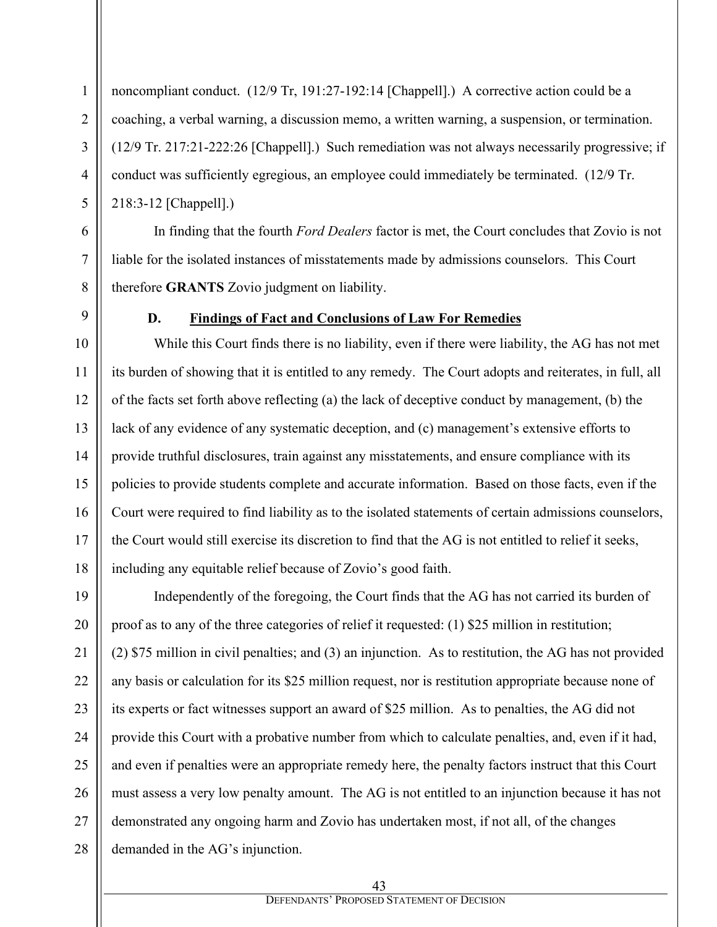noncompliant conduct. (12/9 Tr, 191:27-192:14 [Chappell].) A corrective action could be a coaching, a verbal warning, a discussion memo, a written warning, a suspension, or termination. (12/9 Tr. 217:21-222:26 [Chappell].) Such remediation was not always necessarily progressive; if conduct was sufficiently egregious, an employee could immediately be terminated. (12/9 Tr. 218:3-12 [Chappell].)

In finding that the fourth *Ford Dealers* factor is met, the Court concludes that Zovio is not liable for the isolated instances of misstatements made by admissions counselors. This Court therefore **GRANTS** Zovio judgment on liability.

1

2

3

4

5

6

7

8

9

10

11

12

13

15

17

#### **D. Findings of Fact and Conclusions of Law For Remedies**

14 16 18 While this Court finds there is no liability, even if there were liability, the AG has not met its burden of showing that it is entitled to any remedy. The Court adopts and reiterates, in full, all of the facts set forth above reflecting (a) the lack of deceptive conduct by management, (b) the lack of any evidence of any systematic deception, and (c) management's extensive efforts to provide truthful disclosures, train against any misstatements, and ensure compliance with its policies to provide students complete and accurate information. Based on those facts, even if the Court were required to find liability as to the isolated statements of certain admissions counselors, the Court would still exercise its discretion to find that the AG is not entitled to relief it seeks, including any equitable relief because of Zovio's good faith.

19 20 21 22 23 24 25 26 27 28 Independently of the foregoing, the Court finds that the AG has not carried its burden of proof as to any of the three categories of relief it requested: (1) \$25 million in restitution; (2) \$75 million in civil penalties; and (3) an injunction. As to restitution, the AG has not provided any basis or calculation for its \$25 million request, nor is restitution appropriate because none of its experts or fact witnesses support an award of \$25 million. As to penalties, the AG did not provide this Court with a probative number from which to calculate penalties, and, even if it had, and even if penalties were an appropriate remedy here, the penalty factors instruct that this Court must assess a very low penalty amount. The AG is not entitled to an injunction because it has not demonstrated any ongoing harm and Zovio has undertaken most, if not all, of the changes demanded in the AG's injunction.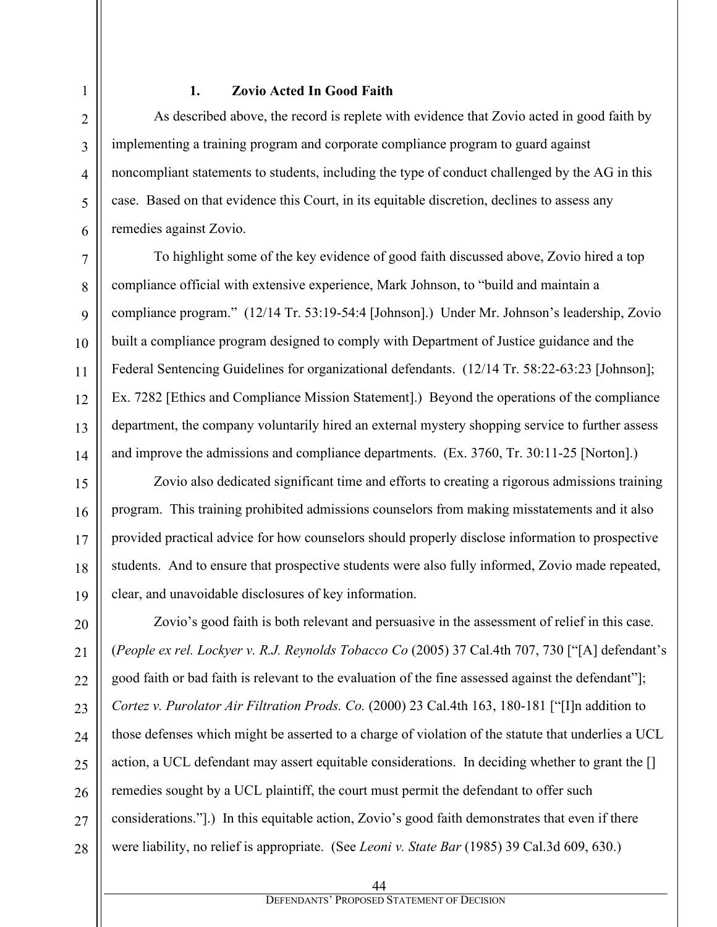## **1. Zovio Acted In Good Faith**

As described above, the record is replete with evidence that Zovio acted in good faith by implementing a training program and corporate compliance program to guard against noncompliant statements to students, including the type of conduct challenged by the AG in this case. Based on that evidence this Court, in its equitable discretion, declines to assess any remedies against Zovio.

To highlight some of the key evidence of good faith discussed above, Zovio hired a top compliance official with extensive experience, Mark Johnson, to "build and maintain a compliance program." (12/14 Tr. 53:19-54:4 [Johnson].) Under Mr. Johnson's leadership, Zovio built a compliance program designed to comply with Department of Justice guidance and the Federal Sentencing Guidelines for organizational defendants. (12/14 Tr. 58:22-63:23 [Johnson]; Ex. 7282 [Ethics and Compliance Mission Statement].) Beyond the operations of the compliance department, the company voluntarily hired an external mystery shopping service to further assess and improve the admissions and compliance departments. (Ex. 3760, Tr. 30:11-25 [Norton].)

Zovio also dedicated significant time and efforts to creating a rigorous admissions training program. This training prohibited admissions counselors from making misstatements and it also provided practical advice for how counselors should properly disclose information to prospective students. And to ensure that prospective students were also fully informed, Zovio made repeated, clear, and unavoidable disclosures of key information.

Zovio's good faith is both relevant and persuasive in the assessment of relief in this case. (*People ex rel. Lockyer v. R.J. Reynolds Tobacco Co* (2005) 37 Cal.4th 707, 730 ["[A] defendant's good faith or bad faith is relevant to the evaluation of the fine assessed against the defendant"]; *Cortez v. Purolator Air Filtration Prods. Co.* (2000) 23 Cal.4th 163, 180-181 ["[I]n addition to those defenses which might be asserted to a charge of violation of the statute that underlies a UCL action, a UCL defendant may assert equitable considerations. In deciding whether to grant the [] remedies sought by a UCL plaintiff, the court must permit the defendant to offer such considerations."].) In this equitable action, Zovio's good faith demonstrates that even if there were liability, no relief is appropriate. (See *Leoni v. State Bar* (1985) 39 Cal.3d 609, 630.)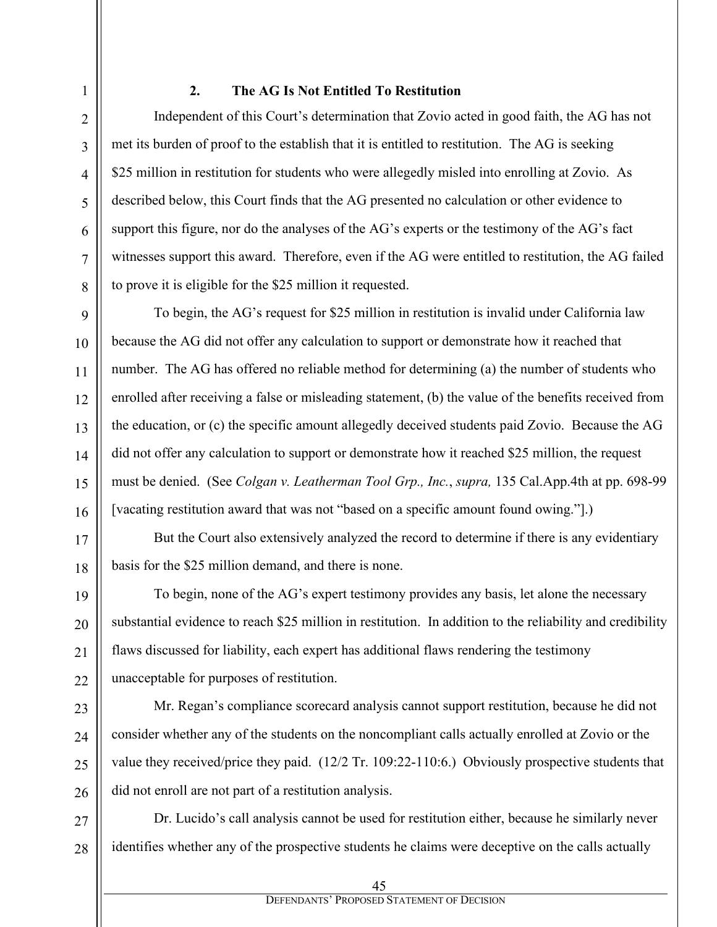#### **2. The AG Is Not Entitled To Restitution**

Independent of this Court's determination that Zovio acted in good faith, the AG has not met its burden of proof to the establish that it is entitled to restitution. The AG is seeking \$25 million in restitution for students who were allegedly misled into enrolling at Zovio. As described below, this Court finds that the AG presented no calculation or other evidence to support this figure, nor do the analyses of the AG's experts or the testimony of the AG's fact witnesses support this award. Therefore, even if the AG were entitled to restitution, the AG failed to prove it is eligible for the \$25 million it requested.

To begin, the AG's request for \$25 million in restitution is invalid under California law because the AG did not offer any calculation to support or demonstrate how it reached that number. The AG has offered no reliable method for determining (a) the number of students who enrolled after receiving a false or misleading statement, (b) the value of the benefits received from the education, or (c) the specific amount allegedly deceived students paid Zovio. Because the AG did not offer any calculation to support or demonstrate how it reached \$25 million, the request must be denied. (See *Colgan v. Leatherman Tool Grp., Inc.*, *supra,* 135 Cal.App.4th at pp. 698-99 [vacating restitution award that was not "based on a specific amount found owing."].)

But the Court also extensively analyzed the record to determine if there is any evidentiary basis for the \$25 million demand, and there is none.

To begin, none of the AG's expert testimony provides any basis, let alone the necessary substantial evidence to reach \$25 million in restitution. In addition to the reliability and credibility flaws discussed for liability, each expert has additional flaws rendering the testimony unacceptable for purposes of restitution.

Mr. Regan's compliance scorecard analysis cannot support restitution, because he did not consider whether any of the students on the noncompliant calls actually enrolled at Zovio or the value they received/price they paid. (12/2 Tr. 109:22-110:6.) Obviously prospective students that did not enroll are not part of a restitution analysis.

Dr. Lucido's call analysis cannot be used for restitution either, because he similarly never identifies whether any of the prospective students he claims were deceptive on the calls actually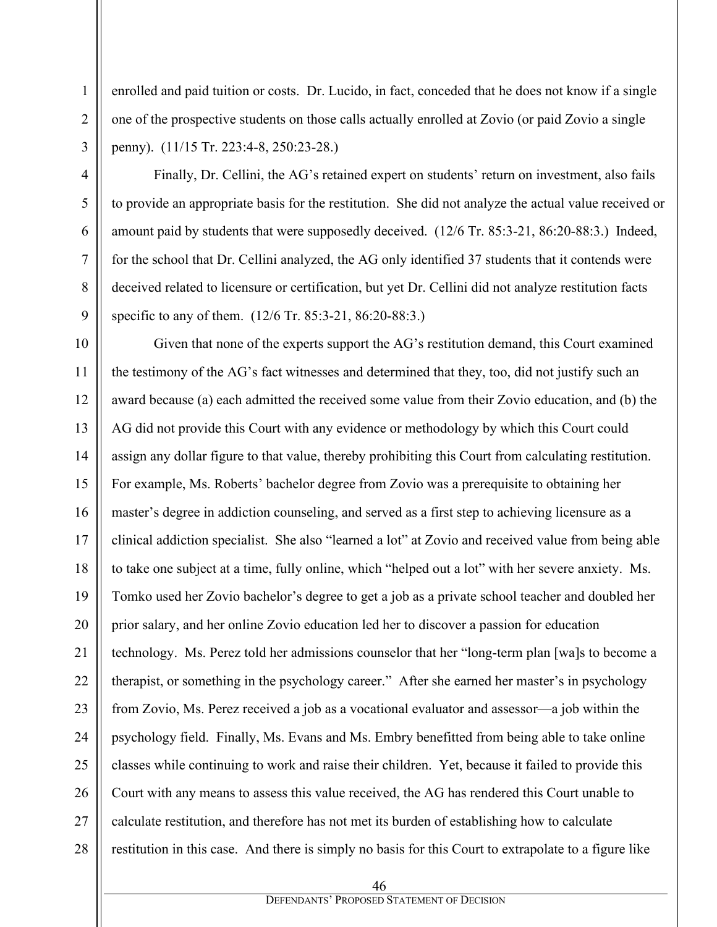enrolled and paid tuition or costs. Dr. Lucido, in fact, conceded that he does not know if a single one of the prospective students on those calls actually enrolled at Zovio (or paid Zovio a single penny). (11/15 Tr. 223:4-8, 250:23-28.)

Finally, Dr. Cellini, the AG's retained expert on students' return on investment, also fails to provide an appropriate basis for the restitution. She did not analyze the actual value received or amount paid by students that were supposedly deceived. (12/6 Tr. 85:3-21, 86:20-88:3.) Indeed, for the school that Dr. Cellini analyzed, the AG only identified 37 students that it contends were deceived related to licensure or certification, but yet Dr. Cellini did not analyze restitution facts specific to any of them. (12/6 Tr. 85:3-21, 86:20-88:3.)

Given that none of the experts support the AG's restitution demand, this Court examined the testimony of the AG's fact witnesses and determined that they, too, did not justify such an award because (a) each admitted the received some value from their Zovio education, and (b) the AG did not provide this Court with any evidence or methodology by which this Court could assign any dollar figure to that value, thereby prohibiting this Court from calculating restitution. For example, Ms. Roberts' bachelor degree from Zovio was a prerequisite to obtaining her master's degree in addiction counseling, and served as a first step to achieving licensure as a clinical addiction specialist. She also "learned a lot" at Zovio and received value from being able to take one subject at a time, fully online, which "helped out a lot" with her severe anxiety. Ms. Tomko used her Zovio bachelor's degree to get a job as a private school teacher and doubled her prior salary, and her online Zovio education led her to discover a passion for education technology. Ms. Perez told her admissions counselor that her "long-term plan [wa]s to become a therapist, or something in the psychology career." After she earned her master's in psychology from Zovio, Ms. Perez received a job as a vocational evaluator and assessor—a job within the psychology field. Finally, Ms. Evans and Ms. Embry benefitted from being able to take online classes while continuing to work and raise their children. Yet, because it failed to provide this Court with any means to assess this value received, the AG has rendered this Court unable to calculate restitution, and therefore has not met its burden of establishing how to calculate restitution in this case. And there is simply no basis for this Court to extrapolate to a figure like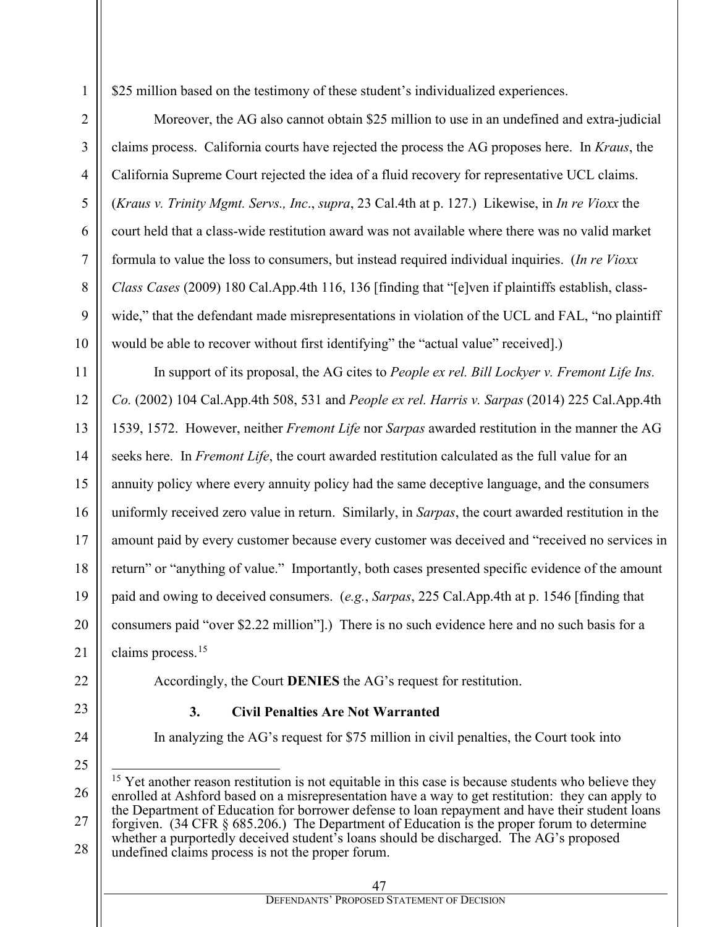\$25 million based on the testimony of these student's individualized experiences.

Moreover, the AG also cannot obtain \$25 million to use in an undefined and extra-judicial claims process. California courts have rejected the process the AG proposes here. In *Kraus*, the California Supreme Court rejected the idea of a fluid recovery for representative UCL claims. (*Kraus v. Trinity Mgmt. Servs., Inc*., *supra*, 23 Cal.4th at p. 127.) Likewise, in *In re Vioxx* the court held that a class-wide restitution award was not available where there was no valid market formula to value the loss to consumers, but instead required individual inquiries. (*In re Vioxx Class Cases* (2009) 180 Cal.App.4th 116, 136 [finding that "[e]ven if plaintiffs establish, classwide," that the defendant made misrepresentations in violation of the UCL and FAL, "no plaintiff would be able to recover without first identifying" the "actual value" received.

In support of its proposal, the AG cites to *People ex rel. Bill Lockyer v. Fremont Life Ins. Co.* (2002) 104 Cal.App.4th 508, 531 and *People ex rel. Harris v. Sarpas* (2014) 225 Cal.App.4th 1539, 1572. However, neither *Fremont Life* nor *Sarpas* awarded restitution in the manner the AG seeks here. In *Fremont Life*, the court awarded restitution calculated as the full value for an annuity policy where every annuity policy had the same deceptive language, and the consumers uniformly received zero value in return. Similarly, in *Sarpas*, the court awarded restitution in the amount paid by every customer because every customer was deceived and "received no services in return" or "anything of value." Importantly, both cases presented specific evidence of the amount paid and owing to deceived consumers. (*e.g.*, *Sarpas*, 225 Cal.App.4th at p. 1546 [finding that consumers paid "over \$2.22 million"].) There is no such evidence here and no such basis for a claims process.[15](#page-46-0)

Accordingly, the Court **DENIES** the AG's request for restitution.

## **3. Civil Penalties Are Not Warranted**

In analyzing the AG's request for \$75 million in civil penalties, the Court took into

1

2

<span id="page-46-0"></span><sup>26</sup> 27 28  $15$  Yet another reason restitution is not equitable in this case is because students who believe they enrolled at Ashford based on a misrepresentation have a way to get restitution: they can apply to the Department of Education for borrower defense to loan repayment and have their student loans forgiven. (34 CFR § 685.206.) The Department of Education is the proper forum to determine whether a purportedly deceived student's loans should be discharged. The AG's proposed undefined claims process is not the proper forum.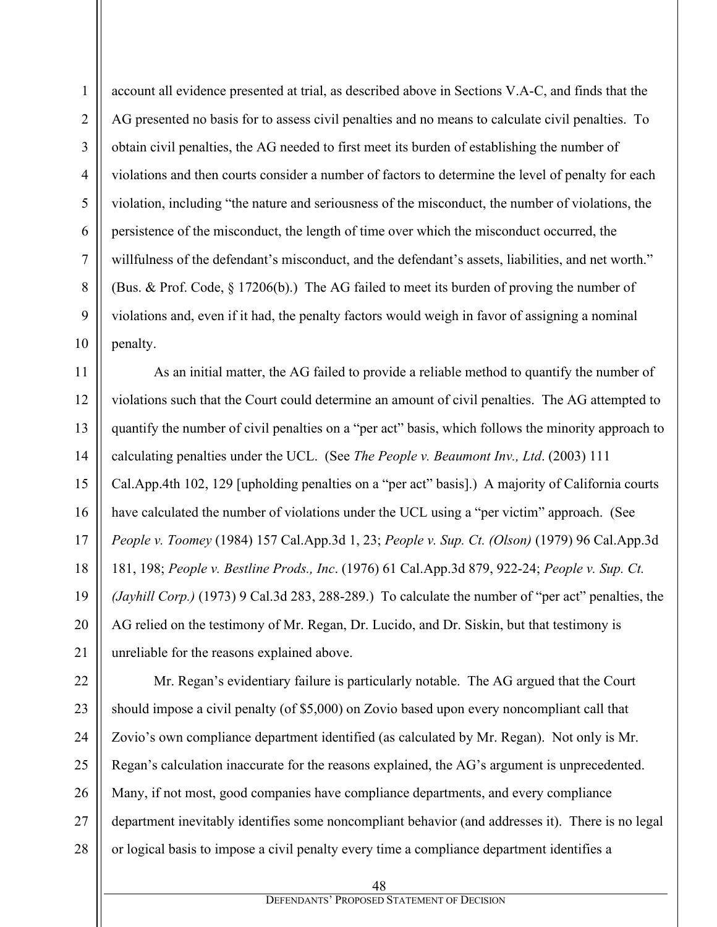1

account all evidence presented at trial, as described above in Sections V.A-C, and finds that the AG presented no basis for to assess civil penalties and no means to calculate civil penalties. To obtain civil penalties, the AG needed to first meet its burden of establishing the number of violations and then courts consider a number of factors to determine the level of penalty for each violation, including "the nature and seriousness of the misconduct, the number of violations, the persistence of the misconduct, the length of time over which the misconduct occurred, the willfulness of the defendant's misconduct, and the defendant's assets, liabilities, and net worth." (Bus. & Prof. Code, § 17206(b).) The AG failed to meet its burden of proving the number of violations and, even if it had, the penalty factors would weigh in favor of assigning a nominal penalty.

As an initial matter, the AG failed to provide a reliable method to quantify the number of violations such that the Court could determine an amount of civil penalties. The AG attempted to quantify the number of civil penalties on a "per act" basis, which follows the minority approach to calculating penalties under the UCL. (See *The People v. Beaumont Inv., Ltd*. (2003) 111 Cal.App.4th 102, 129 [upholding penalties on a "per act" basis].) A majority of California courts have calculated the number of violations under the UCL using a "per victim" approach. (See *People v. Toomey* (1984) 157 Cal.App.3d 1, 23; *People v. Sup. Ct. (Olson)* (1979) 96 Cal.App.3d 181, 198; *People v. Bestline Prods., Inc*. (1976) 61 Cal.App.3d 879, 922-24; *People v. Sup. Ct. (Jayhill Corp.)* (1973) 9 Cal.3d 283, 288-289.) To calculate the number of "per act" penalties, the AG relied on the testimony of Mr. Regan, Dr. Lucido, and Dr. Siskin, but that testimony is unreliable for the reasons explained above.

Mr. Regan's evidentiary failure is particularly notable. The AG argued that the Court should impose a civil penalty (of \$5,000) on Zovio based upon every noncompliant call that Zovio's own compliance department identified (as calculated by Mr. Regan). Not only is Mr. Regan's calculation inaccurate for the reasons explained, the AG's argument is unprecedented. Many, if not most, good companies have compliance departments, and every compliance department inevitably identifies some noncompliant behavior (and addresses it). There is no legal or logical basis to impose a civil penalty every time a compliance department identifies a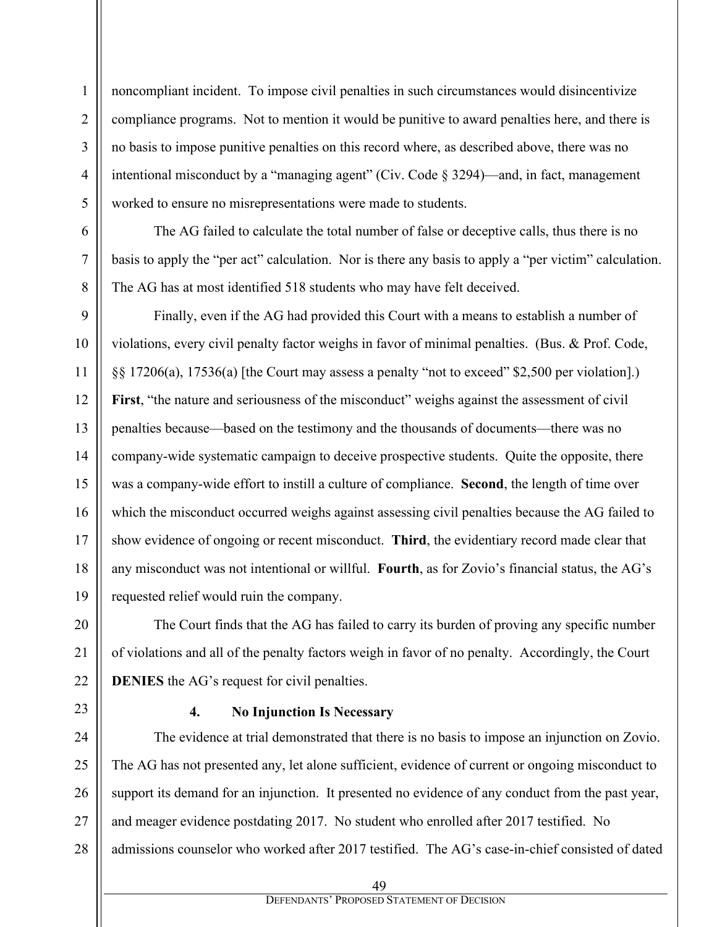noncompliant incident. To impose civil penalties in such circumstances would disincentivize compliance programs. Not to mention it would be punitive to award penalties here, and there is no basis to impose punitive penalties on this record where, as described above, there was no intentional misconduct by a "managing agent" (Civ. Code  $\S 3294$ )—and, in fact, management worked to ensure no misrepresentations were made to students.

The AG failed to calculate the total number of false or deceptive calls, thus there is no basis to apply the "per act" calculation. Nor is there any basis to apply a "per victim" calculation. The AG has at most identified 518 students who may have felt deceived.

Finally, even if the AG had provided this Court with a means to establish a number of violations, every civil penalty factor weighs in favor of minimal penalties. (Bus. & Prof. Code, §§ 17206(a), 17536(a) [the Court may assess a penalty "not to exceed" \$2,500 per violation].) First, "the nature and seriousness of the misconduct" weighs against the assessment of civil penalties because—based on the testimony and the thousands of documents—there was no company-wide systematic campaign to deceive prospective students. Quite the opposite, there was a company-wide effort to instill a culture of compliance. **Second**, the length of time over which the misconduct occurred weighs against assessing civil penalties because the AG failed to show evidence of ongoing or recent misconduct. **Third**, the evidentiary record made clear that any misconduct was not intentional or willful. **Fourth**, as for Zovio's financial status, the AG's requested relief would ruin the company.

The Court finds that the AG has failed to carry its burden of proving any specific number of violations and all of the penalty factors weigh in favor of no penalty. Accordingly, the Court **DENIES** the AG's request for civil penalties.

1

2

3

4

5

6

7

8

9

10

11

12

13

14

15

16

17

18

19

20

21

22

23

## **4. No Injunction Is Necessary**

24 25 26 27 28 The evidence at trial demonstrated that there is no basis to impose an injunction on Zovio. The AG has not presented any, let alone sufficient, evidence of current or ongoing misconduct to support its demand for an injunction. It presented no evidence of any conduct from the past year, and meager evidence postdating 2017. No student who enrolled after 2017 testified. No admissions counselor who worked after 2017 testified. The AG's case-in-chief consisted of dated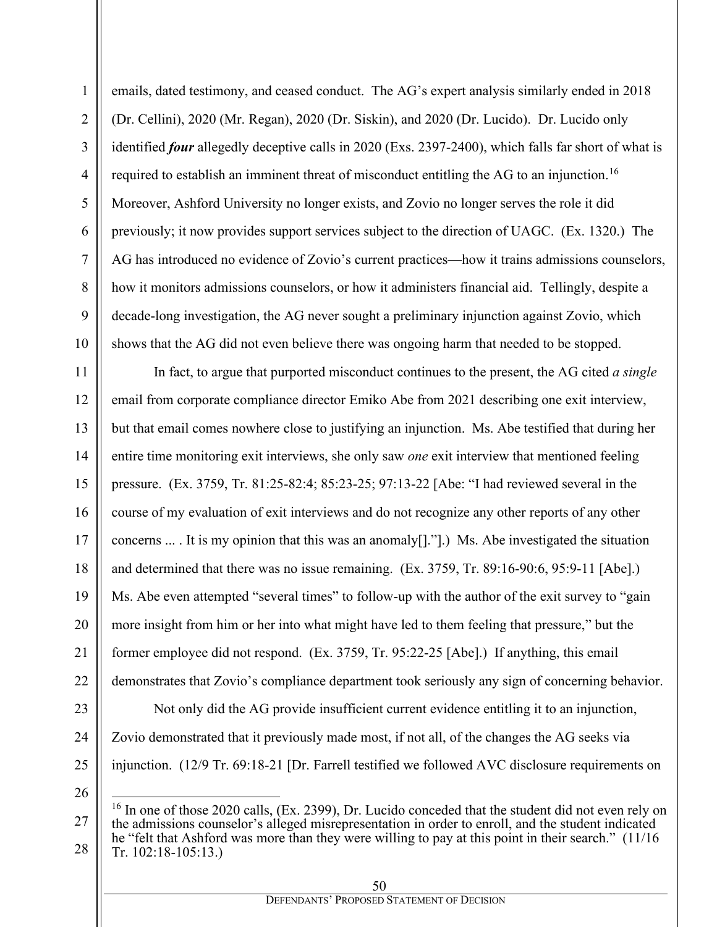emails, dated testimony, and ceased conduct. The AG's expert analysis similarly ended in 2018 (Dr. Cellini), 2020 (Mr. Regan), 2020 (Dr. Siskin), and 2020 (Dr. Lucido). Dr. Lucido only identified *four* allegedly deceptive calls in 2020 (Exs. 2397-2400), which falls far short of what is required to establish an imminent threat of misconduct entitling the AG to an injunction.<sup>16</sup> Moreover, Ashford University no longer exists, and Zovio no longer serves the role it did previously; it now provides support services subject to the direction of UAGC. (Ex. 1320.) The AG has introduced no evidence of Zovio's current practices—how it trains admissions counselors, how it monitors admissions counselors, or how it administers financial aid. Tellingly, despite a decade-long investigation, the AG never sought a preliminary injunction against Zovio, which shows that the AG did not even believe there was ongoing harm that needed to be stopped.

In fact, to argue that purported misconduct continues to the present, the AG cited *a single*  email from corporate compliance director Emiko Abe from 2021 describing one exit interview, but that email comes nowhere close to justifying an injunction. Ms. Abe testified that during her entire time monitoring exit interviews, she only saw *one* exit interview that mentioned feeling pressure. (Ex. 3759, Tr. 81:25-82:4; 85:23-25; 97:13-22 [Abe: "I had reviewed several in the course of my evaluation of exit interviews and do not recognize any other reports of any other concerns ... . It is my opinion that this was an anomaly[]."].) Ms. Abe investigated the situation and determined that there was no issue remaining. (Ex. 3759, Tr. 89:16-90:6, 95:9-11 [Abe].) Ms. Abe even attempted "several times" to follow-up with the author of the exit survey to "gain more insight from him or her into what might have led to them feeling that pressure," but the former employee did not respond. (Ex. 3759, Tr. 95:22-25 [Abe].) If anything, this email demonstrates that Zovio's compliance department took seriously any sign of concerning behavior. Not only did the AG provide insufficient current evidence entitling it to an injunction, Zovio demonstrated that it previously made most, if not all, of the changes the AG seeks via injunction. (12/9 Tr. 69:18-21 [Dr. Farrell testified we followed AVC disclosure requirements on

<span id="page-49-0"></span>

 $16$  In one of those 2020 calls, (Ex. 2399), Dr. Lucido conceded that the student did not even rely on the admissions counselor's alleged misrepresentation in order to enroll, and the student indicated he "felt that Ashford was more than they were willing to pay at this point in their search." (11/16 Tr. 102:18-105:13.)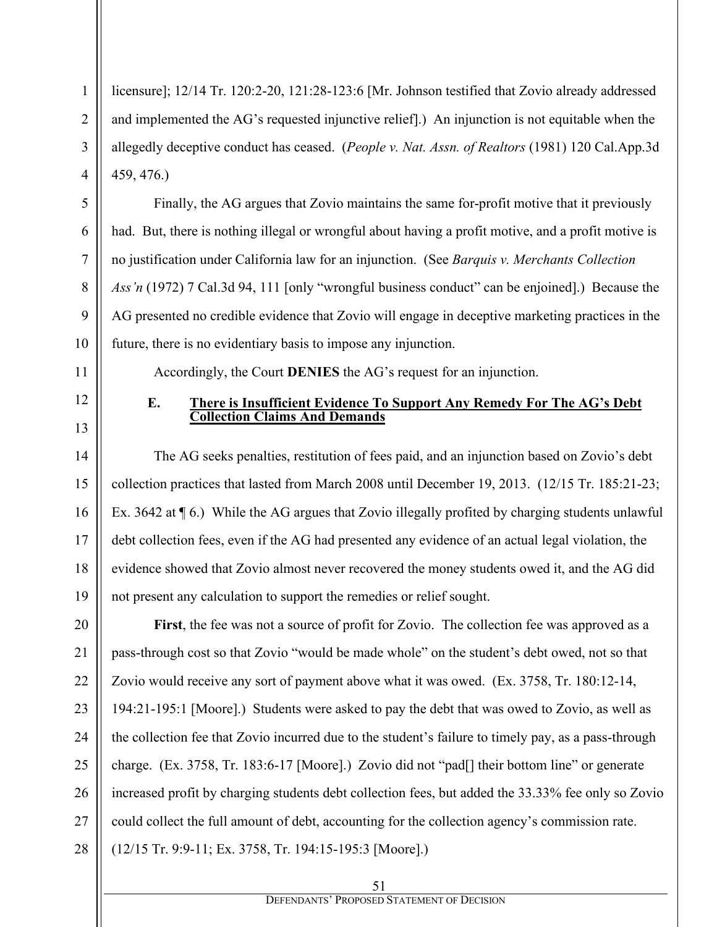licensure]; 12/14 Tr. 120:2-20, 121:28-123:6 [Mr. Johnson testified that Zovio already addressed and implemented the AG's requested injunctive relief].) An injunction is not equitable when the allegedly deceptive conduct has ceased. (*People v. Nat. Assn. of Realtors* (1981) 120 Cal.App.3d 459, 476.)

Finally, the AG argues that Zovio maintains the same for-profit motive that it previously had. But, there is nothing illegal or wrongful about having a profit motive, and a profit motive is no justification under California law for an injunction. (See *Barquis v. Merchants Collection Ass'n* (1972) 7 Cal.3d 94, 111 [only "wrongful business conduct" can be enjoined].) Because the AG presented no credible evidence that Zovio will engage in deceptive marketing practices in the future, there is no evidentiary basis to impose any injunction.

Accordingly, the Court **DENIES** the AG's request for an injunction.

12

1

2

3

4

5

6

7

8

9

10

11

13

14

15

16

17

18

19

#### **E. There is Insufficient Evidence To Support Any Remedy For The AG's Debt Collection Claims And Demands**

The AG seeks penalties, restitution of fees paid, and an injunction based on Zovio's debt collection practices that lasted from March 2008 until December 19, 2013. (12/15 Tr. 185:21-23; Ex. 3642 at ¶ 6.) While the AG argues that Zovio illegally profited by charging students unlawful debt collection fees, even if the AG had presented any evidence of an actual legal violation, the evidence showed that Zovio almost never recovered the money students owed it, and the AG did not present any calculation to support the remedies or relief sought.

20 21 22 23 24 25 26 27 28 **First**, the fee was not a source of profit for Zovio. The collection fee was approved as a pass-through cost so that Zovio "would be made whole" on the student's debt owed, not so that Zovio would receive any sort of payment above what it was owed. (Ex. 3758, Tr. 180:12-14, 194:21-195:1 [Moore].) Students were asked to pay the debt that was owed to Zovio, as well as the collection fee that Zovio incurred due to the student's failure to timely pay, as a pass-through charge. (Ex. 3758, Tr. 183:6-17 [Moore].) Zovio did not "pad[] their bottom line" or generate increased profit by charging students debt collection fees, but added the 33.33% fee only so Zovio could collect the full amount of debt, accounting for the collection agency's commission rate. (12/15 Tr. 9:9-11; Ex. 3758, Tr. 194:15-195:3 [Moore].)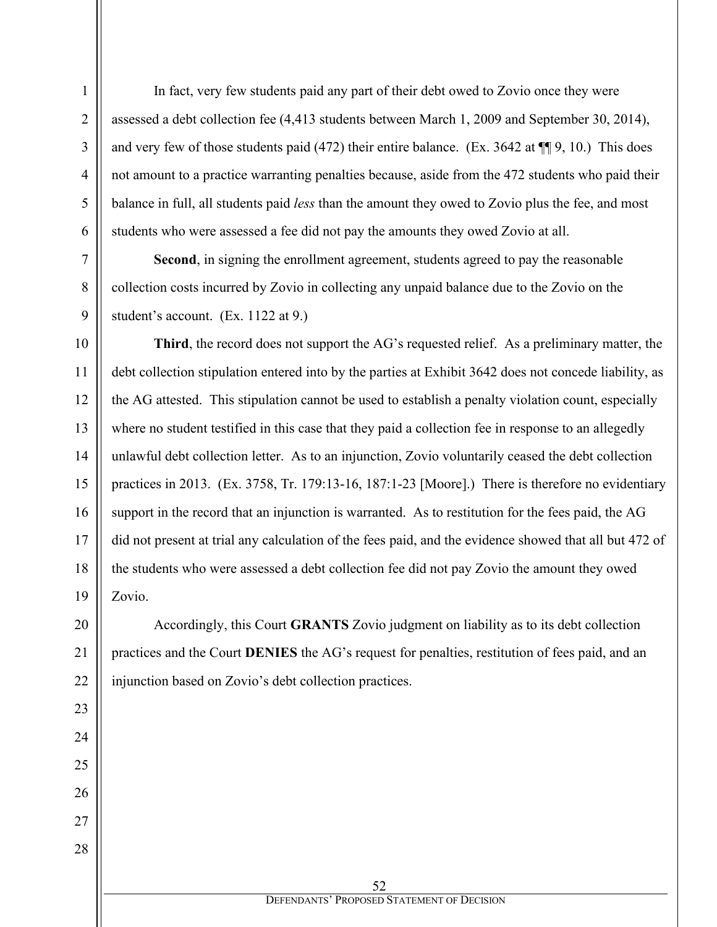In fact, very few students paid any part of their debt owed to Zovio once they were assessed a debt collection fee (4,413 students between March 1, 2009 and September 30, 2014), and very few of those students paid (472) their entire balance. (Ex. 3642 at ¶¶ 9, 10.) This does not amount to a practice warranting penalties because, aside from the 472 students who paid their balance in full, all students paid *less* than the amount they owed to Zovio plus the fee, and most students who were assessed a fee did not pay the amounts they owed Zovio at all.

**Second**, in signing the enrollment agreement, students agreed to pay the reasonable collection costs incurred by Zovio in collecting any unpaid balance due to the Zovio on the student's account. (Ex. 1122 at 9.)

**Third**, the record does not support the AG's requested relief. As a preliminary matter, the debt collection stipulation entered into by the parties at Exhibit 3642 does not concede liability, as the AG attested. This stipulation cannot be used to establish a penalty violation count, especially where no student testified in this case that they paid a collection fee in response to an allegedly unlawful debt collection letter. As to an injunction, Zovio voluntarily ceased the debt collection practices in 2013. (Ex. 3758, Tr. 179:13-16, 187:1-23 [Moore].) There is therefore no evidentiary support in the record that an injunction is warranted. As to restitution for the fees paid, the AG did not present at trial any calculation of the fees paid, and the evidence showed that all but 472 of the students who were assessed a debt collection fee did not pay Zovio the amount they owed Zovio.

Accordingly, this Court **GRANTS** Zovio judgment on liability as to its debt collection practices and the Court **DENIES** the AG's request for penalties, restitution of fees paid, and an injunction based on Zovio's debt collection practices.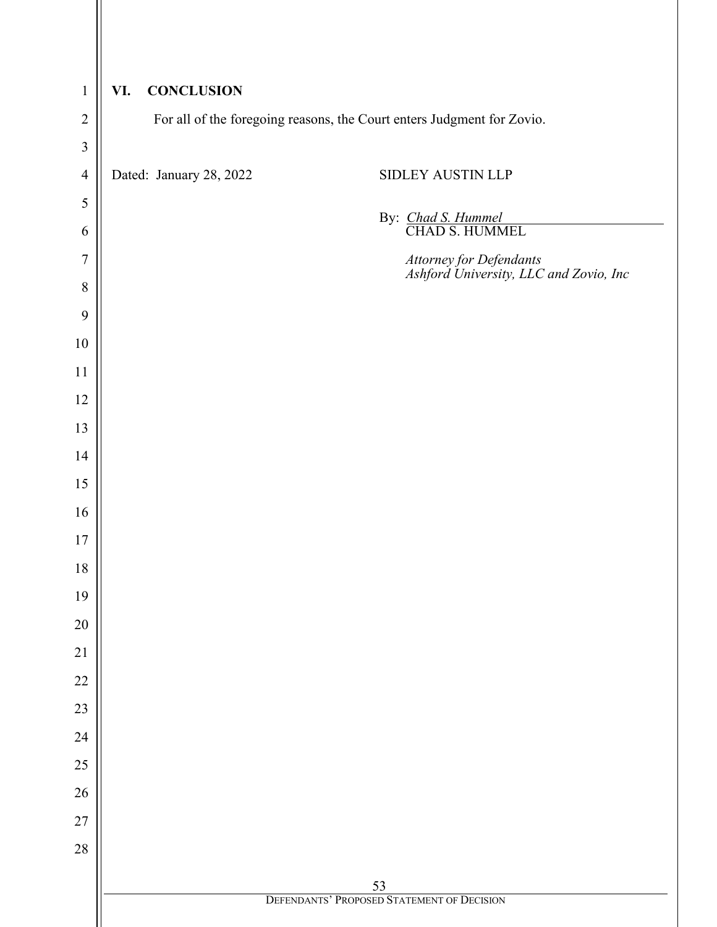| $\mathbf{1}$                              | <b>CONCLUSION</b><br>VI. |                                                                        |
|-------------------------------------------|--------------------------|------------------------------------------------------------------------|
| $\overline{2}$<br>$\overline{\mathbf{3}}$ |                          | For all of the foregoing reasons, the Court enters Judgment for Zovio. |
| $\overline{4}$                            | Dated: January 28, 2022  | SIDLEY AUSTIN LLP                                                      |
| 5                                         |                          |                                                                        |
| 6                                         |                          | By: Chad S. Hummel<br>CHAD S. HUMMEL                                   |
| $\overline{7}$                            |                          | Attorney for Defendants<br>Ashford University, LLC and Zovio, Inc      |
| $\,8\,$                                   |                          |                                                                        |
| 9                                         |                          |                                                                        |
| $10\,$                                    |                          |                                                                        |
| 11                                        |                          |                                                                        |
| 12                                        |                          |                                                                        |
| 13                                        |                          |                                                                        |
| 14                                        |                          |                                                                        |
| 15                                        |                          |                                                                        |
| 16<br>17                                  |                          |                                                                        |
| $18\,$                                    |                          |                                                                        |
| 19                                        |                          |                                                                        |
| $20\,$                                    |                          |                                                                        |
| $21\,$                                    |                          |                                                                        |
| $22\,$                                    |                          |                                                                        |
| 23                                        |                          |                                                                        |
| 24                                        |                          |                                                                        |
| 25                                        |                          |                                                                        |
| $26\,$                                    |                          |                                                                        |
| $27\,$                                    |                          |                                                                        |
| 28                                        |                          |                                                                        |
|                                           |                          | 53<br>DEFENDANTS' PROPOSED STATEMENT OF DECISION                       |
|                                           |                          |                                                                        |